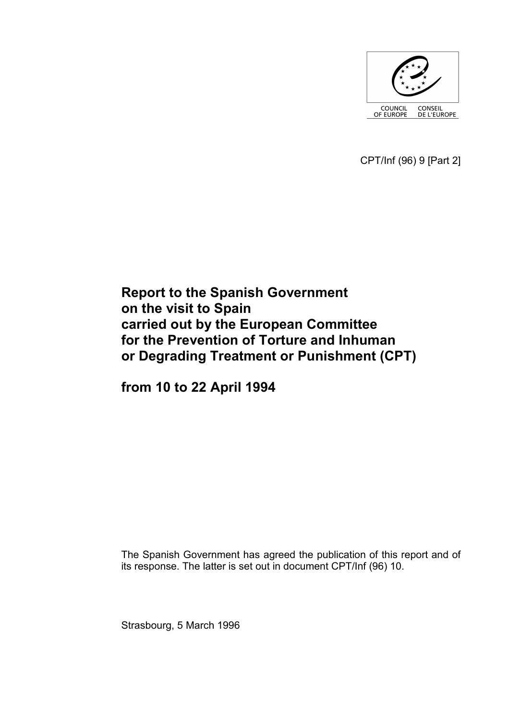

CPT/Inf (96) 9 [Part 2]

# **Report to the Spanish Government on the visit to Spain carried out by the European Committee for the Prevention of Torture and Inhuman or Degrading Treatment or Punishment (CPT)**

**from 10 to 22 April 1994** 

The Spanish Government has agreed the publication of this report and of its response. The latter is set out in document CPT/Inf (96) 10.

Strasbourg, 5 March 1996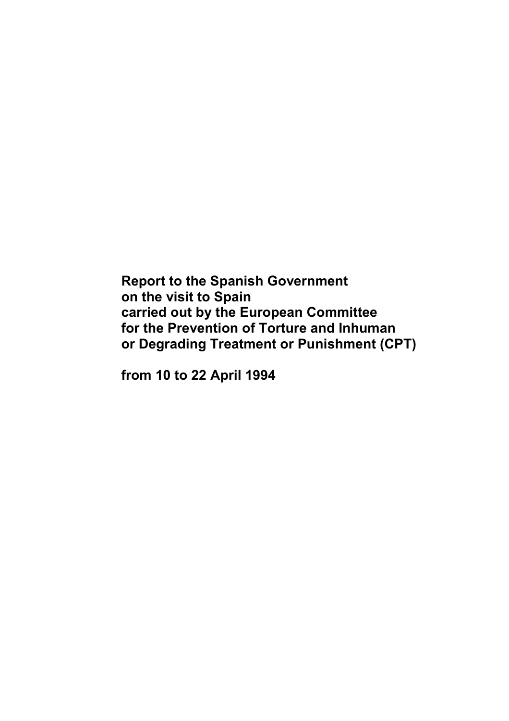**Report to the Spanish Government on the visit to Spain carried out by the European Committee for the Prevention of Torture and Inhuman or Degrading Treatment or Punishment (CPT)** 

**from 10 to 22 April 1994**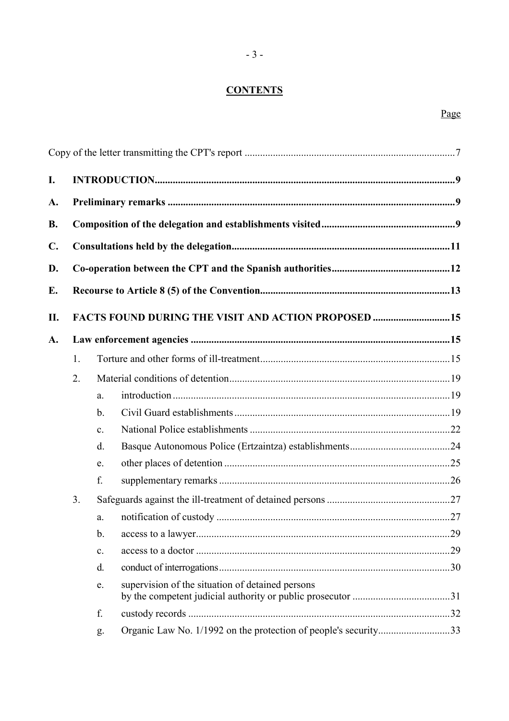# **CONTENTS**

# Page

| I.             |    |                |                                                                 |  |
|----------------|----|----------------|-----------------------------------------------------------------|--|
| A.             |    |                |                                                                 |  |
| <b>B.</b>      |    |                |                                                                 |  |
| $\mathbf{C}$ . |    |                |                                                                 |  |
| D.             |    |                |                                                                 |  |
| E.             |    |                |                                                                 |  |
|                |    |                |                                                                 |  |
| П.             |    |                | <b>FACTS FOUND DURING THE VISIT AND ACTION PROPOSED 15</b>      |  |
| A.             |    |                |                                                                 |  |
|                | 1. |                |                                                                 |  |
|                | 2. |                |                                                                 |  |
|                |    | a.             |                                                                 |  |
|                |    | $\mathbf b$ .  |                                                                 |  |
|                |    | $\mathbf{c}$ . |                                                                 |  |
|                |    | $d_{\cdot}$    |                                                                 |  |
|                |    | e.             |                                                                 |  |
|                |    | f.             |                                                                 |  |
|                | 3. |                |                                                                 |  |
|                |    | a.             |                                                                 |  |
|                |    | $\mathbf b$ .  |                                                                 |  |
|                |    | c.             |                                                                 |  |
|                |    | d.             |                                                                 |  |
|                |    | e.             | supervision of the situation of detained persons                |  |
|                |    | f.             |                                                                 |  |
|                |    | g.             | Organic Law No. 1/1992 on the protection of people's security33 |  |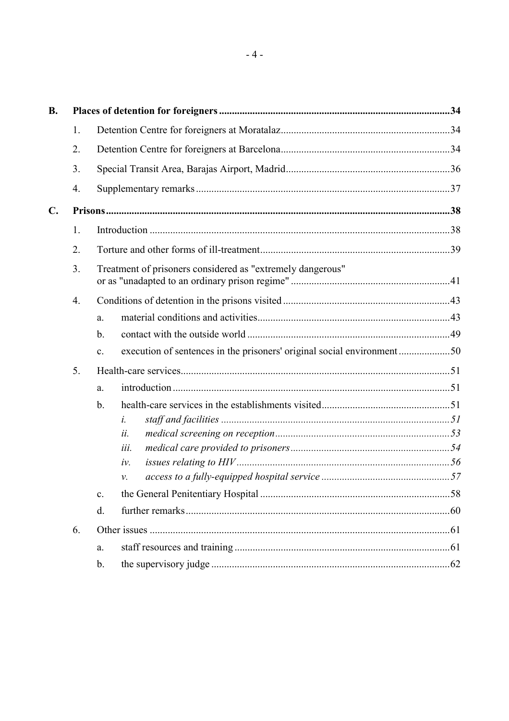| <b>B.</b>      |    |                                                            |             |  |  |
|----------------|----|------------------------------------------------------------|-------------|--|--|
|                | 1. |                                                            |             |  |  |
|                | 2. |                                                            |             |  |  |
|                | 3. |                                                            |             |  |  |
|                | 4. |                                                            |             |  |  |
| $\mathbf{C}$ . |    |                                                            |             |  |  |
|                | 1. |                                                            |             |  |  |
|                | 2. |                                                            |             |  |  |
|                | 3. | Treatment of prisoners considered as "extremely dangerous" |             |  |  |
|                | 4. |                                                            |             |  |  |
|                |    | a.                                                         |             |  |  |
|                |    | b.                                                         |             |  |  |
|                |    | $\mathbf{c}$ .                                             |             |  |  |
|                | 5. |                                                            |             |  |  |
|                |    | a.                                                         |             |  |  |
|                |    | $\mathbf b$ .                                              |             |  |  |
|                |    |                                                            | $\dot{l}$ . |  |  |
|                |    |                                                            | ii.         |  |  |
|                |    |                                                            | iii.        |  |  |
|                |    |                                                            | iv.         |  |  |
|                |    |                                                            | ν.          |  |  |
|                |    | $\mathbf{c}$ .                                             |             |  |  |
|                |    | $\mathbf{d}$ .                                             |             |  |  |
|                | 6. |                                                            |             |  |  |
|                |    | a.                                                         |             |  |  |
|                |    | $\mathbf b$ .                                              |             |  |  |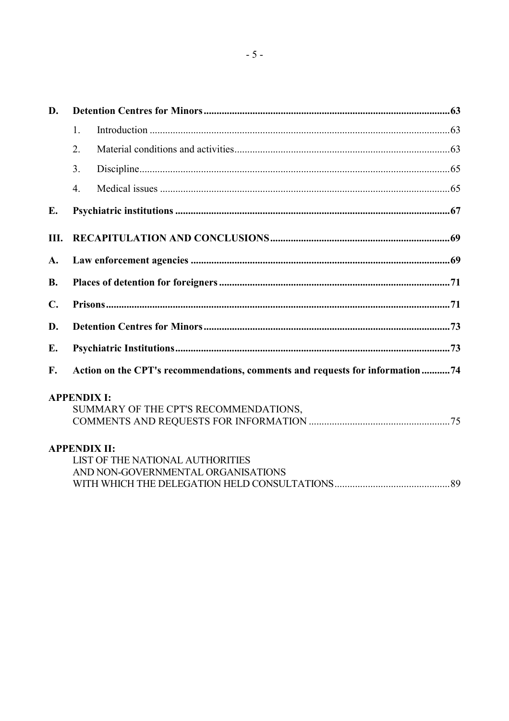| D.             |                  |                                                                              |  |  |  |  |
|----------------|------------------|------------------------------------------------------------------------------|--|--|--|--|
|                | $\mathbf{1}$ .   |                                                                              |  |  |  |  |
|                | 2.               |                                                                              |  |  |  |  |
|                | 3 <sub>1</sub>   |                                                                              |  |  |  |  |
|                | $\overline{4}$ . |                                                                              |  |  |  |  |
| E.             |                  |                                                                              |  |  |  |  |
| III.           |                  |                                                                              |  |  |  |  |
| A.             |                  |                                                                              |  |  |  |  |
| <b>B.</b>      |                  |                                                                              |  |  |  |  |
| $\mathbf{C}$ . |                  |                                                                              |  |  |  |  |
| D.             |                  |                                                                              |  |  |  |  |
| E.             |                  |                                                                              |  |  |  |  |
| F.             |                  | Action on the CPT's recommendations, comments and requests for information74 |  |  |  |  |
|                |                  | <b>APPENDIX I:</b>                                                           |  |  |  |  |
|                |                  | SUMMARY OF THE CPT'S RECOMMENDATIONS,                                        |  |  |  |  |
|                |                  | <b>APPENDIX II:</b>                                                          |  |  |  |  |
|                |                  | LIST OF THE NATIONAL AUTHORITIES                                             |  |  |  |  |
|                |                  | AND NON-GOVERNMENTAL ORGANISATIONS                                           |  |  |  |  |
|                |                  |                                                                              |  |  |  |  |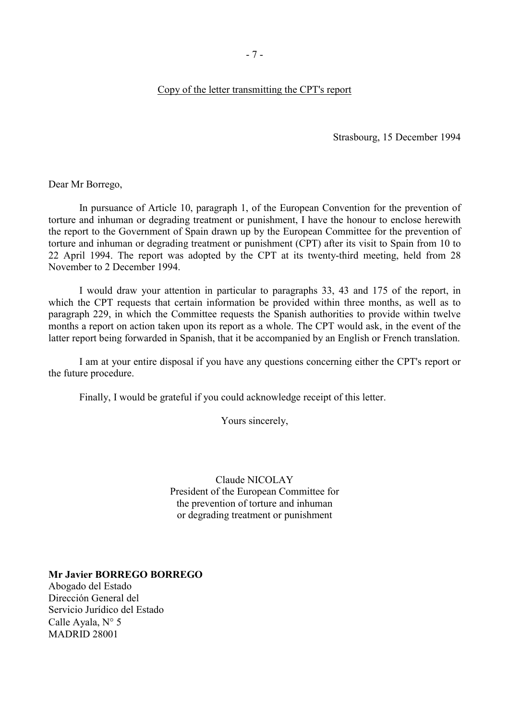#### <span id="page-8-0"></span>Copy of the letter transmitting the CPT's report

Strasbourg, 15 December 1994

Dear Mr Borrego,

 In pursuance of Article 10, paragraph 1, of the European Convention for the prevention of torture and inhuman or degrading treatment or punishment, I have the honour to enclose herewith the report to the Government of Spain drawn up by the European Committee for the prevention of torture and inhuman or degrading treatment or punishment (CPT) after its visit to Spain from 10 to 22 April 1994. The report was adopted by the CPT at its twenty-third meeting, held from 28 November to 2 December 1994.

 I would draw your attention in particular to paragraphs 33, 43 and 175 of the report, in which the CPT requests that certain information be provided within three months, as well as to paragraph 229, in which the Committee requests the Spanish authorities to provide within twelve months a report on action taken upon its report as a whole. The CPT would ask, in the event of the latter report being forwarded in Spanish, that it be accompanied by an English or French translation.

 I am at your entire disposal if you have any questions concerning either the CPT's report or the future procedure.

Finally, I would be grateful if you could acknowledge receipt of this letter.

Yours sincerely,

Claude NICOLAY President of the European Committee for the prevention of torture and inhuman or degrading treatment or punishment

**Mr Javier BORREGO BORREGO**

Abogado del Estado Dirección General del Servicio Jurídico del Estado Calle Ayala, N° 5 MADRID 28001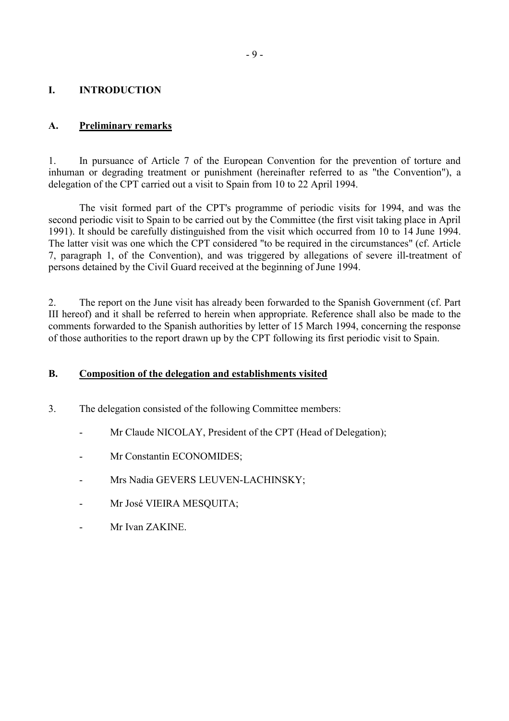#### <span id="page-10-0"></span>**I. INTRODUCTION**

#### **A. Preliminary remarks**

1. In pursuance of Article 7 of the European Convention for the prevention of torture and inhuman or degrading treatment or punishment (hereinafter referred to as "the Convention"), a delegation of the CPT carried out a visit to Spain from 10 to 22 April 1994.

 The visit formed part of the CPT's programme of periodic visits for 1994, and was the second periodic visit to Spain to be carried out by the Committee (the first visit taking place in April 1991). It should be carefully distinguished from the visit which occurred from 10 to 14 June 1994. The latter visit was one which the CPT considered "to be required in the circumstances" (cf. Article 7, paragraph 1, of the Convention), and was triggered by allegations of severe ill-treatment of persons detained by the Civil Guard received at the beginning of June 1994.

2. The report on the June visit has already been forwarded to the Spanish Government (cf. Part III hereof) and it shall be referred to herein when appropriate. Reference shall also be made to the comments forwarded to the Spanish authorities by letter of 15 March 1994, concerning the response of those authorities to the report drawn up by the CPT following its first periodic visit to Spain.

#### **B. Composition of the delegation and establishments visited**

- 3. The delegation consisted of the following Committee members:
	- Mr Claude NICOLAY, President of the CPT (Head of Delegation);
	- Mr Constantin ECONOMIDES;
	- Mrs Nadia GEVERS LEUVEN-LACHINSKY;
	- Mr José VIEIRA MESOUITA:
	- Mr Ivan ZAKINE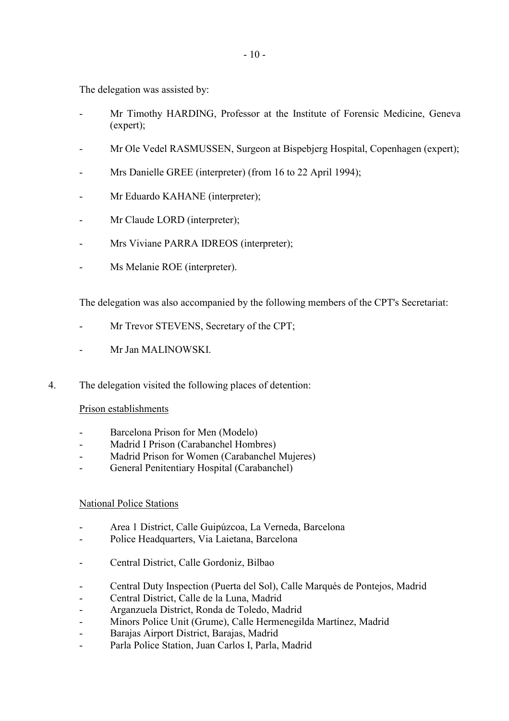The delegation was assisted by:

- Mr Timothy HARDING, Professor at the Institute of Forensic Medicine, Geneva (expert);
- Mr Ole Vedel RASMUSSEN, Surgeon at Bispebjerg Hospital, Copenhagen (expert);
- Mrs Danielle GREE (interpreter) (from 16 to 22 April 1994);
- Mr Eduardo KAHANE (interpreter);
- Mr Claude LORD (interpreter);
- Mrs Viviane PARRA IDREOS (interpreter);
- Ms Melanie ROE (interpreter).

The delegation was also accompanied by the following members of the CPT's Secretariat:

- Mr Trevor STEVENS, Secretary of the CPT;
- Mr Jan MALINOWSKI.
- 4. The delegation visited the following places of detention:

#### Prison establishments

- Barcelona Prison for Men (Modelo)
- Madrid I Prison (Carabanchel Hombres)
- Madrid Prison for Women (Carabanchel Mujeres)
- General Penitentiary Hospital (Carabanchel)

#### National Police Stations

- Area 1 District, Calle Guipúzcoa, La Verneda, Barcelona
- Police Headquarters, Via Laietana, Barcelona
- Central District, Calle Gordoniz, Bilbao
- Central Duty Inspection (Puerta del Sol), Calle Marqués de Pontejos, Madrid
- Central District, Calle de la Luna, Madrid
- Arganzuela District, Ronda de Toledo, Madrid
- Minors Police Unit (Grume), Calle Hermenegilda Martínez, Madrid
- Barajas Airport District, Barajas, Madrid
- Parla Police Station, Juan Carlos I, Parla, Madrid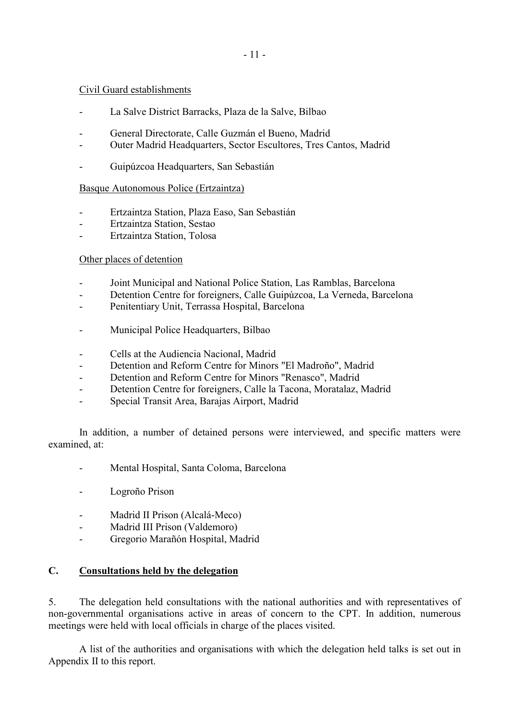#### <span id="page-12-0"></span>Civil Guard establishments

- La Salve District Barracks, Plaza de la Salve, Bilbao
- General Directorate, Calle Guzmán el Bueno, Madrid
- Outer Madrid Headquarters, Sector Escultores, Tres Cantos, Madrid
- Guipúzcoa Headquarters, San Sebastián

#### Basque Autonomous Police (Ertzaintza)

- Ertzaintza Station, Plaza Easo, San Sebastián
- Ertzaintza Station, Sestao
- Ertzaintza Station, Tolosa

#### Other places of detention

- Joint Municipal and National Police Station, Las Ramblas, Barcelona
- Detention Centre for foreigners, Calle Guipúzcoa, La Verneda, Barcelona
- Penitentiary Unit, Terrassa Hospital, Barcelona
- Municipal Police Headquarters, Bilbao
- Cells at the Audiencia Nacional, Madrid
- Detention and Reform Centre for Minors "El Madroño", Madrid
- Detention and Reform Centre for Minors "Renasco", Madrid
- Detention Centre for foreigners, Calle la Tacona, Moratalaz, Madrid
- Special Transit Area, Barajas Airport, Madrid

 In addition, a number of detained persons were interviewed, and specific matters were examined, at:

- Mental Hospital, Santa Coloma, Barcelona
- Logroño Prison
- Madrid II Prison (Alcalá-Meco)
- Madrid III Prison (Valdemoro)
- Gregorio Marañón Hospital, Madrid

#### **C. Consultations held by the delegation**

5. The delegation held consultations with the national authorities and with representatives of non-governmental organisations active in areas of concern to the CPT. In addition, numerous meetings were held with local officials in charge of the places visited.

 A list of the authorities and organisations with which the delegation held talks is set out in Appendix II to this report.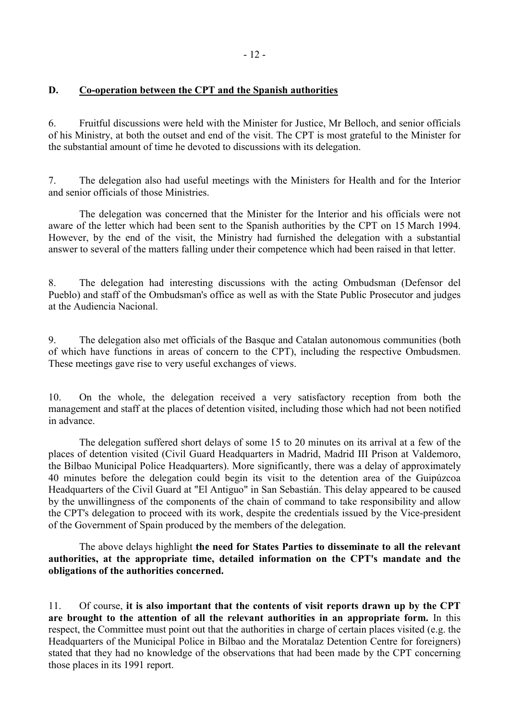# <span id="page-13-0"></span>**D. Co-operation between the CPT and the Spanish authorities**

6. Fruitful discussions were held with the Minister for Justice, Mr Belloch, and senior officials of his Ministry, at both the outset and end of the visit. The CPT is most grateful to the Minister for the substantial amount of time he devoted to discussions with its delegation.

7. The delegation also had useful meetings with the Ministers for Health and for the Interior and senior officials of those Ministries.

 The delegation was concerned that the Minister for the Interior and his officials were not aware of the letter which had been sent to the Spanish authorities by the CPT on 15 March 1994. However, by the end of the visit, the Ministry had furnished the delegation with a substantial answer to several of the matters falling under their competence which had been raised in that letter.

8. The delegation had interesting discussions with the acting Ombudsman (Defensor del Pueblo) and staff of the Ombudsman's office as well as with the State Public Prosecutor and judges at the Audiencia Nacional.

9. The delegation also met officials of the Basque and Catalan autonomous communities (both of which have functions in areas of concern to the CPT), including the respective Ombudsmen. These meetings gave rise to very useful exchanges of views.

10. On the whole, the delegation received a very satisfactory reception from both the management and staff at the places of detention visited, including those which had not been notified in advance.

 The delegation suffered short delays of some 15 to 20 minutes on its arrival at a few of the places of detention visited (Civil Guard Headquarters in Madrid, Madrid III Prison at Valdemoro, the Bilbao Municipal Police Headquarters). More significantly, there was a delay of approximately 40 minutes before the delegation could begin its visit to the detention area of the Guipúzcoa Headquarters of the Civil Guard at "El Antiguo" in San Sebastián. This delay appeared to be caused by the unwillingness of the components of the chain of command to take responsibility and allow the CPT's delegation to proceed with its work, despite the credentials issued by the Vice-president of the Government of Spain produced by the members of the delegation.

 The above delays highlight **the need for States Parties to disseminate to all the relevant authorities, at the appropriate time, detailed information on the CPT's mandate and the obligations of the authorities concerned.** 

11. Of course, **it is also important that the contents of visit reports drawn up by the CPT are brought to the attention of all the relevant authorities in an appropriate form.** In this respect, the Committee must point out that the authorities in charge of certain places visited (e.g. the Headquarters of the Municipal Police in Bilbao and the Moratalaz Detention Centre for foreigners) stated that they had no knowledge of the observations that had been made by the CPT concerning those places in its 1991 report.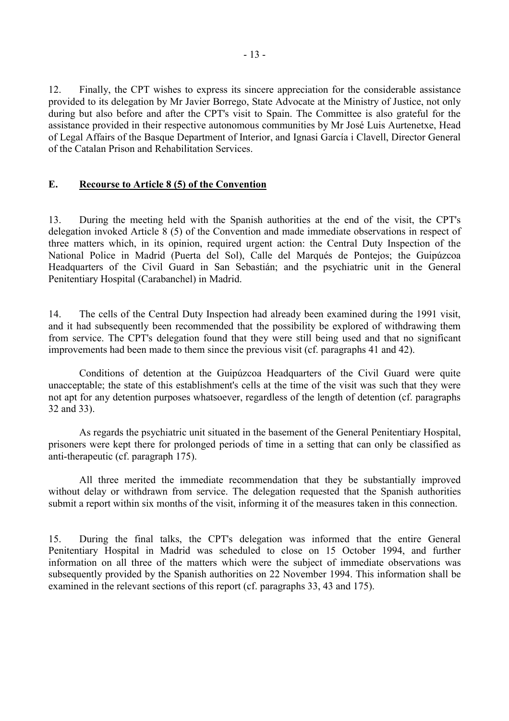<span id="page-14-0"></span>12. Finally, the CPT wishes to express its sincere appreciation for the considerable assistance provided to its delegation by Mr Javier Borrego, State Advocate at the Ministry of Justice, not only during but also before and after the CPT's visit to Spain. The Committee is also grateful for the assistance provided in their respective autonomous communities by Mr José Luis Aurtenetxe, Head of Legal Affairs of the Basque Department of Interior, and Ignasi García i Clavell, Director General of the Catalan Prison and Rehabilitation Services.

#### **E. Recourse to Article 8 (5) of the Convention**

13. During the meeting held with the Spanish authorities at the end of the visit, the CPT's delegation invoked Article 8 (5) of the Convention and made immediate observations in respect of three matters which, in its opinion, required urgent action: the Central Duty Inspection of the National Police in Madrid (Puerta del Sol), Calle del Marqués de Pontejos; the Guipúzcoa Headquarters of the Civil Guard in San Sebastián; and the psychiatric unit in the General Penitentiary Hospital (Carabanchel) in Madrid.

14. The cells of the Central Duty Inspection had already been examined during the 1991 visit, and it had subsequently been recommended that the possibility be explored of withdrawing them from service. The CPT's delegation found that they were still being used and that no significant improvements had been made to them since the previous visit (cf. paragraphs 41 and 42).

 Conditions of detention at the Guipúzcoa Headquarters of the Civil Guard were quite unacceptable; the state of this establishment's cells at the time of the visit was such that they were not apt for any detention purposes whatsoever, regardless of the length of detention (cf. paragraphs 32 and 33).

 As regards the psychiatric unit situated in the basement of the General Penitentiary Hospital, prisoners were kept there for prolonged periods of time in a setting that can only be classified as anti-therapeutic (cf. paragraph 175).

 All three merited the immediate recommendation that they be substantially improved without delay or withdrawn from service. The delegation requested that the Spanish authorities submit a report within six months of the visit, informing it of the measures taken in this connection.

15. During the final talks, the CPT's delegation was informed that the entire General Penitentiary Hospital in Madrid was scheduled to close on 15 October 1994, and further information on all three of the matters which were the subject of immediate observations was subsequently provided by the Spanish authorities on 22 November 1994. This information shall be examined in the relevant sections of this report (cf. paragraphs 33, 43 and 175).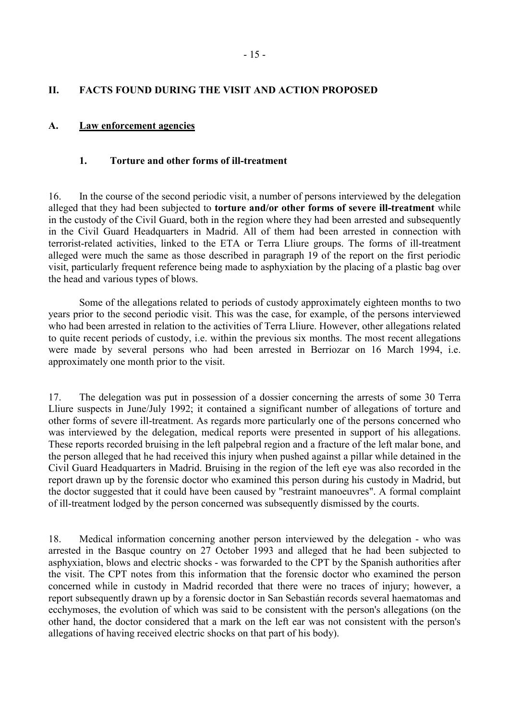#### <span id="page-16-0"></span>**II. FACTS FOUND DURING THE VISIT AND ACTION PROPOSED**

#### **A. Law enforcement agencies**

#### **1. Torture and other forms of ill-treatment**

16. In the course of the second periodic visit, a number of persons interviewed by the delegation alleged that they had been subjected to **torture and/or other forms of severe ill-treatment** while in the custody of the Civil Guard, both in the region where they had been arrested and subsequently in the Civil Guard Headquarters in Madrid. All of them had been arrested in connection with terrorist-related activities, linked to the ETA or Terra Lliure groups. The forms of ill-treatment alleged were much the same as those described in paragraph 19 of the report on the first periodic visit, particularly frequent reference being made to asphyxiation by the placing of a plastic bag over the head and various types of blows.

 Some of the allegations related to periods of custody approximately eighteen months to two years prior to the second periodic visit. This was the case, for example, of the persons interviewed who had been arrested in relation to the activities of Terra Lliure. However, other allegations related to quite recent periods of custody, i.e. within the previous six months. The most recent allegations were made by several persons who had been arrested in Berriozar on 16 March 1994, i.e. approximately one month prior to the visit.

17. The delegation was put in possession of a dossier concerning the arrests of some 30 Terra Lliure suspects in June/July 1992; it contained a significant number of allegations of torture and other forms of severe ill-treatment. As regards more particularly one of the persons concerned who was interviewed by the delegation, medical reports were presented in support of his allegations. These reports recorded bruising in the left palpebral region and a fracture of the left malar bone, and the person alleged that he had received this injury when pushed against a pillar while detained in the Civil Guard Headquarters in Madrid. Bruising in the region of the left eye was also recorded in the report drawn up by the forensic doctor who examined this person during his custody in Madrid, but the doctor suggested that it could have been caused by "restraint manoeuvres". A formal complaint of ill-treatment lodged by the person concerned was subsequently dismissed by the courts.

18. Medical information concerning another person interviewed by the delegation - who was arrested in the Basque country on 27 October 1993 and alleged that he had been subjected to asphyxiation, blows and electric shocks - was forwarded to the CPT by the Spanish authorities after the visit. The CPT notes from this information that the forensic doctor who examined the person concerned while in custody in Madrid recorded that there were no traces of injury; however, a report subsequently drawn up by a forensic doctor in San Sebastián records several haematomas and ecchymoses, the evolution of which was said to be consistent with the person's allegations (on the other hand, the doctor considered that a mark on the left ear was not consistent with the person's allegations of having received electric shocks on that part of his body).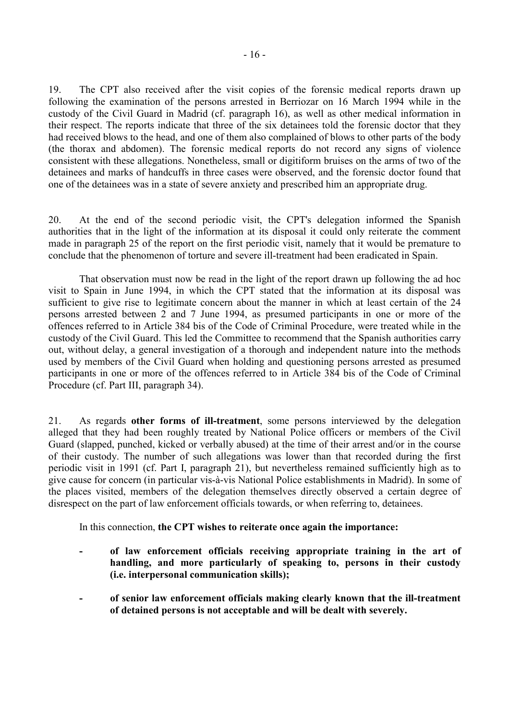19. The CPT also received after the visit copies of the forensic medical reports drawn up following the examination of the persons arrested in Berriozar on 16 March 1994 while in the custody of the Civil Guard in Madrid (cf. paragraph 16), as well as other medical information in their respect. The reports indicate that three of the six detainees told the forensic doctor that they had received blows to the head, and one of them also complained of blows to other parts of the body (the thorax and abdomen). The forensic medical reports do not record any signs of violence consistent with these allegations. Nonetheless, small or digitiform bruises on the arms of two of the detainees and marks of handcuffs in three cases were observed, and the forensic doctor found that one of the detainees was in a state of severe anxiety and prescribed him an appropriate drug.

20. At the end of the second periodic visit, the CPT's delegation informed the Spanish authorities that in the light of the information at its disposal it could only reiterate the comment made in paragraph 25 of the report on the first periodic visit, namely that it would be premature to conclude that the phenomenon of torture and severe ill-treatment had been eradicated in Spain.

 That observation must now be read in the light of the report drawn up following the ad hoc visit to Spain in June 1994, in which the CPT stated that the information at its disposal was sufficient to give rise to legitimate concern about the manner in which at least certain of the 24 persons arrested between 2 and 7 June 1994, as presumed participants in one or more of the offences referred to in Article 384 bis of the Code of Criminal Procedure, were treated while in the custody of the Civil Guard. This led the Committee to recommend that the Spanish authorities carry out, without delay, a general investigation of a thorough and independent nature into the methods used by members of the Civil Guard when holding and questioning persons arrested as presumed participants in one or more of the offences referred to in Article 384 bis of the Code of Criminal Procedure (cf. Part III, paragraph 34).

21. As regards **other forms of ill-treatment**, some persons interviewed by the delegation alleged that they had been roughly treated by National Police officers or members of the Civil Guard (slapped, punched, kicked or verbally abused) at the time of their arrest and/or in the course of their custody. The number of such allegations was lower than that recorded during the first periodic visit in 1991 (cf. Part I, paragraph 21), but nevertheless remained sufficiently high as to give cause for concern (in particular vis-à-vis National Police establishments in Madrid). In some of the places visited, members of the delegation themselves directly observed a certain degree of disrespect on the part of law enforcement officials towards, or when referring to, detainees.

In this connection, **the CPT wishes to reiterate once again the importance:** 

- of law enforcement officials receiving appropriate training in the art of **handling, and more particularly of speaking to, persons in their custody (i.e. interpersonal communication skills);**
- **of senior law enforcement officials making clearly known that the ill-treatment of detained persons is not acceptable and will be dealt with severely.**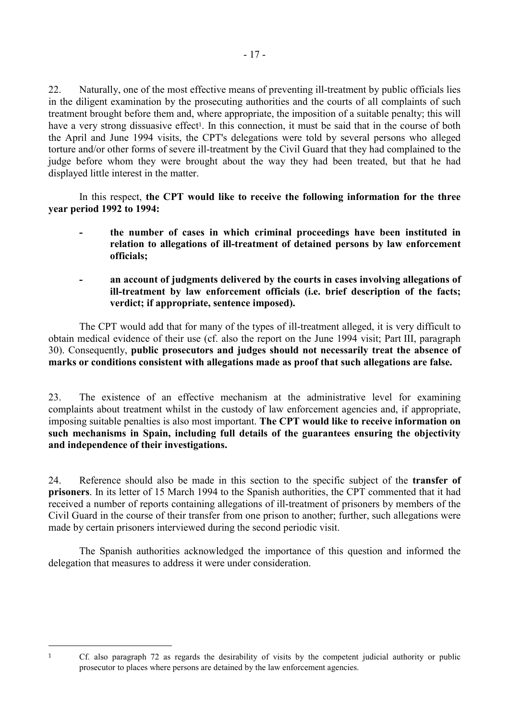22. Naturally, one of the most effective means of preventing ill-treatment by public officials lies in the diligent examination by the prosecuting authorities and the courts of all complaints of such treatment brought before them and, where appropriate, the imposition of a suitable penalty; this will have a very strong dissuasive effect<sup>1</sup>. In this connection, it must be said that in the course of both the April and June 1994 visits, the CPT's delegations were told by several persons who alleged torture and/or other forms of severe ill-treatment by the Civil Guard that they had complained to the judge before whom they were brought about the way they had been treated, but that he had displayed little interest in the matter.

 In this respect, **the CPT would like to receive the following information for the three year period 1992 to 1994:** 

- **the number of cases in which criminal proceedings have been instituted in relation to allegations of ill-treatment of detained persons by law enforcement officials;**
- an account of judgments delivered by the courts in cases involving allegations of **ill-treatment by law enforcement officials (i.e. brief description of the facts; verdict; if appropriate, sentence imposed).**

 The CPT would add that for many of the types of ill-treatment alleged, it is very difficult to obtain medical evidence of their use (cf. also the report on the June 1994 visit; Part III, paragraph 30). Consequently, **public prosecutors and judges should not necessarily treat the absence of marks or conditions consistent with allegations made as proof that such allegations are false.**

23. The existence of an effective mechanism at the administrative level for examining complaints about treatment whilst in the custody of law enforcement agencies and, if appropriate, imposing suitable penalties is also most important. **The CPT would like to receive information on such mechanisms in Spain, including full details of the guarantees ensuring the objectivity and independence of their investigations.**

24. Reference should also be made in this section to the specific subject of the **transfer of prisoners**. In its letter of 15 March 1994 to the Spanish authorities, the CPT commented that it had received a number of reports containing allegations of ill-treatment of prisoners by members of the Civil Guard in the course of their transfer from one prison to another; further, such allegations were made by certain prisoners interviewed during the second periodic visit.

 The Spanish authorities acknowledged the importance of this question and informed the delegation that measures to address it were under consideration.

 $\overline{a}$ 

<sup>1</sup> Cf. also paragraph 72 as regards the desirability of visits by the competent judicial authority or public prosecutor to places where persons are detained by the law enforcement agencies.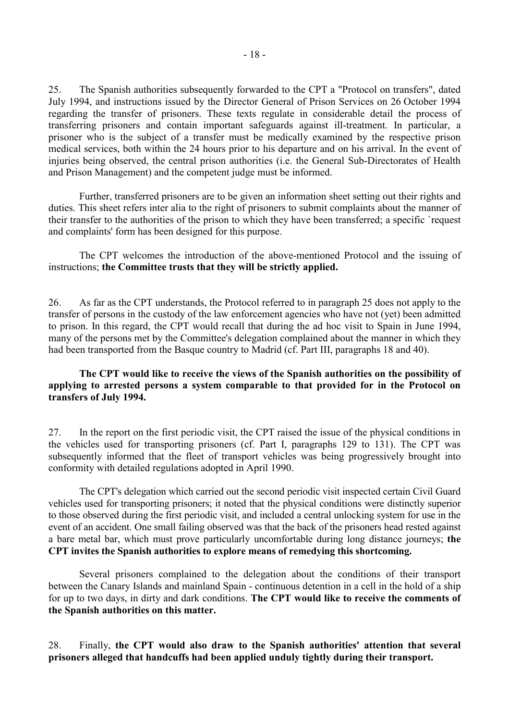25. The Spanish authorities subsequently forwarded to the CPT a "Protocol on transfers", dated July 1994, and instructions issued by the Director General of Prison Services on 26 October 1994 regarding the transfer of prisoners. These texts regulate in considerable detail the process of transferring prisoners and contain important safeguards against ill-treatment. In particular, a prisoner who is the subject of a transfer must be medically examined by the respective prison medical services, both within the 24 hours prior to his departure and on his arrival. In the event of injuries being observed, the central prison authorities (i.e. the General Sub-Directorates of Health and Prison Management) and the competent judge must be informed.

 Further, transferred prisoners are to be given an information sheet setting out their rights and duties. This sheet refers inter alia to the right of prisoners to submit complaints about the manner of their transfer to the authorities of the prison to which they have been transferred; a specific `request and complaints' form has been designed for this purpose.

 The CPT welcomes the introduction of the above-mentioned Protocol and the issuing of instructions; **the Committee trusts that they will be strictly applied.**

26. As far as the CPT understands, the Protocol referred to in paragraph 25 does not apply to the transfer of persons in the custody of the law enforcement agencies who have not (yet) been admitted to prison. In this regard, the CPT would recall that during the ad hoc visit to Spain in June 1994, many of the persons met by the Committee's delegation complained about the manner in which they had been transported from the Basque country to Madrid (cf. Part III, paragraphs 18 and 40).

#### **The CPT would like to receive the views of the Spanish authorities on the possibility of applying to arrested persons a system comparable to that provided for in the Protocol on transfers of July 1994.**

27. In the report on the first periodic visit, the CPT raised the issue of the physical conditions in the vehicles used for transporting prisoners (cf. Part I, paragraphs 129 to 131). The CPT was subsequently informed that the fleet of transport vehicles was being progressively brought into conformity with detailed regulations adopted in April 1990.

 The CPT's delegation which carried out the second periodic visit inspected certain Civil Guard vehicles used for transporting prisoners; it noted that the physical conditions were distinctly superior to those observed during the first periodic visit, and included a central unlocking system for use in the event of an accident. One small failing observed was that the back of the prisoners head rested against a bare metal bar, which must prove particularly uncomfortable during long distance journeys; **the CPT invites the Spanish authorities to explore means of remedying this shortcoming.**

 Several prisoners complained to the delegation about the conditions of their transport between the Canary Islands and mainland Spain - continuous detention in a cell in the hold of a ship for up to two days, in dirty and dark conditions. **The CPT would like to receive the comments of the Spanish authorities on this matter.**

28. Finally, **the CPT would also draw to the Spanish authorities' attention that several prisoners alleged that handcuffs had been applied unduly tightly during their transport.**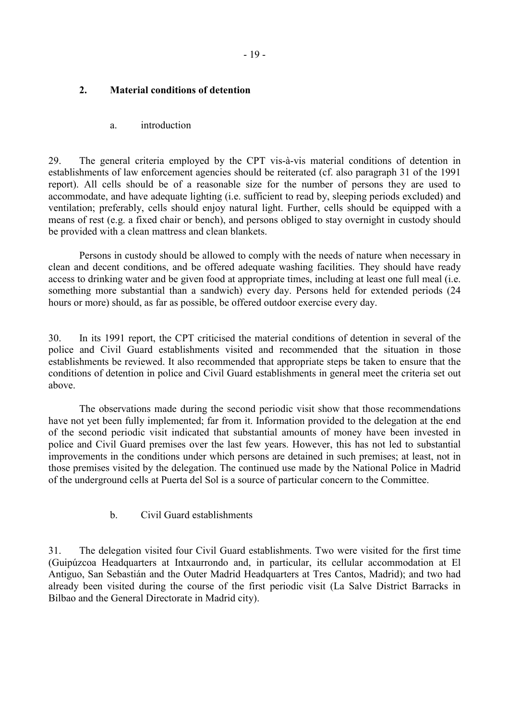#### <span id="page-20-0"></span>**2. Material conditions of detention**

#### a. introduction

29. The general criteria employed by the CPT vis-à-vis material conditions of detention in establishments of law enforcement agencies should be reiterated (cf. also paragraph 31 of the 1991 report). All cells should be of a reasonable size for the number of persons they are used to accommodate, and have adequate lighting (i.e. sufficient to read by, sleeping periods excluded) and ventilation; preferably, cells should enjoy natural light. Further, cells should be equipped with a means of rest (e.g. a fixed chair or bench), and persons obliged to stay overnight in custody should be provided with a clean mattress and clean blankets.

 Persons in custody should be allowed to comply with the needs of nature when necessary in clean and decent conditions, and be offered adequate washing facilities. They should have ready access to drinking water and be given food at appropriate times, including at least one full meal (i.e. something more substantial than a sandwich) every day. Persons held for extended periods (24 hours or more) should, as far as possible, be offered outdoor exercise every day.

30. In its 1991 report, the CPT criticised the material conditions of detention in several of the police and Civil Guard establishments visited and recommended that the situation in those establishments be reviewed. It also recommended that appropriate steps be taken to ensure that the conditions of detention in police and Civil Guard establishments in general meet the criteria set out above.

 The observations made during the second periodic visit show that those recommendations have not yet been fully implemented; far from it. Information provided to the delegation at the end of the second periodic visit indicated that substantial amounts of money have been invested in police and Civil Guard premises over the last few years. However, this has not led to substantial improvements in the conditions under which persons are detained in such premises; at least, not in those premises visited by the delegation. The continued use made by the National Police in Madrid of the underground cells at Puerta del Sol is a source of particular concern to the Committee.

b. Civil Guard establishments

31. The delegation visited four Civil Guard establishments. Two were visited for the first time (Guipúzcoa Headquarters at Intxaurrondo and, in particular, its cellular accommodation at El Antiguo, San Sebastián and the Outer Madrid Headquarters at Tres Cantos, Madrid); and two had already been visited during the course of the first periodic visit (La Salve District Barracks in Bilbao and the General Directorate in Madrid city).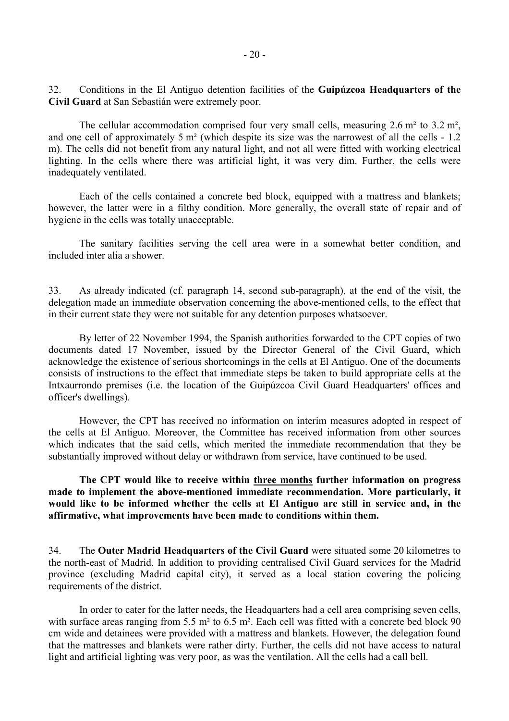32. Conditions in the El Antiguo detention facilities of the **Guipúzcoa Headquarters of the Civil Guard** at San Sebastián were extremely poor.

The cellular accommodation comprised four very small cells, measuring 2.6 m<sup>2</sup> to 3.2 m<sup>2</sup>, and one cell of approximately 5 m<sup>2</sup> (which despite its size was the narrowest of all the cells - 1.2 m). The cells did not benefit from any natural light, and not all were fitted with working electrical lighting. In the cells where there was artificial light, it was very dim. Further, the cells were inadequately ventilated.

 Each of the cells contained a concrete bed block, equipped with a mattress and blankets; however, the latter were in a filthy condition. More generally, the overall state of repair and of hygiene in the cells was totally unacceptable.

 The sanitary facilities serving the cell area were in a somewhat better condition, and included inter alia a shower.

33. As already indicated (cf. paragraph 14, second sub-paragraph), at the end of the visit, the delegation made an immediate observation concerning the above-mentioned cells, to the effect that in their current state they were not suitable for any detention purposes whatsoever.

 By letter of 22 November 1994, the Spanish authorities forwarded to the CPT copies of two documents dated 17 November, issued by the Director General of the Civil Guard, which acknowledge the existence of serious shortcomings in the cells at El Antiguo. One of the documents consists of instructions to the effect that immediate steps be taken to build appropriate cells at the Intxaurrondo premises (i.e. the location of the Guipúzcoa Civil Guard Headquarters' offices and officer's dwellings).

 However, the CPT has received no information on interim measures adopted in respect of the cells at El Antiguo. Moreover, the Committee has received information from other sources which indicates that the said cells, which merited the immediate recommendation that they be substantially improved without delay or withdrawn from service, have continued to be used.

 **The CPT would like to receive within three months further information on progress made to implement the above-mentioned immediate recommendation. More particularly, it would like to be informed whether the cells at El Antiguo are still in service and, in the affirmative, what improvements have been made to conditions within them.**

34. The **Outer Madrid Headquarters of the Civil Guard** were situated some 20 kilometres to the north-east of Madrid. In addition to providing centralised Civil Guard services for the Madrid province (excluding Madrid capital city), it served as a local station covering the policing requirements of the district.

 In order to cater for the latter needs, the Headquarters had a cell area comprising seven cells, with surface areas ranging from 5.5 m<sup>2</sup> to 6.5 m<sup>2</sup>. Each cell was fitted with a concrete bed block 90 cm wide and detainees were provided with a mattress and blankets. However, the delegation found that the mattresses and blankets were rather dirty. Further, the cells did not have access to natural light and artificial lighting was very poor, as was the ventilation. All the cells had a call bell.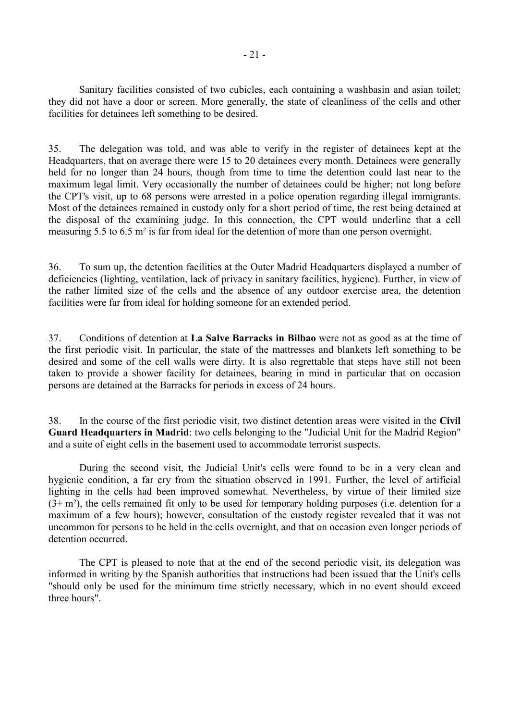Sanitary facilities consisted of two cubicles, each containing a washbasin and asian toilet; they did not have a door or screen. More generally, the state of cleanliness of the cells and other facilities for detainees left something to be desired.

35. The delegation was told, and was able to verify in the register of detainees kept at the Headquarters, that on average there were 15 to 20 detainees every month. Detainees were generally held for no longer than 24 hours, though from time to time the detention could last near to the maximum legal limit. Very occasionally the number of detainees could be higher; not long before the CPT's visit, up to 68 persons were arrested in a police operation regarding illegal immigrants. Most of the detainees remained in custody only for a short period of time, the rest being detained at the disposal of the examining judge. In this connection, the CPT would underline that a cell measuring 5.5 to 6.5 m² is far from ideal for the detention of more than one person overnight.

36. To sum up, the detention facilities at the Outer Madrid Headquarters displayed a number of deficiencies (lighting, ventilation, lack of privacy in sanitary facilities, hygiene). Further, in view of the rather limited size of the cells and the absence of any outdoor exercise area, the detention facilities were far from ideal for holding someone for an extended period.

37. Conditions of detention at **La Salve Barracks in Bilbao** were not as good as at the time of the first periodic visit. In particular, the state of the mattresses and blankets left something to be desired and some of the cell walls were dirty. It is also regrettable that steps have still not been taken to provide a shower facility for detainees, bearing in mind in particular that on occasion persons are detained at the Barracks for periods in excess of 24 hours.

38. In the course of the first periodic visit, two distinct detention areas were visited in the **Civil Guard Headquarters in Madrid**: two cells belonging to the "Judicial Unit for the Madrid Region" and a suite of eight cells in the basement used to accommodate terrorist suspects.

 During the second visit, the Judicial Unit's cells were found to be in a very clean and hygienic condition, a far cry from the situation observed in 1991. Further, the level of artificial lighting in the cells had been improved somewhat. Nevertheless, by virtue of their limited size  $(3+m^2)$ , the cells remained fit only to be used for temporary holding purposes (i.e. detention for a maximum of a few hours); however, consultation of the custody register revealed that it was not uncommon for persons to be held in the cells overnight, and that on occasion even longer periods of detention occurred.

 The CPT is pleased to note that at the end of the second periodic visit, its delegation was informed in writing by the Spanish authorities that instructions had been issued that the Unit's cells "should only be used for the minimum time strictly necessary, which in no event should exceed three hours".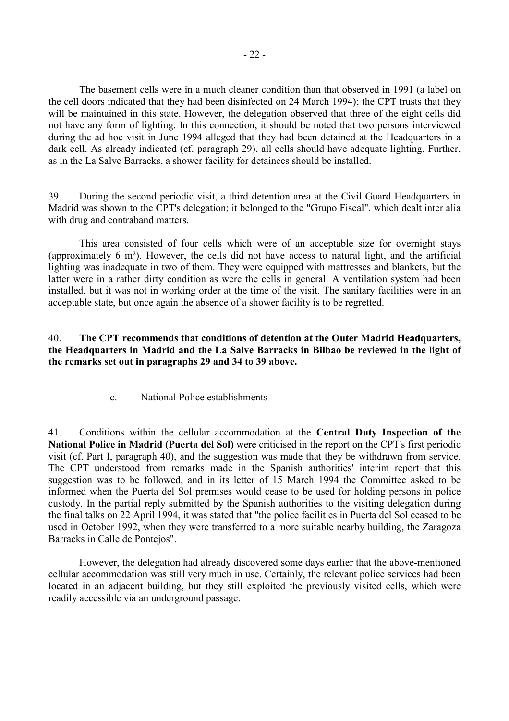<span id="page-23-0"></span> The basement cells were in a much cleaner condition than that observed in 1991 (a label on the cell doors indicated that they had been disinfected on 24 March 1994); the CPT trusts that they will be maintained in this state. However, the delegation observed that three of the eight cells did not have any form of lighting. In this connection, it should be noted that two persons interviewed during the ad hoc visit in June 1994 alleged that they had been detained at the Headquarters in a dark cell. As already indicated (cf. paragraph 29), all cells should have adequate lighting. Further, as in the La Salve Barracks, a shower facility for detainees should be installed.

39. During the second periodic visit, a third detention area at the Civil Guard Headquarters in Madrid was shown to the CPT's delegation; it belonged to the "Grupo Fiscal", which dealt inter alia with drug and contraband matters.

 This area consisted of four cells which were of an acceptable size for overnight stays (approximately 6 m²). However, the cells did not have access to natural light, and the artificial lighting was inadequate in two of them. They were equipped with mattresses and blankets, but the latter were in a rather dirty condition as were the cells in general. A ventilation system had been installed, but it was not in working order at the time of the visit. The sanitary facilities were in an acceptable state, but once again the absence of a shower facility is to be regretted.

#### 40. **The CPT recommends that conditions of detention at the Outer Madrid Headquarters, the Headquarters in Madrid and the La Salve Barracks in Bilbao be reviewed in the light of the remarks set out in paragraphs 29 and 34 to 39 above.**

c. National Police establishments

41. Conditions within the cellular accommodation at the **Central Duty Inspection of the National Police in Madrid (Puerta del Sol)** were criticised in the report on the CPT's first periodic visit (cf. Part I, paragraph 40), and the suggestion was made that they be withdrawn from service. The CPT understood from remarks made in the Spanish authorities' interim report that this suggestion was to be followed, and in its letter of 15 March 1994 the Committee asked to be informed when the Puerta del Sol premises would cease to be used for holding persons in police custody. In the partial reply submitted by the Spanish authorities to the visiting delegation during the final talks on 22 April 1994, it was stated that "the police facilities in Puerta del Sol ceased to be used in October 1992, when they were transferred to a more suitable nearby building, the Zaragoza Barracks in Calle de Pontejos".

 However, the delegation had already discovered some days earlier that the above-mentioned cellular accommodation was still very much in use. Certainly, the relevant police services had been located in an adjacent building, but they still exploited the previously visited cells, which were readily accessible via an underground passage.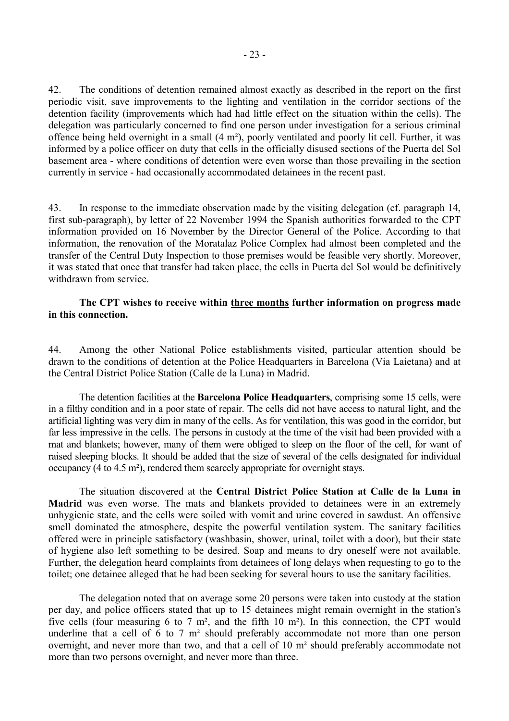42. The conditions of detention remained almost exactly as described in the report on the first periodic visit, save improvements to the lighting and ventilation in the corridor sections of the detention facility (improvements which had had little effect on the situation within the cells). The delegation was particularly concerned to find one person under investigation for a serious criminal offence being held overnight in a small (4 m²), poorly ventilated and poorly lit cell. Further, it was informed by a police officer on duty that cells in the officially disused sections of the Puerta del Sol basement area - where conditions of detention were even worse than those prevailing in the section currently in service - had occasionally accommodated detainees in the recent past.

43. In response to the immediate observation made by the visiting delegation (cf. paragraph 14, first sub-paragraph), by letter of 22 November 1994 the Spanish authorities forwarded to the CPT information provided on 16 November by the Director General of the Police. According to that information, the renovation of the Moratalaz Police Complex had almost been completed and the transfer of the Central Duty Inspection to those premises would be feasible very shortly. Moreover, it was stated that once that transfer had taken place, the cells in Puerta del Sol would be definitively withdrawn from service.

#### **The CPT wishes to receive within three months further information on progress made in this connection.**

44. Among the other National Police establishments visited, particular attention should be drawn to the conditions of detention at the Police Headquarters in Barcelona (Via Laietana) and at the Central District Police Station (Calle de la Luna) in Madrid.

 The detention facilities at the **Barcelona Police Headquarters**, comprising some 15 cells, were in a filthy condition and in a poor state of repair. The cells did not have access to natural light, and the artificial lighting was very dim in many of the cells. As for ventilation, this was good in the corridor, but far less impressive in the cells. The persons in custody at the time of the visit had been provided with a mat and blankets; however, many of them were obliged to sleep on the floor of the cell, for want of raised sleeping blocks. It should be added that the size of several of the cells designated for individual occupancy (4 to 4.5 m²), rendered them scarcely appropriate for overnight stays.

 The situation discovered at the **Central District Police Station at Calle de la Luna in Madrid** was even worse. The mats and blankets provided to detainees were in an extremely unhygienic state, and the cells were soiled with vomit and urine covered in sawdust. An offensive smell dominated the atmosphere, despite the powerful ventilation system. The sanitary facilities offered were in principle satisfactory (washbasin, shower, urinal, toilet with a door), but their state of hygiene also left something to be desired. Soap and means to dry oneself were not available. Further, the delegation heard complaints from detainees of long delays when requesting to go to the toilet; one detainee alleged that he had been seeking for several hours to use the sanitary facilities.

 The delegation noted that on average some 20 persons were taken into custody at the station per day, and police officers stated that up to 15 detainees might remain overnight in the station's five cells (four measuring 6 to 7  $m^2$ , and the fifth 10  $m^2$ ). In this connection, the CPT would underline that a cell of 6 to 7 m² should preferably accommodate not more than one person overnight, and never more than two, and that a cell of 10 m² should preferably accommodate not more than two persons overnight, and never more than three.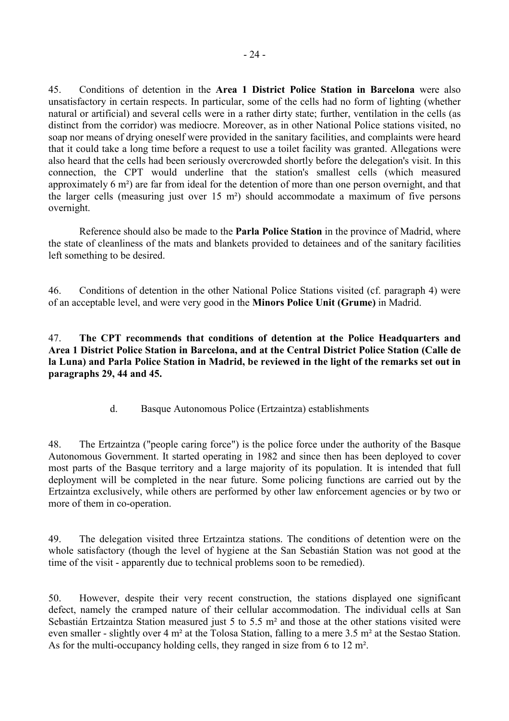<span id="page-25-0"></span>45. Conditions of detention in the **Area 1 District Police Station in Barcelona** were also unsatisfactory in certain respects. In particular, some of the cells had no form of lighting (whether natural or artificial) and several cells were in a rather dirty state; further, ventilation in the cells (as distinct from the corridor) was mediocre. Moreover, as in other National Police stations visited, no soap nor means of drying oneself were provided in the sanitary facilities, and complaints were heard that it could take a long time before a request to use a toilet facility was granted. Allegations were also heard that the cells had been seriously overcrowded shortly before the delegation's visit. In this connection, the CPT would underline that the station's smallest cells (which measured approximately 6 m²) are far from ideal for the detention of more than one person overnight, and that the larger cells (measuring just over 15 m²) should accommodate a maximum of five persons overnight.

 Reference should also be made to the **Parla Police Station** in the province of Madrid, where the state of cleanliness of the mats and blankets provided to detainees and of the sanitary facilities left something to be desired.

46. Conditions of detention in the other National Police Stations visited (cf. paragraph 4) were of an acceptable level, and were very good in the **Minors Police Unit (Grume)** in Madrid.

47. **The CPT recommends that conditions of detention at the Police Headquarters and Area 1 District Police Station in Barcelona, and at the Central District Police Station (Calle de la Luna) and Parla Police Station in Madrid, be reviewed in the light of the remarks set out in paragraphs 29, 44 and 45.**

d. Basque Autonomous Police (Ertzaintza) establishments

48. The Ertzaintza ("people caring force") is the police force under the authority of the Basque Autonomous Government. It started operating in 1982 and since then has been deployed to cover most parts of the Basque territory and a large majority of its population. It is intended that full deployment will be completed in the near future. Some policing functions are carried out by the Ertzaintza exclusively, while others are performed by other law enforcement agencies or by two or more of them in co-operation.

49. The delegation visited three Ertzaintza stations. The conditions of detention were on the whole satisfactory (though the level of hygiene at the San Sebastián Station was not good at the time of the visit - apparently due to technical problems soon to be remedied).

50. However, despite their very recent construction, the stations displayed one significant defect, namely the cramped nature of their cellular accommodation. The individual cells at San Sebastián Ertzaintza Station measured just 5 to 5.5 m² and those at the other stations visited were even smaller - slightly over 4 m² at the Tolosa Station, falling to a mere 3.5 m² at the Sestao Station. As for the multi-occupancy holding cells, they ranged in size from 6 to 12 m².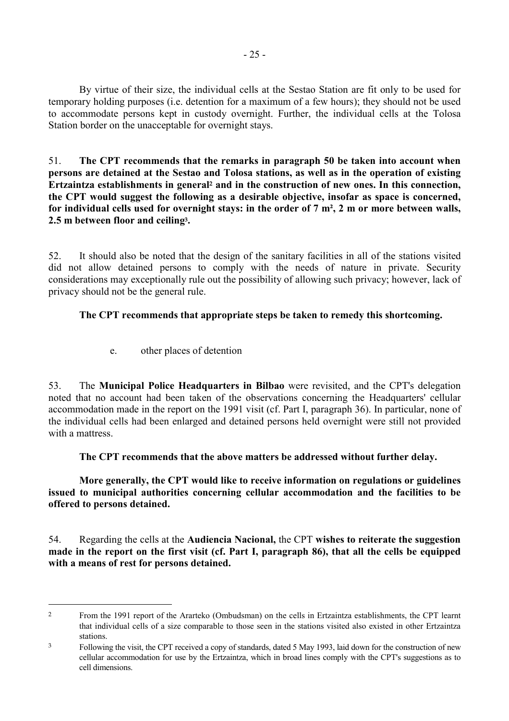<span id="page-26-0"></span> By virtue of their size, the individual cells at the Sestao Station are fit only to be used for temporary holding purposes (i.e. detention for a maximum of a few hours); they should not be used to accommodate persons kept in custody overnight. Further, the individual cells at the Tolosa Station border on the unacceptable for overnight stays.

51. **The CPT recommends that the remarks in paragraph 50 be taken into account when persons are detained at the Sestao and Tolosa stations, as well as in the operation of existing Ertzaintza establishments in general2 and in the construction of new ones. In this connection, the CPT would suggest the following as a desirable objective, insofar as space is concerned, for individual cells used for overnight stays: in the order of 7 m², 2 m or more between walls, 2.5 m between floor and ceiling3.**

52. It should also be noted that the design of the sanitary facilities in all of the stations visited did not allow detained persons to comply with the needs of nature in private. Security considerations may exceptionally rule out the possibility of allowing such privacy; however, lack of privacy should not be the general rule.

# **The CPT recommends that appropriate steps be taken to remedy this shortcoming.**

e. other places of detention

 $\overline{a}$ 

53. The **Municipal Police Headquarters in Bilbao** were revisited, and the CPT's delegation noted that no account had been taken of the observations concerning the Headquarters' cellular accommodation made in the report on the 1991 visit (cf. Part I, paragraph 36). In particular, none of the individual cells had been enlarged and detained persons held overnight were still not provided with a mattress.

 **The CPT recommends that the above matters be addressed without further delay.** 

 **More generally, the CPT would like to receive information on regulations or guidelines issued to municipal authorities concerning cellular accommodation and the facilities to be offered to persons detained.**

54. Regarding the cells at the **Audiencia Nacional,** the CPT **wishes to reiterate the suggestion made in the report on the first visit (cf. Part I, paragraph 86), that all the cells be equipped with a means of rest for persons detained.**

<sup>&</sup>lt;sup>2</sup> From the 1991 report of the Ararteko (Ombudsman) on the cells in Ertzaintza establishments, the CPT learnt that individual cells of a size comparable to those seen in the stations visited also existed in other Ertzaintza stations.

<sup>3</sup> Following the visit, the CPT received a copy of standards, dated 5 May 1993, laid down for the construction of new cellular accommodation for use by the Ertzaintza, which in broad lines comply with the CPT's suggestions as to cell dimensions.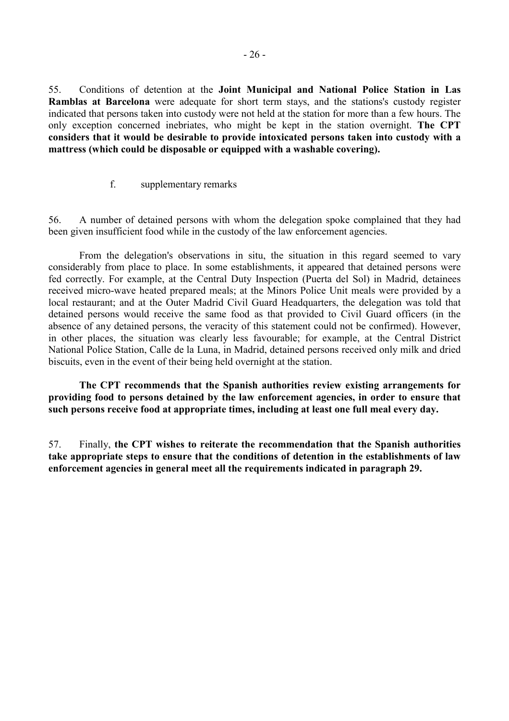<span id="page-27-0"></span>55. Conditions of detention at the **Joint Municipal and National Police Station in Las Ramblas at Barcelona** were adequate for short term stays, and the stations's custody register indicated that persons taken into custody were not held at the station for more than a few hours. The only exception concerned inebriates, who might be kept in the station overnight. **The CPT considers that it would be desirable to provide intoxicated persons taken into custody with a mattress (which could be disposable or equipped with a washable covering).**

f. supplementary remarks

56. A number of detained persons with whom the delegation spoke complained that they had been given insufficient food while in the custody of the law enforcement agencies.

 From the delegation's observations in situ, the situation in this regard seemed to vary considerably from place to place. In some establishments, it appeared that detained persons were fed correctly. For example, at the Central Duty Inspection (Puerta del Sol) in Madrid, detainees received micro-wave heated prepared meals; at the Minors Police Unit meals were provided by a local restaurant; and at the Outer Madrid Civil Guard Headquarters, the delegation was told that detained persons would receive the same food as that provided to Civil Guard officers (in the absence of any detained persons, the veracity of this statement could not be confirmed). However, in other places, the situation was clearly less favourable; for example, at the Central District National Police Station, Calle de la Luna, in Madrid, detained persons received only milk and dried biscuits, even in the event of their being held overnight at the station.

 **The CPT recommends that the Spanish authorities review existing arrangements for providing food to persons detained by the law enforcement agencies, in order to ensure that such persons receive food at appropriate times, including at least one full meal every day.**

57. Finally, **the CPT wishes to reiterate the recommendation that the Spanish authorities take appropriate steps to ensure that the conditions of detention in the establishments of law enforcement agencies in general meet all the requirements indicated in paragraph 29.**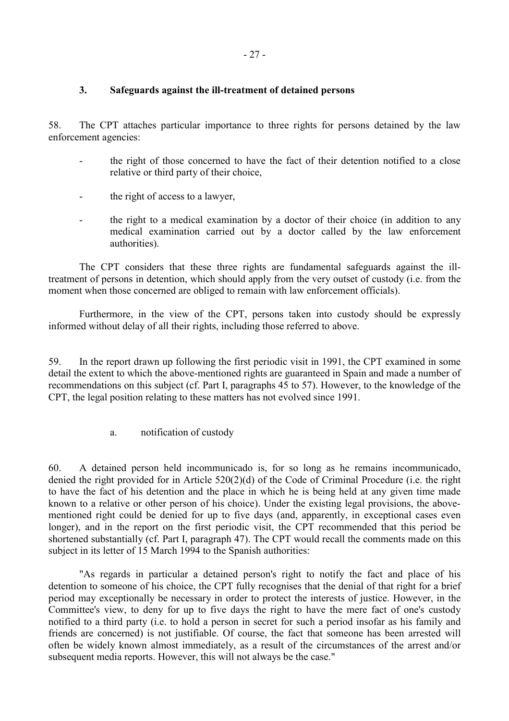#### <span id="page-28-0"></span>**3. Safeguards against the ill-treatment of detained persons**

58. The CPT attaches particular importance to three rights for persons detained by the law enforcement agencies:

- the right of those concerned to have the fact of their detention notified to a close relative or third party of their choice,
- the right of access to a lawyer,
- the right to a medical examination by a doctor of their choice (in addition to any medical examination carried out by a doctor called by the law enforcement authorities).

 The CPT considers that these three rights are fundamental safeguards against the illtreatment of persons in detention, which should apply from the very outset of custody (i.e. from the moment when those concerned are obliged to remain with law enforcement officials).

 Furthermore, in the view of the CPT, persons taken into custody should be expressly informed without delay of all their rights, including those referred to above.

59. In the report drawn up following the first periodic visit in 1991, the CPT examined in some detail the extent to which the above-mentioned rights are guaranteed in Spain and made a number of recommendations on this subject (cf. Part I, paragraphs 45 to 57). However, to the knowledge of the CPT, the legal position relating to these matters has not evolved since 1991.

a. notification of custody

60. A detained person held incommunicado is, for so long as he remains incommunicado, denied the right provided for in Article 520(2)(d) of the Code of Criminal Procedure (i.e. the right to have the fact of his detention and the place in which he is being held at any given time made known to a relative or other person of his choice). Under the existing legal provisions, the abovementioned right could be denied for up to five days (and, apparently, in exceptional cases even longer), and in the report on the first periodic visit, the CPT recommended that this period be shortened substantially (cf. Part I, paragraph 47). The CPT would recall the comments made on this subject in its letter of 15 March 1994 to the Spanish authorities:

 "As regards in particular a detained person's right to notify the fact and place of his detention to someone of his choice, the CPT fully recognises that the denial of that right for a brief period may exceptionally be necessary in order to protect the interests of justice. However, in the Committee's view, to deny for up to five days the right to have the mere fact of one's custody notified to a third party (i.e. to hold a person in secret for such a period insofar as his family and friends are concerned) is not justifiable. Of course, the fact that someone has been arrested will often be widely known almost immediately, as a result of the circumstances of the arrest and/or subsequent media reports. However, this will not always be the case."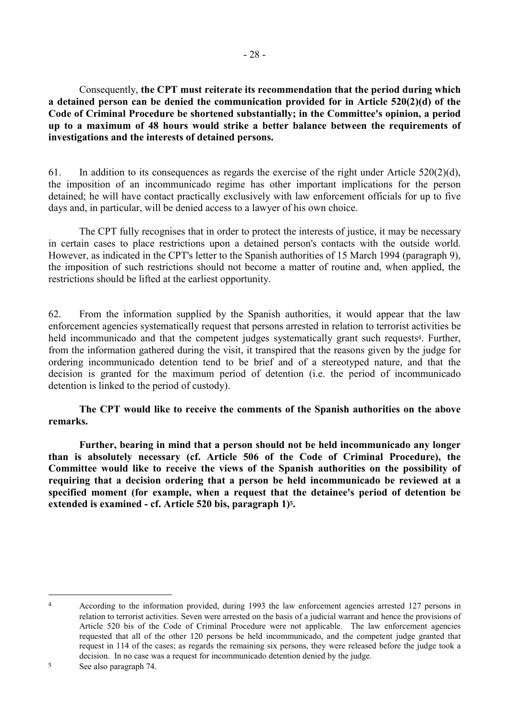Consequently, **the CPT must reiterate its recommendation that the period during which a detained person can be denied the communication provided for in Article 520(2)(d) of the Code of Criminal Procedure be shortened substantially; in the Committee's opinion, a period up to a maximum of 48 hours would strike a better balance between the requirements of investigations and the interests of detained persons.**

61. In addition to its consequences as regards the exercise of the right under Article  $520(2)(d)$ , the imposition of an incommunicado regime has other important implications for the person detained; he will have contact practically exclusively with law enforcement officials for up to five days and, in particular, will be denied access to a lawyer of his own choice.

 The CPT fully recognises that in order to protect the interests of justice, it may be necessary in certain cases to place restrictions upon a detained person's contacts with the outside world. However, as indicated in the CPT's letter to the Spanish authorities of 15 March 1994 (paragraph 9), the imposition of such restrictions should not become a matter of routine and, when applied, the restrictions should be lifted at the earliest opportunity.

62. From the information supplied by the Spanish authorities, it would appear that the law enforcement agencies systematically request that persons arrested in relation to terrorist activities be held incommunicado and that the competent judges systematically grant such requests<sup>4</sup>. Further, from the information gathered during the visit, it transpired that the reasons given by the judge for ordering incommunicado detention tend to be brief and of a stereotyped nature, and that the decision is granted for the maximum period of detention (i.e. the period of incommunicado detention is linked to the period of custody).

 **The CPT would like to receive the comments of the Spanish authorities on the above remarks.** 

 **Further, bearing in mind that a person should not be held incommunicado any longer than is absolutely necessary (cf. Article 506 of the Code of Criminal Procedure), the Committee would like to receive the views of the Spanish authorities on the possibility of requiring that a decision ordering that a person be held incommunicado be reviewed at a specified moment (for example, when a request that the detainee's period of detention be extended is examined - cf. Article 520 bis, paragraph 1)5.** 

 $\overline{a}$ 

<sup>4</sup> According to the information provided, during 1993 the law enforcement agencies arrested 127 persons in relation to terrorist activities. Seven were arrested on the basis of a judicial warrant and hence the provisions of Article 520 bis of the Code of Criminal Procedure were not applicable. The law enforcement agencies requested that all of the other 120 persons be held incommunicado, and the competent judge granted that request in 114 of the cases; as regards the remaining six persons, they were released before the judge took a decision. In no case was a request for incommunicado detention denied by the judge.

<sup>5</sup> See also paragraph 74.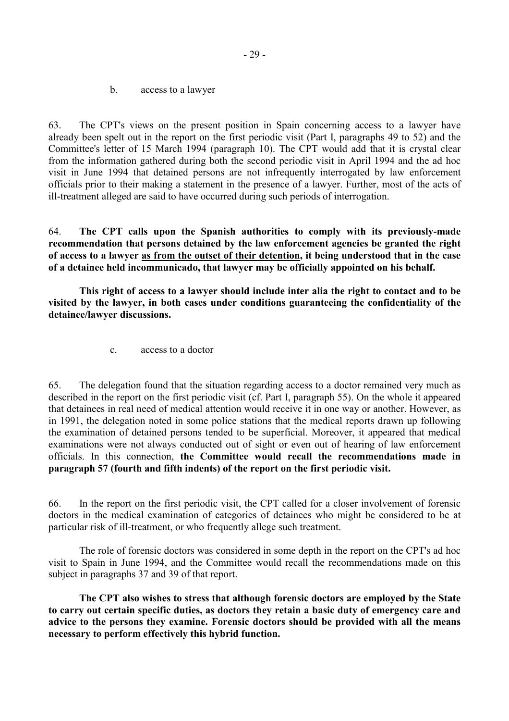b. access to a lawyer

<span id="page-30-0"></span>63. The CPT's views on the present position in Spain concerning access to a lawyer have already been spelt out in the report on the first periodic visit (Part I, paragraphs 49 to 52) and the Committee's letter of 15 March 1994 (paragraph 10). The CPT would add that it is crystal clear from the information gathered during both the second periodic visit in April 1994 and the ad hoc visit in June 1994 that detained persons are not infrequently interrogated by law enforcement officials prior to their making a statement in the presence of a lawyer. Further, most of the acts of ill-treatment alleged are said to have occurred during such periods of interrogation.

64. **The CPT calls upon the Spanish authorities to comply with its previously-made recommendation that persons detained by the law enforcement agencies be granted the right of access to a lawyer as from the outset of their detention, it being understood that in the case of a detainee held incommunicado, that lawyer may be officially appointed on his behalf.** 

 **This right of access to a lawyer should include inter alia the right to contact and to be visited by the lawyer, in both cases under conditions guaranteeing the confidentiality of the detainee/lawyer discussions.**

c. access to a doctor

65. The delegation found that the situation regarding access to a doctor remained very much as described in the report on the first periodic visit (cf. Part I, paragraph 55). On the whole it appeared that detainees in real need of medical attention would receive it in one way or another. However, as in 1991, the delegation noted in some police stations that the medical reports drawn up following the examination of detained persons tended to be superficial. Moreover, it appeared that medical examinations were not always conducted out of sight or even out of hearing of law enforcement officials. In this connection, **the Committee would recall the recommendations made in paragraph 57 (fourth and fifth indents) of the report on the first periodic visit.** 

66. In the report on the first periodic visit, the CPT called for a closer involvement of forensic doctors in the medical examination of categories of detainees who might be considered to be at particular risk of ill-treatment, or who frequently allege such treatment.

 The role of forensic doctors was considered in some depth in the report on the CPT's ad hoc visit to Spain in June 1994, and the Committee would recall the recommendations made on this subject in paragraphs 37 and 39 of that report.

 **The CPT also wishes to stress that although forensic doctors are employed by the State to carry out certain specific duties, as doctors they retain a basic duty of emergency care and advice to the persons they examine. Forensic doctors should be provided with all the means necessary to perform effectively this hybrid function.**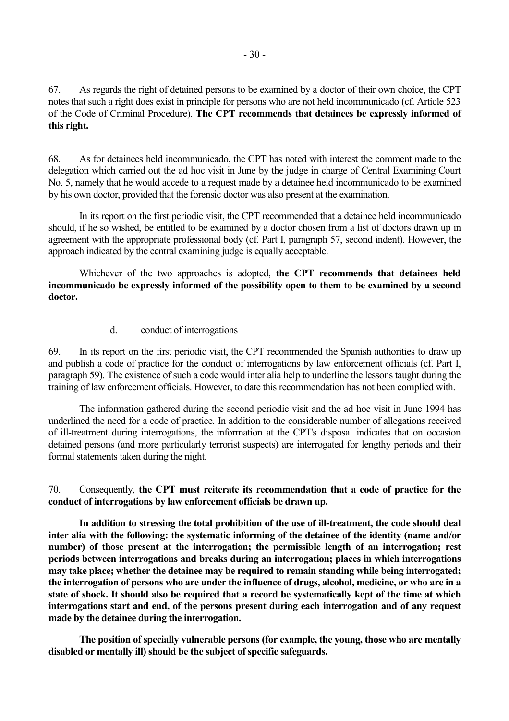<span id="page-31-0"></span>67. As regards the right of detained persons to be examined by a doctor of their own choice, the CPT notes that such a right does exist in principle for persons who are not held incommunicado (cf. Article 523 of the Code of Criminal Procedure). **The CPT recommends that detainees be expressly informed of this right.**

68. As for detainees held incommunicado, the CPT has noted with interest the comment made to the delegation which carried out the ad hoc visit in June by the judge in charge of Central Examining Court No. 5, namely that he would accede to a request made by a detainee held incommunicado to be examined by his own doctor, provided that the forensic doctor was also present at the examination.

 In its report on the first periodic visit, the CPT recommended that a detainee held incommunicado should, if he so wished, be entitled to be examined by a doctor chosen from a list of doctors drawn up in agreement with the appropriate professional body (cf. Part I, paragraph 57, second indent). However, the approach indicated by the central examining judge is equally acceptable.

 Whichever of the two approaches is adopted, **the CPT recommends that detainees held incommunicado be expressly informed of the possibility open to them to be examined by a second doctor.**

#### d. conduct of interrogations

69. In its report on the first periodic visit, the CPT recommended the Spanish authorities to draw up and publish a code of practice for the conduct of interrogations by law enforcement officials (cf. Part I, paragraph 59). The existence of such a code would inter alia help to underline the lessons taught during the training of law enforcement officials. However, to date this recommendation has not been complied with.

 The information gathered during the second periodic visit and the ad hoc visit in June 1994 has underlined the need for a code of practice. In addition to the considerable number of allegations received of ill-treatment during interrogations, the information at the CPT's disposal indicates that on occasion detained persons (and more particularly terrorist suspects) are interrogated for lengthy periods and their formal statements taken during the night.

70. Consequently, **the CPT must reiterate its recommendation that a code of practice for the conduct of interrogations by law enforcement officials be drawn up.**

 **In addition to stressing the total prohibition of the use of ill-treatment, the code should deal inter alia with the following: the systematic informing of the detainee of the identity (name and/or number) of those present at the interrogation; the permissible length of an interrogation; rest periods between interrogations and breaks during an interrogation; places in which interrogations may take place; whether the detainee may be required to remain standing while being interrogated; the interrogation of persons who are under the influence of drugs, alcohol, medicine, or who are in a state of shock. It should also be required that a record be systematically kept of the time at which interrogations start and end, of the persons present during each interrogation and of any request made by the detainee during the interrogation.**

 **The position of specially vulnerable persons (for example, the young, those who are mentally disabled or mentally ill) should be the subject of specific safeguards.**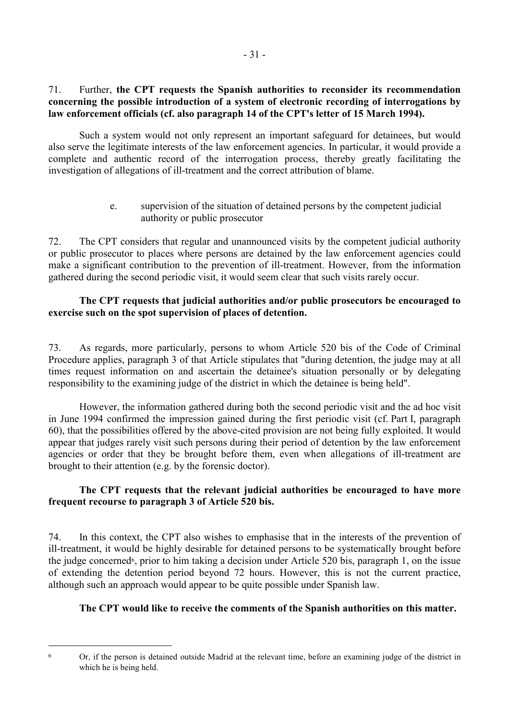#### <span id="page-32-0"></span>71. Further, **the CPT requests the Spanish authorities to reconsider its recommendation concerning the possible introduction of a system of electronic recording of interrogations by law enforcement officials (cf. also paragraph 14 of the CPT's letter of 15 March 1994).**

 Such a system would not only represent an important safeguard for detainees, but would also serve the legitimate interests of the law enforcement agencies. In particular, it would provide a complete and authentic record of the interrogation process, thereby greatly facilitating the investigation of allegations of ill-treatment and the correct attribution of blame.

> e. supervision of the situation of detained persons by the competent judicial authority or public prosecutor

72. The CPT considers that regular and unannounced visits by the competent judicial authority or public prosecutor to places where persons are detained by the law enforcement agencies could make a significant contribution to the prevention of ill-treatment. However, from the information gathered during the second periodic visit, it would seem clear that such visits rarely occur.

#### **The CPT requests that judicial authorities and/or public prosecutors be encouraged to exercise such on the spot supervision of places of detention.**

73. As regards, more particularly, persons to whom Article 520 bis of the Code of Criminal Procedure applies, paragraph 3 of that Article stipulates that "during detention, the judge may at all times request information on and ascertain the detainee's situation personally or by delegating responsibility to the examining judge of the district in which the detainee is being held".

 However, the information gathered during both the second periodic visit and the ad hoc visit in June 1994 confirmed the impression gained during the first periodic visit (cf. Part I, paragraph 60), that the possibilities offered by the above-cited provision are not being fully exploited. It would appear that judges rarely visit such persons during their period of detention by the law enforcement agencies or order that they be brought before them, even when allegations of ill-treatment are brought to their attention (e.g. by the forensic doctor).

# **The CPT requests that the relevant judicial authorities be encouraged to have more frequent recourse to paragraph 3 of Article 520 bis.**

74. In this context, the CPT also wishes to emphasise that in the interests of the prevention of ill-treatment, it would be highly desirable for detained persons to be systematically brought before the judge concerned<sup>6</sup>, prior to him taking a decision under Article 520 bis, paragraph 1, on the issue of extending the detention period beyond 72 hours. However, this is not the current practice, although such an approach would appear to be quite possible under Spanish law.

# **The CPT would like to receive the comments of the Spanish authorities on this matter.**

 $\overline{a}$ 

<sup>6</sup> Or, if the person is detained outside Madrid at the relevant time, before an examining judge of the district in which he is being held.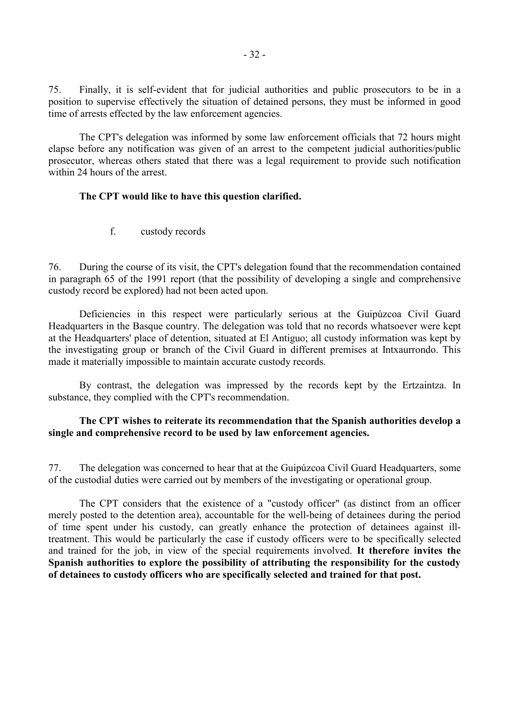<span id="page-33-0"></span>75. Finally, it is self-evident that for judicial authorities and public prosecutors to be in a position to supervise effectively the situation of detained persons, they must be informed in good time of arrests effected by the law enforcement agencies.

 The CPT's delegation was informed by some law enforcement officials that 72 hours might elapse before any notification was given of an arrest to the competent judicial authorities/public prosecutor, whereas others stated that there was a legal requirement to provide such notification within 24 hours of the arrest.

#### **The CPT would like to have this question clarified.**

f. custody records

76. During the course of its visit, the CPT's delegation found that the recommendation contained in paragraph 65 of the 1991 report (that the possibility of developing a single and comprehensive custody record be explored) had not been acted upon.

 Deficiencies in this respect were particularly serious at the Guipúzcoa Civil Guard Headquarters in the Basque country. The delegation was told that no records whatsoever were kept at the Headquarters' place of detention, situated at El Antiguo; all custody information was kept by the investigating group or branch of the Civil Guard in different premises at Intxaurrondo. This made it materially impossible to maintain accurate custody records.

 By contrast, the delegation was impressed by the records kept by the Ertzaintza. In substance, they complied with the CPT's recommendation.

#### **The CPT wishes to reiterate its recommendation that the Spanish authorities develop a single and comprehensive record to be used by law enforcement agencies.**

77. The delegation was concerned to hear that at the Guipúzcoa Civil Guard Headquarters, some of the custodial duties were carried out by members of the investigating or operational group.

 The CPT considers that the existence of a "custody officer" (as distinct from an officer merely posted to the detention area), accountable for the well-being of detainees during the period of time spent under his custody, can greatly enhance the protection of detainees against illtreatment. This would be particularly the case if custody officers were to be specifically selected and trained for the job, in view of the special requirements involved. **It therefore invites the Spanish authorities to explore the possibility of attributing the responsibility for the custody of detainees to custody officers who are specifically selected and trained for that post.**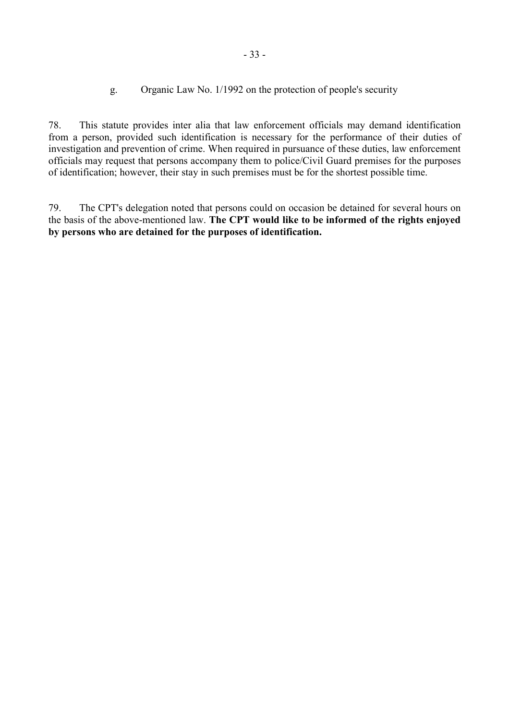g. Organic Law No. 1/1992 on the protection of people's security

<span id="page-34-0"></span>78. This statute provides inter alia that law enforcement officials may demand identification from a person, provided such identification is necessary for the performance of their duties of investigation and prevention of crime. When required in pursuance of these duties, law enforcement officials may request that persons accompany them to police/Civil Guard premises for the purposes of identification; however, their stay in such premises must be for the shortest possible time.

79. The CPT's delegation noted that persons could on occasion be detained for several hours on the basis of the above-mentioned law. **The CPT would like to be informed of the rights enjoyed by persons who are detained for the purposes of identification.**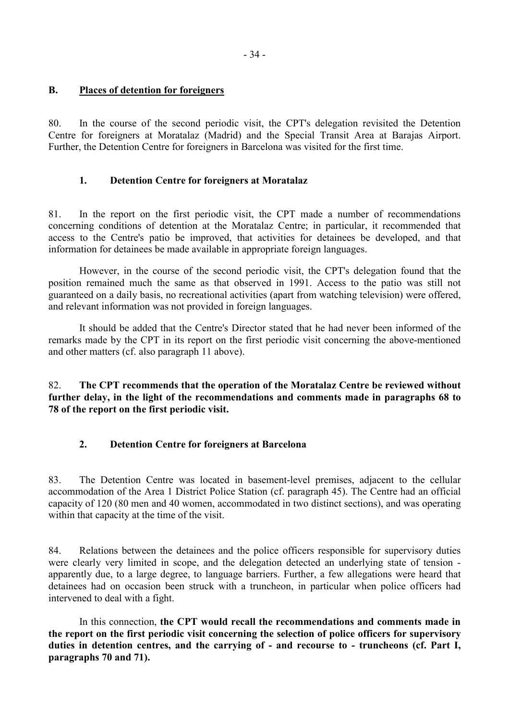#### <span id="page-35-0"></span>**B. Places of detention for foreigners**

80. In the course of the second periodic visit, the CPT's delegation revisited the Detention Centre for foreigners at Moratalaz (Madrid) and the Special Transit Area at Barajas Airport. Further, the Detention Centre for foreigners in Barcelona was visited for the first time.

#### **1. Detention Centre for foreigners at Moratalaz**

81. In the report on the first periodic visit, the CPT made a number of recommendations concerning conditions of detention at the Moratalaz Centre; in particular, it recommended that access to the Centre's patio be improved, that activities for detainees be developed, and that information for detainees be made available in appropriate foreign languages.

 However, in the course of the second periodic visit, the CPT's delegation found that the position remained much the same as that observed in 1991. Access to the patio was still not guaranteed on a daily basis, no recreational activities (apart from watching television) were offered, and relevant information was not provided in foreign languages.

 It should be added that the Centre's Director stated that he had never been informed of the remarks made by the CPT in its report on the first periodic visit concerning the above-mentioned and other matters (cf. also paragraph 11 above).

82. **The CPT recommends that the operation of the Moratalaz Centre be reviewed without further delay, in the light of the recommendations and comments made in paragraphs 68 to 78 of the report on the first periodic visit.**

#### **2. Detention Centre for foreigners at Barcelona**

83. The Detention Centre was located in basement-level premises, adjacent to the cellular accommodation of the Area 1 District Police Station (cf. paragraph 45). The Centre had an official capacity of 120 (80 men and 40 women, accommodated in two distinct sections), and was operating within that capacity at the time of the visit.

84. Relations between the detainees and the police officers responsible for supervisory duties were clearly very limited in scope, and the delegation detected an underlying state of tension apparently due, to a large degree, to language barriers. Further, a few allegations were heard that detainees had on occasion been struck with a truncheon, in particular when police officers had intervened to deal with a fight.

 In this connection, **the CPT would recall the recommendations and comments made in the report on the first periodic visit concerning the selection of police officers for supervisory duties in detention centres, and the carrying of - and recourse to - truncheons (cf. Part I, paragraphs 70 and 71).**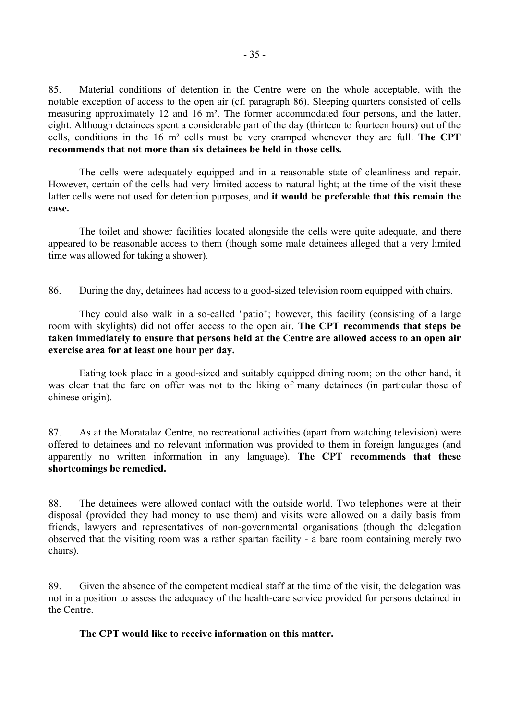85. Material conditions of detention in the Centre were on the whole acceptable, with the notable exception of access to the open air (cf. paragraph 86). Sleeping quarters consisted of cells measuring approximately 12 and 16 m². The former accommodated four persons, and the latter, eight. Although detainees spent a considerable part of the day (thirteen to fourteen hours) out of the cells, conditions in the 16 m² cells must be very cramped whenever they are full. **The CPT recommends that not more than six detainees be held in those cells.**

 The cells were adequately equipped and in a reasonable state of cleanliness and repair. However, certain of the cells had very limited access to natural light; at the time of the visit these latter cells were not used for detention purposes, and **it would be preferable that this remain the case.**

 The toilet and shower facilities located alongside the cells were quite adequate, and there appeared to be reasonable access to them (though some male detainees alleged that a very limited time was allowed for taking a shower).

86. During the day, detainees had access to a good-sized television room equipped with chairs.

 They could also walk in a so-called "patio"; however, this facility (consisting of a large room with skylights) did not offer access to the open air. **The CPT recommends that steps be taken immediately to ensure that persons held at the Centre are allowed access to an open air exercise area for at least one hour per day.**

 Eating took place in a good-sized and suitably equipped dining room; on the other hand, it was clear that the fare on offer was not to the liking of many detainees (in particular those of chinese origin).

87. As at the Moratalaz Centre, no recreational activities (apart from watching television) were offered to detainees and no relevant information was provided to them in foreign languages (and apparently no written information in any language). **The CPT recommends that these shortcomings be remedied.**

88. The detainees were allowed contact with the outside world. Two telephones were at their disposal (provided they had money to use them) and visits were allowed on a daily basis from friends, lawyers and representatives of non-governmental organisations (though the delegation observed that the visiting room was a rather spartan facility - a bare room containing merely two chairs).

89. Given the absence of the competent medical staff at the time of the visit, the delegation was not in a position to assess the adequacy of the health-care service provided for persons detained in the Centre.

#### **The CPT would like to receive information on this matter.**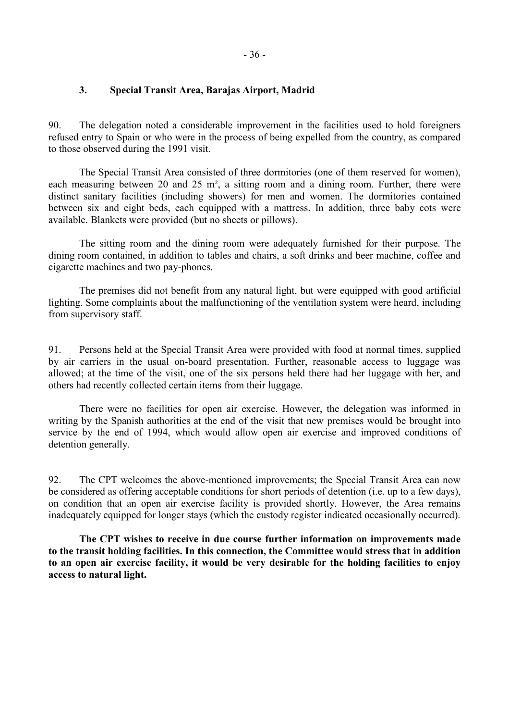### **3. Special Transit Area, Barajas Airport, Madrid**

90. The delegation noted a considerable improvement in the facilities used to hold foreigners refused entry to Spain or who were in the process of being expelled from the country, as compared to those observed during the 1991 visit.

 The Special Transit Area consisted of three dormitories (one of them reserved for women), each measuring between 20 and 25 m<sup>2</sup>, a sitting room and a dining room. Further, there were distinct sanitary facilities (including showers) for men and women. The dormitories contained between six and eight beds, each equipped with a mattress. In addition, three baby cots were available. Blankets were provided (but no sheets or pillows).

 The sitting room and the dining room were adequately furnished for their purpose. The dining room contained, in addition to tables and chairs, a soft drinks and beer machine, coffee and cigarette machines and two pay-phones.

 The premises did not benefit from any natural light, but were equipped with good artificial lighting. Some complaints about the malfunctioning of the ventilation system were heard, including from supervisory staff.

91. Persons held at the Special Transit Area were provided with food at normal times, supplied by air carriers in the usual on-board presentation. Further, reasonable access to luggage was allowed; at the time of the visit, one of the six persons held there had her luggage with her, and others had recently collected certain items from their luggage.

 There were no facilities for open air exercise. However, the delegation was informed in writing by the Spanish authorities at the end of the visit that new premises would be brought into service by the end of 1994, which would allow open air exercise and improved conditions of detention generally.

92. The CPT welcomes the above-mentioned improvements; the Special Transit Area can now be considered as offering acceptable conditions for short periods of detention (i.e. up to a few days), on condition that an open air exercise facility is provided shortly. However, the Area remains inadequately equipped for longer stays (which the custody register indicated occasionally occurred).

 **The CPT wishes to receive in due course further information on improvements made to the transit holding facilities. In this connection, the Committee would stress that in addition to an open air exercise facility, it would be very desirable for the holding facilities to enjoy access to natural light.**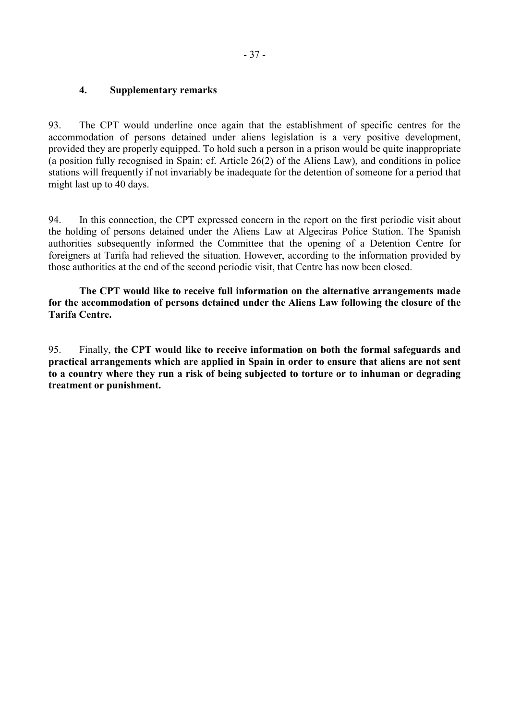## **4. Supplementary remarks**

93. The CPT would underline once again that the establishment of specific centres for the accommodation of persons detained under aliens legislation is a very positive development, provided they are properly equipped. To hold such a person in a prison would be quite inappropriate (a position fully recognised in Spain; cf. Article 26(2) of the Aliens Law), and conditions in police stations will frequently if not invariably be inadequate for the detention of someone for a period that might last up to 40 days.

94. In this connection, the CPT expressed concern in the report on the first periodic visit about the holding of persons detained under the Aliens Law at Algeciras Police Station. The Spanish authorities subsequently informed the Committee that the opening of a Detention Centre for foreigners at Tarifa had relieved the situation. However, according to the information provided by those authorities at the end of the second periodic visit, that Centre has now been closed.

 **The CPT would like to receive full information on the alternative arrangements made for the accommodation of persons detained under the Aliens Law following the closure of the Tarifa Centre.**

95. Finally, **the CPT would like to receive information on both the formal safeguards and practical arrangements which are applied in Spain in order to ensure that aliens are not sent to a country where they run a risk of being subjected to torture or to inhuman or degrading treatment or punishment.**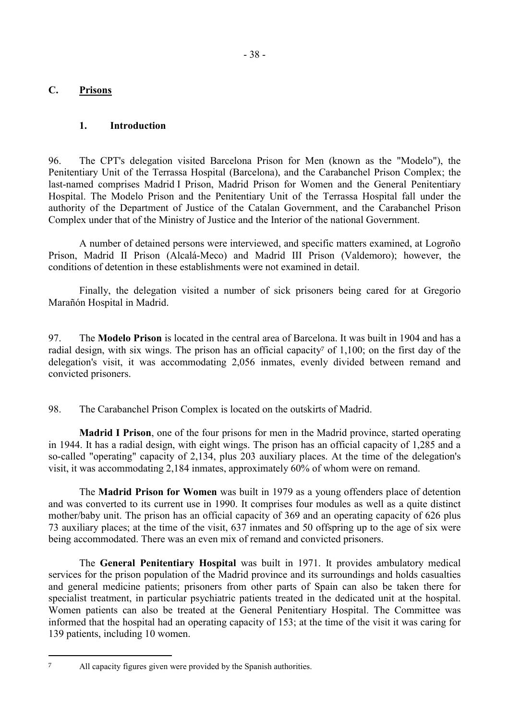## **C. Prisons**

## **1. Introduction**

96. The CPT's delegation visited Barcelona Prison for Men (known as the "Modelo"), the Penitentiary Unit of the Terrassa Hospital (Barcelona), and the Carabanchel Prison Complex; the last-named comprises Madrid I Prison, Madrid Prison for Women and the General Penitentiary Hospital. The Modelo Prison and the Penitentiary Unit of the Terrassa Hospital fall under the authority of the Department of Justice of the Catalan Government, and the Carabanchel Prison Complex under that of the Ministry of Justice and the Interior of the national Government.

 A number of detained persons were interviewed, and specific matters examined, at Logroño Prison, Madrid II Prison (Alcalá-Meco) and Madrid III Prison (Valdemoro); however, the conditions of detention in these establishments were not examined in detail.

 Finally, the delegation visited a number of sick prisoners being cared for at Gregorio Marañón Hospital in Madrid.

97. The **Modelo Prison** is located in the central area of Barcelona. It was built in 1904 and has a radial design, with six wings. The prison has an official capacity<sup>7</sup> of 1,100; on the first day of the delegation's visit, it was accommodating 2,056 inmates, evenly divided between remand and convicted prisoners.

98. The Carabanchel Prison Complex is located on the outskirts of Madrid.

 **Madrid I Prison**, one of the four prisons for men in the Madrid province, started operating in 1944. It has a radial design, with eight wings. The prison has an official capacity of 1,285 and a so-called "operating" capacity of 2,134, plus 203 auxiliary places. At the time of the delegation's visit, it was accommodating 2,184 inmates, approximately 60% of whom were on remand.

 The **Madrid Prison for Women** was built in 1979 as a young offenders place of detention and was converted to its current use in 1990. It comprises four modules as well as a quite distinct mother/baby unit. The prison has an official capacity of 369 and an operating capacity of 626 plus 73 auxiliary places; at the time of the visit, 637 inmates and 50 offspring up to the age of six were being accommodated. There was an even mix of remand and convicted prisoners.

 The **General Penitentiary Hospital** was built in 1971. It provides ambulatory medical services for the prison population of the Madrid province and its surroundings and holds casualties and general medicine patients; prisoners from other parts of Spain can also be taken there for specialist treatment, in particular psychiatric patients treated in the dedicated unit at the hospital. Women patients can also be treated at the General Penitentiary Hospital. The Committee was informed that the hospital had an operating capacity of 153; at the time of the visit it was caring for 139 patients, including 10 women.

 $\overline{a}$ 

<sup>7</sup> All capacity figures given were provided by the Spanish authorities.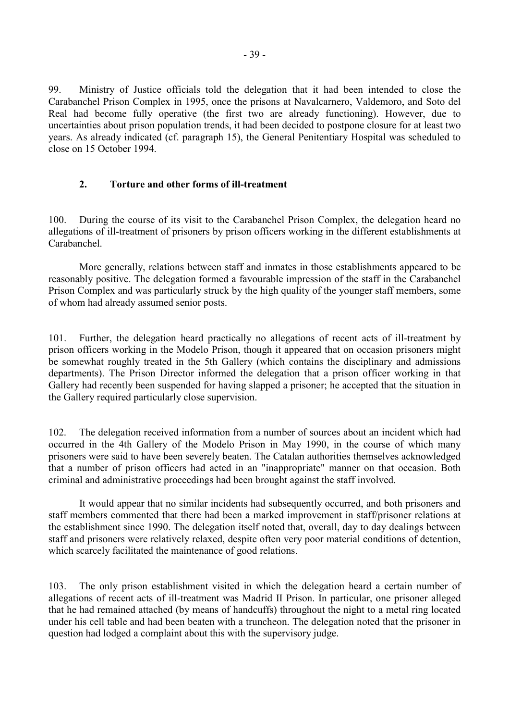99. Ministry of Justice officials told the delegation that it had been intended to close the Carabanchel Prison Complex in 1995, once the prisons at Navalcarnero, Valdemoro, and Soto del Real had become fully operative (the first two are already functioning). However, due to uncertainties about prison population trends, it had been decided to postpone closure for at least two years. As already indicated (cf. paragraph 15), the General Penitentiary Hospital was scheduled to close on 15 October 1994.

### **2. Torture and other forms of ill-treatment**

100. During the course of its visit to the Carabanchel Prison Complex, the delegation heard no allegations of ill-treatment of prisoners by prison officers working in the different establishments at Carabanchel.

 More generally, relations between staff and inmates in those establishments appeared to be reasonably positive. The delegation formed a favourable impression of the staff in the Carabanchel Prison Complex and was particularly struck by the high quality of the younger staff members, some of whom had already assumed senior posts.

101. Further, the delegation heard practically no allegations of recent acts of ill-treatment by prison officers working in the Modelo Prison, though it appeared that on occasion prisoners might be somewhat roughly treated in the 5th Gallery (which contains the disciplinary and admissions departments). The Prison Director informed the delegation that a prison officer working in that Gallery had recently been suspended for having slapped a prisoner; he accepted that the situation in the Gallery required particularly close supervision.

102. The delegation received information from a number of sources about an incident which had occurred in the 4th Gallery of the Modelo Prison in May 1990, in the course of which many prisoners were said to have been severely beaten. The Catalan authorities themselves acknowledged that a number of prison officers had acted in an "inappropriate" manner on that occasion. Both criminal and administrative proceedings had been brought against the staff involved.

 It would appear that no similar incidents had subsequently occurred, and both prisoners and staff members commented that there had been a marked improvement in staff/prisoner relations at the establishment since 1990. The delegation itself noted that, overall, day to day dealings between staff and prisoners were relatively relaxed, despite often very poor material conditions of detention, which scarcely facilitated the maintenance of good relations.

103. The only prison establishment visited in which the delegation heard a certain number of allegations of recent acts of ill-treatment was Madrid II Prison. In particular, one prisoner alleged that he had remained attached (by means of handcuffs) throughout the night to a metal ring located under his cell table and had been beaten with a truncheon. The delegation noted that the prisoner in question had lodged a complaint about this with the supervisory judge.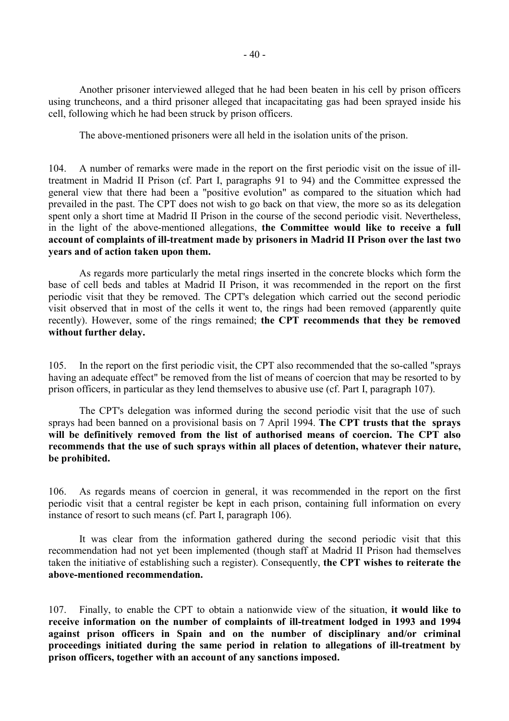Another prisoner interviewed alleged that he had been beaten in his cell by prison officers using truncheons, and a third prisoner alleged that incapacitating gas had been sprayed inside his cell, following which he had been struck by prison officers.

The above-mentioned prisoners were all held in the isolation units of the prison.

104. A number of remarks were made in the report on the first periodic visit on the issue of illtreatment in Madrid II Prison (cf. Part I, paragraphs 91 to 94) and the Committee expressed the general view that there had been a "positive evolution" as compared to the situation which had prevailed in the past. The CPT does not wish to go back on that view, the more so as its delegation spent only a short time at Madrid II Prison in the course of the second periodic visit. Nevertheless, in the light of the above-mentioned allegations, **the Committee would like to receive a full account of complaints of ill-treatment made by prisoners in Madrid II Prison over the last two years and of action taken upon them.**

 As regards more particularly the metal rings inserted in the concrete blocks which form the base of cell beds and tables at Madrid II Prison, it was recommended in the report on the first periodic visit that they be removed. The CPT's delegation which carried out the second periodic visit observed that in most of the cells it went to, the rings had been removed (apparently quite recently). However, some of the rings remained; **the CPT recommends that they be removed without further delay.**

105. In the report on the first periodic visit, the CPT also recommended that the so-called "sprays having an adequate effect" be removed from the list of means of coercion that may be resorted to by prison officers, in particular as they lend themselves to abusive use (cf. Part I, paragraph 107).

 The CPT's delegation was informed during the second periodic visit that the use of such sprays had been banned on a provisional basis on 7 April 1994. **The CPT trusts that the sprays will be definitively removed from the list of authorised means of coercion. The CPT also recommends that the use of such sprays within all places of detention, whatever their nature, be prohibited.**

106. As regards means of coercion in general, it was recommended in the report on the first periodic visit that a central register be kept in each prison, containing full information on every instance of resort to such means (cf. Part I, paragraph 106).

 It was clear from the information gathered during the second periodic visit that this recommendation had not yet been implemented (though staff at Madrid II Prison had themselves taken the initiative of establishing such a register). Consequently, **the CPT wishes to reiterate the above-mentioned recommendation.**

107. Finally, to enable the CPT to obtain a nationwide view of the situation, **it would like to receive information on the number of complaints of ill-treatment lodged in 1993 and 1994 against prison officers in Spain and on the number of disciplinary and/or criminal proceedings initiated during the same period in relation to allegations of ill-treatment by prison officers, together with an account of any sanctions imposed.**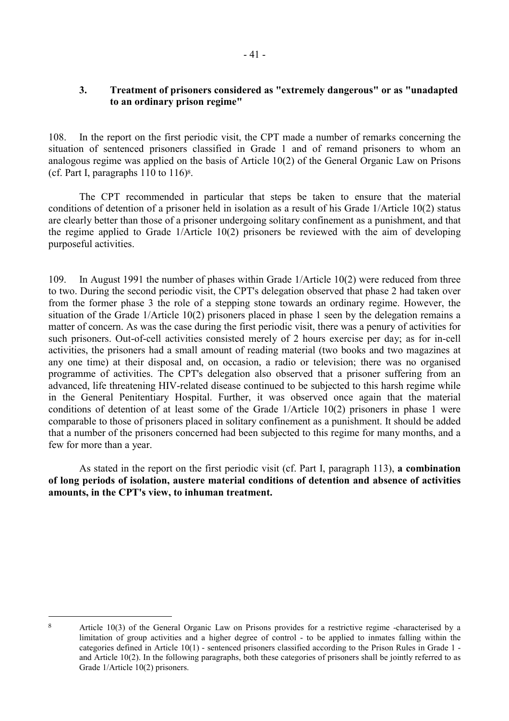# **3. Treatment of prisoners considered as "extremely dangerous" or as "unadapted to an ordinary prison regime"**

108. In the report on the first periodic visit, the CPT made a number of remarks concerning the situation of sentenced prisoners classified in Grade 1 and of remand prisoners to whom an analogous regime was applied on the basis of Article 10(2) of the General Organic Law on Prisons (cf. Part I, paragraphs  $110$  to  $116$ <sup>8</sup>.

 The CPT recommended in particular that steps be taken to ensure that the material conditions of detention of a prisoner held in isolation as a result of his Grade 1/Article 10(2) status are clearly better than those of a prisoner undergoing solitary confinement as a punishment, and that the regime applied to Grade 1/Article 10(2) prisoners be reviewed with the aim of developing purposeful activities.

109. In August 1991 the number of phases within Grade 1/Article 10(2) were reduced from three to two. During the second periodic visit, the CPT's delegation observed that phase 2 had taken over from the former phase 3 the role of a stepping stone towards an ordinary regime. However, the situation of the Grade 1/Article 10(2) prisoners placed in phase 1 seen by the delegation remains a matter of concern. As was the case during the first periodic visit, there was a penury of activities for such prisoners. Out-of-cell activities consisted merely of 2 hours exercise per day; as for in-cell activities, the prisoners had a small amount of reading material (two books and two magazines at any one time) at their disposal and, on occasion, a radio or television; there was no organised programme of activities. The CPT's delegation also observed that a prisoner suffering from an advanced, life threatening HIV-related disease continued to be subjected to this harsh regime while in the General Penitentiary Hospital. Further, it was observed once again that the material conditions of detention of at least some of the Grade 1/Article 10(2) prisoners in phase 1 were comparable to those of prisoners placed in solitary confinement as a punishment. It should be added that a number of the prisoners concerned had been subjected to this regime for many months, and a few for more than a year.

 As stated in the report on the first periodic visit (cf. Part I, paragraph 113), **a combination of long periods of isolation, austere material conditions of detention and absence of activities amounts, in the CPT's view, to inhuman treatment.** 

 $\overline{a}$ 

<sup>8</sup> Article 10(3) of the General Organic Law on Prisons provides for a restrictive regime -characterised by a limitation of group activities and a higher degree of control - to be applied to inmates falling within the categories defined in Article 10(1) - sentenced prisoners classified according to the Prison Rules in Grade 1 and Article 10(2). In the following paragraphs, both these categories of prisoners shall be jointly referred to as Grade 1/Article 10(2) prisoners.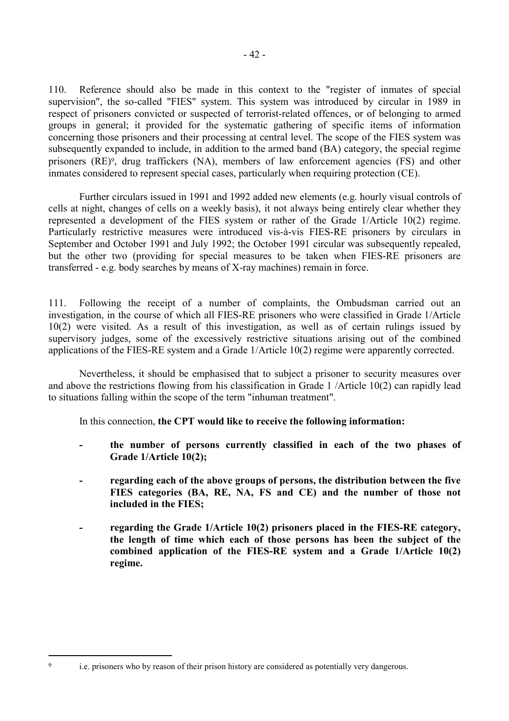110. Reference should also be made in this context to the "register of inmates of special supervision", the so-called "FIES" system. This system was introduced by circular in 1989 in respect of prisoners convicted or suspected of terrorist-related offences, or of belonging to armed groups in general; it provided for the systematic gathering of specific items of information concerning those prisoners and their processing at central level. The scope of the FIES system was subsequently expanded to include, in addition to the armed band (BA) category, the special regime prisoners (RE)9, drug traffickers (NA), members of law enforcement agencies (FS) and other inmates considered to represent special cases, particularly when requiring protection (CE).

 Further circulars issued in 1991 and 1992 added new elements (e.g. hourly visual controls of cells at night, changes of cells on a weekly basis), it not always being entirely clear whether they represented a development of the FIES system or rather of the Grade 1/Article 10(2) regime. Particularly restrictive measures were introduced vis-à-vis FIES-RE prisoners by circulars in September and October 1991 and July 1992; the October 1991 circular was subsequently repealed, but the other two (providing for special measures to be taken when FIES-RE prisoners are transferred - e.g. body searches by means of X-ray machines) remain in force.

111. Following the receipt of a number of complaints, the Ombudsman carried out an investigation, in the course of which all FIES-RE prisoners who were classified in Grade 1/Article 10(2) were visited. As a result of this investigation, as well as of certain rulings issued by supervisory judges, some of the excessively restrictive situations arising out of the combined applications of the FIES-RE system and a Grade 1/Article 10(2) regime were apparently corrected.

 Nevertheless, it should be emphasised that to subject a prisoner to security measures over and above the restrictions flowing from his classification in Grade 1 /Article 10(2) can rapidly lead to situations falling within the scope of the term "inhuman treatment".

In this connection, **the CPT would like to receive the following information:** 

- the number of persons currently classified in each of the two phases of **Grade 1/Article 10(2);**
- regarding each of the above groups of persons, the distribution between the five **FIES categories (BA, RE, NA, FS and CE) and the number of those not included in the FIES;**
- regarding the Grade 1/Article 10(2) prisoners placed in the FIES-RE category, **the length of time which each of those persons has been the subject of the combined application of the FIES-RE system and a Grade 1/Article 10(2) regime.**

<sup>9</sup> i.e. prisoners who by reason of their prison history are considered as potentially very dangerous.

 $\overline{a}$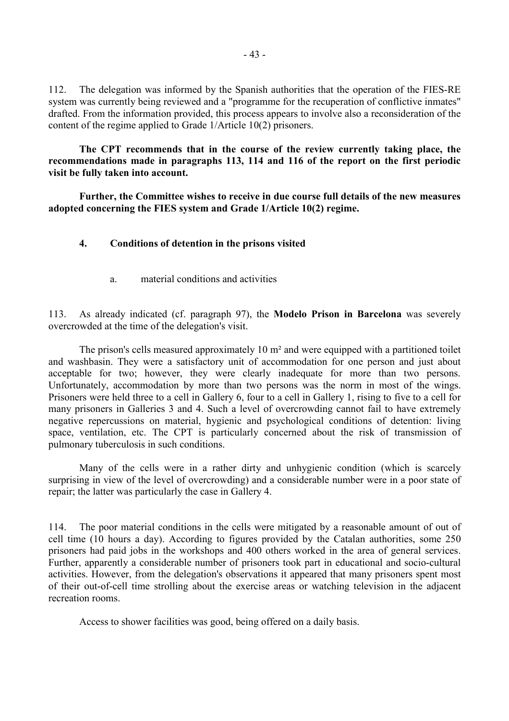112. The delegation was informed by the Spanish authorities that the operation of the FIES-RE system was currently being reviewed and a "programme for the recuperation of conflictive inmates" drafted. From the information provided, this process appears to involve also a reconsideration of the content of the regime applied to Grade 1/Article 10(2) prisoners.

 **The CPT recommends that in the course of the review currently taking place, the recommendations made in paragraphs 113, 114 and 116 of the report on the first periodic visit be fully taken into account.** 

 **Further, the Committee wishes to receive in due course full details of the new measures adopted concerning the FIES system and Grade 1/Article 10(2) regime.** 

#### **4. Conditions of detention in the prisons visited**

a. material conditions and activities

113. As already indicated (cf. paragraph 97), the **Modelo Prison in Barcelona** was severely overcrowded at the time of the delegation's visit.

The prison's cells measured approximately 10 m<sup>2</sup> and were equipped with a partitioned toilet and washbasin. They were a satisfactory unit of accommodation for one person and just about acceptable for two; however, they were clearly inadequate for more than two persons. Unfortunately, accommodation by more than two persons was the norm in most of the wings. Prisoners were held three to a cell in Gallery 6, four to a cell in Gallery 1, rising to five to a cell for many prisoners in Galleries 3 and 4. Such a level of overcrowding cannot fail to have extremely negative repercussions on material, hygienic and psychological conditions of detention: living space, ventilation, etc. The CPT is particularly concerned about the risk of transmission of pulmonary tuberculosis in such conditions.

 Many of the cells were in a rather dirty and unhygienic condition (which is scarcely surprising in view of the level of overcrowding) and a considerable number were in a poor state of repair; the latter was particularly the case in Gallery 4.

114. The poor material conditions in the cells were mitigated by a reasonable amount of out of cell time (10 hours a day). According to figures provided by the Catalan authorities, some 250 prisoners had paid jobs in the workshops and 400 others worked in the area of general services. Further, apparently a considerable number of prisoners took part in educational and socio-cultural activities. However, from the delegation's observations it appeared that many prisoners spent most of their out-of-cell time strolling about the exercise areas or watching television in the adjacent recreation rooms.

Access to shower facilities was good, being offered on a daily basis.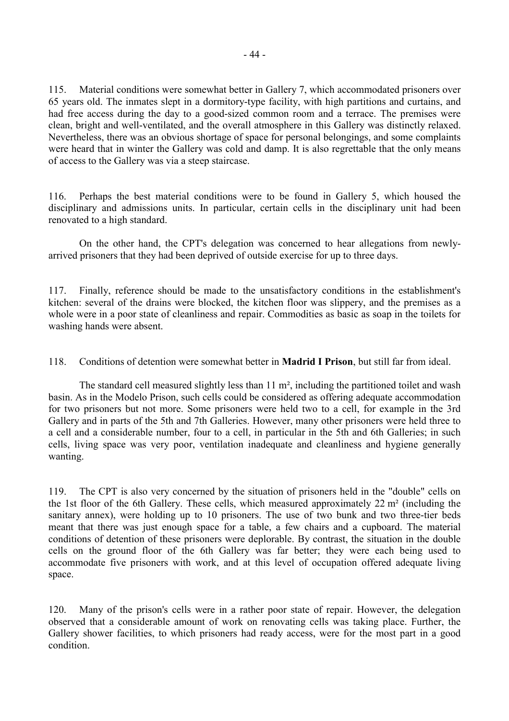115. Material conditions were somewhat better in Gallery 7, which accommodated prisoners over 65 years old. The inmates slept in a dormitory-type facility, with high partitions and curtains, and had free access during the day to a good-sized common room and a terrace. The premises were clean, bright and well-ventilated, and the overall atmosphere in this Gallery was distinctly relaxed. Nevertheless, there was an obvious shortage of space for personal belongings, and some complaints were heard that in winter the Gallery was cold and damp. It is also regrettable that the only means of access to the Gallery was via a steep staircase.

116. Perhaps the best material conditions were to be found in Gallery 5, which housed the disciplinary and admissions units. In particular, certain cells in the disciplinary unit had been renovated to a high standard.

 On the other hand, the CPT's delegation was concerned to hear allegations from newlyarrived prisoners that they had been deprived of outside exercise for up to three days.

117. Finally, reference should be made to the unsatisfactory conditions in the establishment's kitchen: several of the drains were blocked, the kitchen floor was slippery, and the premises as a whole were in a poor state of cleanliness and repair. Commodities as basic as soap in the toilets for washing hands were absent.

118. Conditions of detention were somewhat better in **Madrid I Prison**, but still far from ideal.

 The standard cell measured slightly less than 11 m², including the partitioned toilet and wash basin. As in the Modelo Prison, such cells could be considered as offering adequate accommodation for two prisoners but not more. Some prisoners were held two to a cell, for example in the 3rd Gallery and in parts of the 5th and 7th Galleries. However, many other prisoners were held three to a cell and a considerable number, four to a cell, in particular in the 5th and 6th Galleries; in such cells, living space was very poor, ventilation inadequate and cleanliness and hygiene generally wanting.

119. The CPT is also very concerned by the situation of prisoners held in the "double" cells on the 1st floor of the 6th Gallery. These cells, which measured approximately 22 m² (including the sanitary annex), were holding up to 10 prisoners. The use of two bunk and two three-tier beds meant that there was just enough space for a table, a few chairs and a cupboard. The material conditions of detention of these prisoners were deplorable. By contrast, the situation in the double cells on the ground floor of the 6th Gallery was far better; they were each being used to accommodate five prisoners with work, and at this level of occupation offered adequate living space.

120. Many of the prison's cells were in a rather poor state of repair. However, the delegation observed that a considerable amount of work on renovating cells was taking place. Further, the Gallery shower facilities, to which prisoners had ready access, were for the most part in a good condition.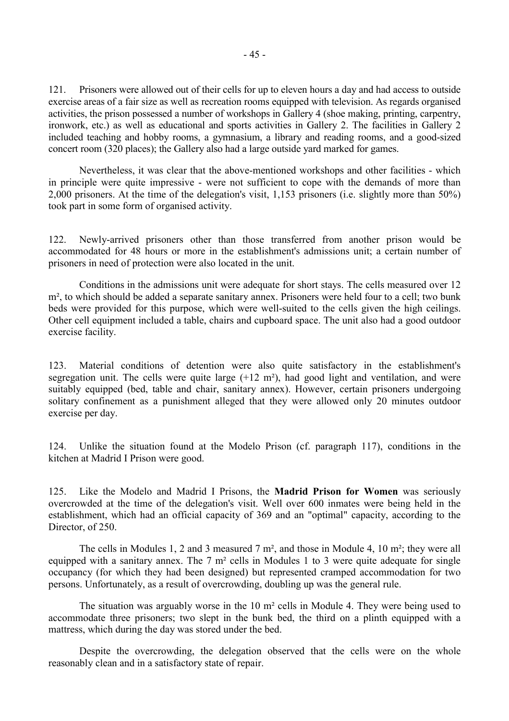121. Prisoners were allowed out of their cells for up to eleven hours a day and had access to outside exercise areas of a fair size as well as recreation rooms equipped with television. As regards organised activities, the prison possessed a number of workshops in Gallery 4 (shoe making, printing, carpentry, ironwork, etc.) as well as educational and sports activities in Gallery 2. The facilities in Gallery 2 included teaching and hobby rooms, a gymnasium, a library and reading rooms, and a good-sized concert room (320 places); the Gallery also had a large outside yard marked for games.

 Nevertheless, it was clear that the above-mentioned workshops and other facilities - which in principle were quite impressive - were not sufficient to cope with the demands of more than 2,000 prisoners. At the time of the delegation's visit, 1,153 prisoners (i.e. slightly more than 50%) took part in some form of organised activity.

122. Newly-arrived prisoners other than those transferred from another prison would be accommodated for 48 hours or more in the establishment's admissions unit; a certain number of prisoners in need of protection were also located in the unit.

 Conditions in the admissions unit were adequate for short stays. The cells measured over 12 m<sup>2</sup>, to which should be added a separate sanitary annex. Prisoners were held four to a cell; two bunk beds were provided for this purpose, which were well-suited to the cells given the high ceilings. Other cell equipment included a table, chairs and cupboard space. The unit also had a good outdoor exercise facility.

123. Material conditions of detention were also quite satisfactory in the establishment's segregation unit. The cells were quite large  $(+12 \text{ m}^2)$ , had good light and ventilation, and were suitably equipped (bed, table and chair, sanitary annex). However, certain prisoners undergoing solitary confinement as a punishment alleged that they were allowed only 20 minutes outdoor exercise per day.

124. Unlike the situation found at the Modelo Prison (cf. paragraph 117), conditions in the kitchen at Madrid I Prison were good.

125. Like the Modelo and Madrid I Prisons, the **Madrid Prison for Women** was seriously overcrowded at the time of the delegation's visit. Well over 600 inmates were being held in the establishment, which had an official capacity of 369 and an "optimal" capacity, according to the Director, of 250.

 The cells in Modules 1, 2 and 3 measured 7 m², and those in Module 4, 10 m²; they were all equipped with a sanitary annex. The 7 m² cells in Modules 1 to 3 were quite adequate for single occupancy (for which they had been designed) but represented cramped accommodation for two persons. Unfortunately, as a result of overcrowding, doubling up was the general rule.

 The situation was arguably worse in the 10 m² cells in Module 4. They were being used to accommodate three prisoners; two slept in the bunk bed, the third on a plinth equipped with a mattress, which during the day was stored under the bed.

 Despite the overcrowding, the delegation observed that the cells were on the whole reasonably clean and in a satisfactory state of repair.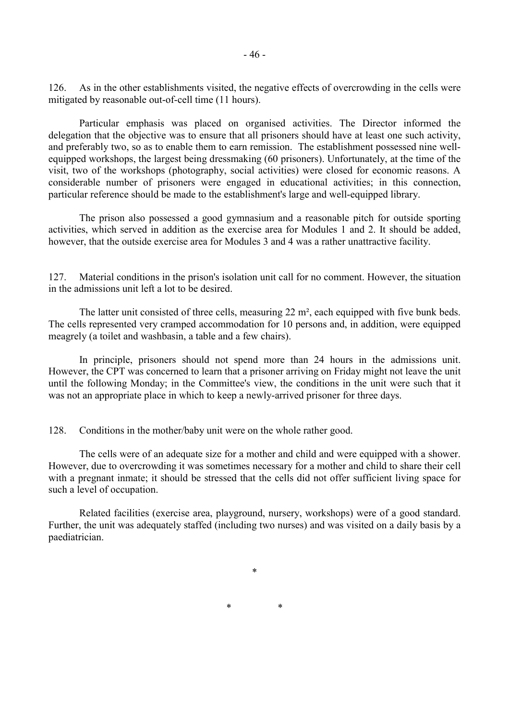126. As in the other establishments visited, the negative effects of overcrowding in the cells were mitigated by reasonable out-of-cell time (11 hours).

 Particular emphasis was placed on organised activities. The Director informed the delegation that the objective was to ensure that all prisoners should have at least one such activity, and preferably two, so as to enable them to earn remission. The establishment possessed nine wellequipped workshops, the largest being dressmaking (60 prisoners). Unfortunately, at the time of the visit, two of the workshops (photography, social activities) were closed for economic reasons. A considerable number of prisoners were engaged in educational activities; in this connection, particular reference should be made to the establishment's large and well-equipped library.

 The prison also possessed a good gymnasium and a reasonable pitch for outside sporting activities, which served in addition as the exercise area for Modules 1 and 2. It should be added, however, that the outside exercise area for Modules 3 and 4 was a rather unattractive facility.

127. Material conditions in the prison's isolation unit call for no comment. However, the situation in the admissions unit left a lot to be desired.

The latter unit consisted of three cells, measuring 22 m<sup>2</sup>, each equipped with five bunk beds. The cells represented very cramped accommodation for 10 persons and, in addition, were equipped meagrely (a toilet and washbasin, a table and a few chairs).

 In principle, prisoners should not spend more than 24 hours in the admissions unit. However, the CPT was concerned to learn that a prisoner arriving on Friday might not leave the unit until the following Monday; in the Committee's view, the conditions in the unit were such that it was not an appropriate place in which to keep a newly-arrived prisoner for three days.

128. Conditions in the mother/baby unit were on the whole rather good.

 The cells were of an adequate size for a mother and child and were equipped with a shower. However, due to overcrowding it was sometimes necessary for a mother and child to share their cell with a pregnant inmate; it should be stressed that the cells did not offer sufficient living space for such a level of occupation.

 Related facilities (exercise area, playground, nursery, workshops) were of a good standard. Further, the unit was adequately staffed (including two nurses) and was visited on a daily basis by a paediatrician.

\*

\* \*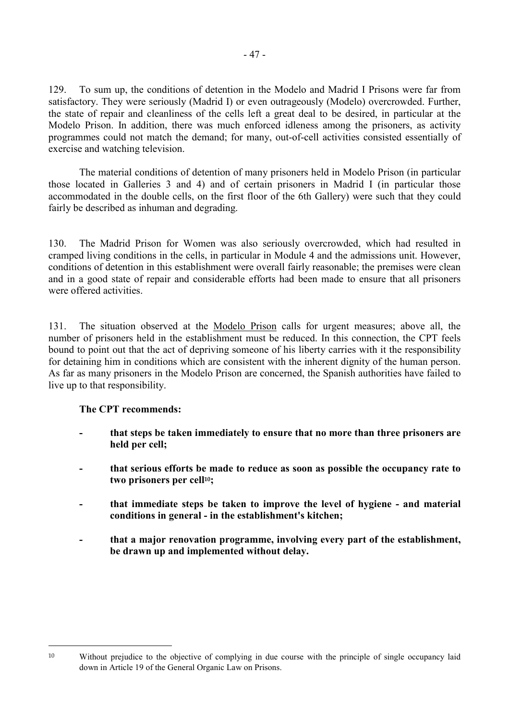129. To sum up, the conditions of detention in the Modelo and Madrid I Prisons were far from satisfactory. They were seriously (Madrid I) or even outrageously (Modelo) overcrowded. Further, the state of repair and cleanliness of the cells left a great deal to be desired, in particular at the Modelo Prison. In addition, there was much enforced idleness among the prisoners, as activity programmes could not match the demand; for many, out-of-cell activities consisted essentially of exercise and watching television.

 The material conditions of detention of many prisoners held in Modelo Prison (in particular those located in Galleries 3 and 4) and of certain prisoners in Madrid I (in particular those accommodated in the double cells, on the first floor of the 6th Gallery) were such that they could fairly be described as inhuman and degrading.

130. The Madrid Prison for Women was also seriously overcrowded, which had resulted in cramped living conditions in the cells, in particular in Module 4 and the admissions unit. However, conditions of detention in this establishment were overall fairly reasonable; the premises were clean and in a good state of repair and considerable efforts had been made to ensure that all prisoners were offered activities.

131. The situation observed at the Modelo Prison calls for urgent measures; above all, the number of prisoners held in the establishment must be reduced. In this connection, the CPT feels bound to point out that the act of depriving someone of his liberty carries with it the responsibility for detaining him in conditions which are consistent with the inherent dignity of the human person. As far as many prisoners in the Modelo Prison are concerned, the Spanish authorities have failed to live up to that responsibility.

## **The CPT recommends:**

 $\overline{a}$ 

- **that steps be taken immediately to ensure that no more than three prisoners are held per cell;**
- **that serious efforts be made to reduce as soon as possible the occupancy rate to two prisoners per cell10;**
- that immediate steps be taken to improve the level of hygiene and material **conditions in general - in the establishment's kitchen;**
- **that a major renovation programme, involving every part of the establishment, be drawn up and implemented without delay.**

<sup>10</sup> Without prejudice to the objective of complying in due course with the principle of single occupancy laid down in Article 19 of the General Organic Law on Prisons.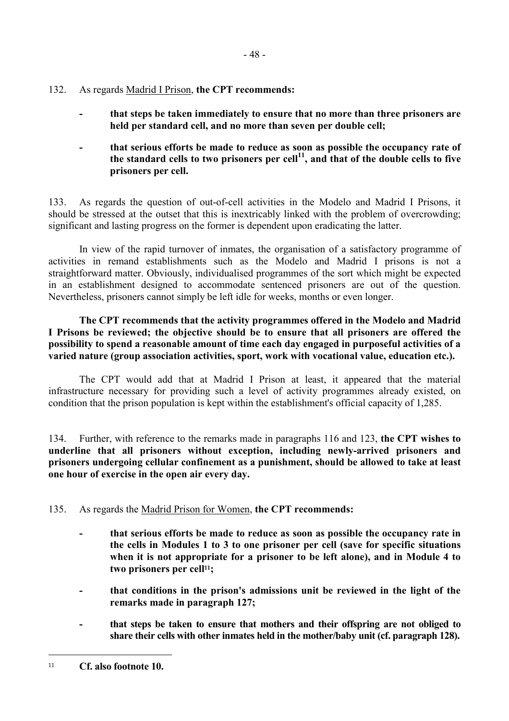- 132. As regards Madrid I Prison, **the CPT recommends:** 
	- that steps be taken immediately to ensure that no more than three prisoners are **held per standard cell, and no more than seven per double cell;**
	- that serious efforts be made to reduce as soon as possible the occupancy rate of **the standard cells to two prisoners per cell11, and that of the double cells to five prisoners per cell.**

133. As regards the question of out-of-cell activities in the Modelo and Madrid I Prisons, it should be stressed at the outset that this is inextricably linked with the problem of overcrowding; significant and lasting progress on the former is dependent upon eradicating the latter.

 In view of the rapid turnover of inmates, the organisation of a satisfactory programme of activities in remand establishments such as the Modelo and Madrid I prisons is not a straightforward matter. Obviously, individualised programmes of the sort which might be expected in an establishment designed to accommodate sentenced prisoners are out of the question. Nevertheless, prisoners cannot simply be left idle for weeks, months or even longer.

 **The CPT recommends that the activity programmes offered in the Modelo and Madrid I Prisons be reviewed; the objective should be to ensure that all prisoners are offered the possibility to spend a reasonable amount of time each day engaged in purposeful activities of a varied nature (group association activities, sport, work with vocational value, education etc.).**

 The CPT would add that at Madrid I Prison at least, it appeared that the material infrastructure necessary for providing such a level of activity programmes already existed, on condition that the prison population is kept within the establishment's official capacity of 1,285.

134. Further, with reference to the remarks made in paragraphs 116 and 123, **the CPT wishes to underline that all prisoners without exception, including newly-arrived prisoners and prisoners undergoing cellular confinement as a punishment, should be allowed to take at least one hour of exercise in the open air every day.**

- 135. As regards the Madrid Prison for Women, **the CPT recommends:**
	- **that serious efforts be made to reduce as soon as possible the occupancy rate in the cells in Modules 1 to 3 to one prisoner per cell (save for specific situations when it is not appropriate for a prisoner to be left alone), and in Module 4 to two prisoners per cell11;**
	- that conditions in the prison's admissions unit be reviewed in the light of the **remarks made in paragraph 127;**
	- that steps be taken to ensure that mothers and their offspring are not obliged to **share their cells with other inmates held in the mother/baby unit (cf. paragraph 128).**

 $\overline{a}$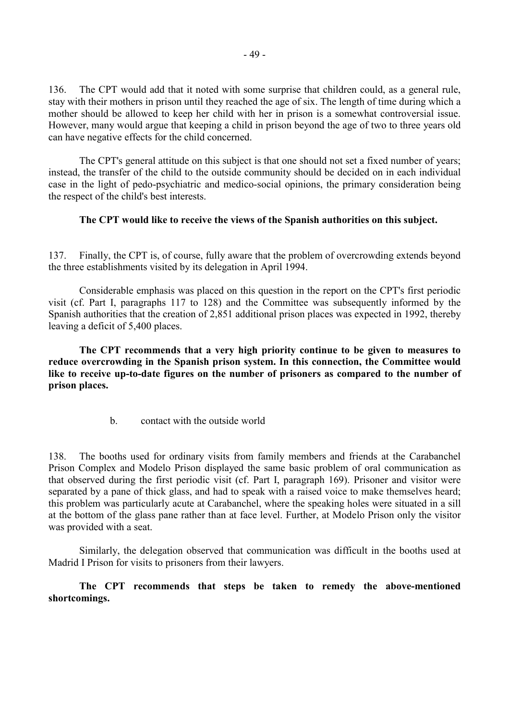136. The CPT would add that it noted with some surprise that children could, as a general rule, stay with their mothers in prison until they reached the age of six. The length of time during which a mother should be allowed to keep her child with her in prison is a somewhat controversial issue. However, many would argue that keeping a child in prison beyond the age of two to three years old can have negative effects for the child concerned.

 The CPT's general attitude on this subject is that one should not set a fixed number of years; instead, the transfer of the child to the outside community should be decided on in each individual case in the light of pedo-psychiatric and medico-social opinions, the primary consideration being the respect of the child's best interests.

### **The CPT would like to receive the views of the Spanish authorities on this subject.**

137. Finally, the CPT is, of course, fully aware that the problem of overcrowding extends beyond the three establishments visited by its delegation in April 1994.

 Considerable emphasis was placed on this question in the report on the CPT's first periodic visit (cf. Part I, paragraphs 117 to 128) and the Committee was subsequently informed by the Spanish authorities that the creation of 2,851 additional prison places was expected in 1992, thereby leaving a deficit of 5,400 places.

 **The CPT recommends that a very high priority continue to be given to measures to reduce overcrowding in the Spanish prison system. In this connection, the Committee would like to receive up-to-date figures on the number of prisoners as compared to the number of prison places.**

b. contact with the outside world

138. The booths used for ordinary visits from family members and friends at the Carabanchel Prison Complex and Modelo Prison displayed the same basic problem of oral communication as that observed during the first periodic visit (cf. Part I, paragraph 169). Prisoner and visitor were separated by a pane of thick glass, and had to speak with a raised voice to make themselves heard; this problem was particularly acute at Carabanchel, where the speaking holes were situated in a sill at the bottom of the glass pane rather than at face level. Further, at Modelo Prison only the visitor was provided with a seat.

 Similarly, the delegation observed that communication was difficult in the booths used at Madrid I Prison for visits to prisoners from their lawyers.

 **The CPT recommends that steps be taken to remedy the above-mentioned shortcomings.**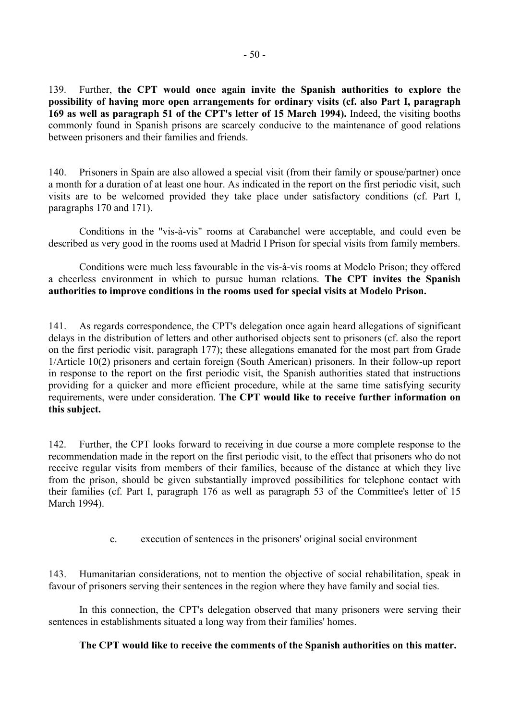139. Further, **the CPT would once again invite the Spanish authorities to explore the possibility of having more open arrangements for ordinary visits (cf. also Part I, paragraph 169 as well as paragraph 51 of the CPT's letter of 15 March 1994).** Indeed, the visiting booths commonly found in Spanish prisons are scarcely conducive to the maintenance of good relations between prisoners and their families and friends.

140. Prisoners in Spain are also allowed a special visit (from their family or spouse/partner) once a month for a duration of at least one hour. As indicated in the report on the first periodic visit, such visits are to be welcomed provided they take place under satisfactory conditions (cf. Part I, paragraphs 170 and 171).

 Conditions in the "vis-à-vis" rooms at Carabanchel were acceptable, and could even be described as very good in the rooms used at Madrid I Prison for special visits from family members.

 Conditions were much less favourable in the vis-à-vis rooms at Modelo Prison; they offered a cheerless environment in which to pursue human relations. **The CPT invites the Spanish authorities to improve conditions in the rooms used for special visits at Modelo Prison.**

141. As regards correspondence, the CPT's delegation once again heard allegations of significant delays in the distribution of letters and other authorised objects sent to prisoners (cf. also the report on the first periodic visit, paragraph 177); these allegations emanated for the most part from Grade 1/Article 10(2) prisoners and certain foreign (South American) prisoners. In their follow-up report in response to the report on the first periodic visit, the Spanish authorities stated that instructions providing for a quicker and more efficient procedure, while at the same time satisfying security requirements, were under consideration. **The CPT would like to receive further information on this subject.**

142. Further, the CPT looks forward to receiving in due course a more complete response to the recommendation made in the report on the first periodic visit, to the effect that prisoners who do not receive regular visits from members of their families, because of the distance at which they live from the prison, should be given substantially improved possibilities for telephone contact with their families (cf. Part I, paragraph 176 as well as paragraph 53 of the Committee's letter of 15 March 1994).

c. execution of sentences in the prisoners' original social environment

143. Humanitarian considerations, not to mention the objective of social rehabilitation, speak in favour of prisoners serving their sentences in the region where they have family and social ties.

 In this connection, the CPT's delegation observed that many prisoners were serving their sentences in establishments situated a long way from their families' homes.

#### **The CPT would like to receive the comments of the Spanish authorities on this matter.**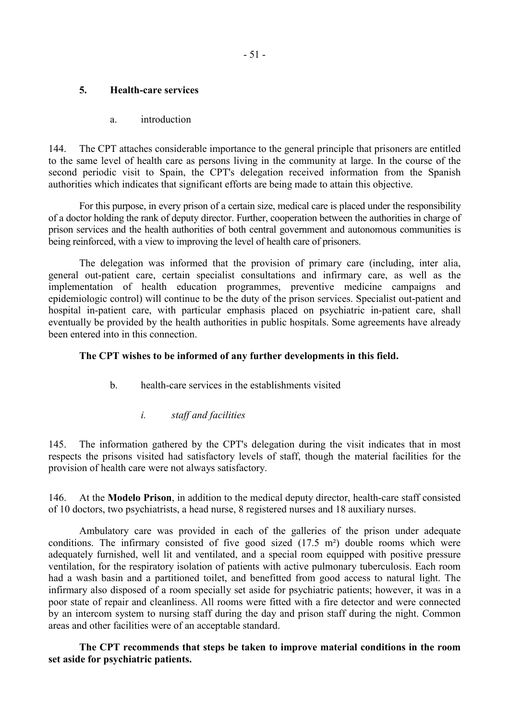## **5. Health-care services**

a. introduction

144. The CPT attaches considerable importance to the general principle that prisoners are entitled to the same level of health care as persons living in the community at large. In the course of the second periodic visit to Spain, the CPT's delegation received information from the Spanish authorities which indicates that significant efforts are being made to attain this objective.

 For this purpose, in every prison of a certain size, medical care is placed under the responsibility of a doctor holding the rank of deputy director. Further, cooperation between the authorities in charge of prison services and the health authorities of both central government and autonomous communities is being reinforced, with a view to improving the level of health care of prisoners.

 The delegation was informed that the provision of primary care (including, inter alia, general out-patient care, certain specialist consultations and infirmary care, as well as the implementation of health education programmes, preventive medicine campaigns and epidemiologic control) will continue to be the duty of the prison services. Specialist out-patient and hospital in-patient care, with particular emphasis placed on psychiatric in-patient care, shall eventually be provided by the health authorities in public hospitals. Some agreements have already been entered into in this connection.

## **The CPT wishes to be informed of any further developments in this field.**

- b. health-care services in the establishments visited
	- *i. staff and facilities*

145. The information gathered by the CPT's delegation during the visit indicates that in most respects the prisons visited had satisfactory levels of staff, though the material facilities for the provision of health care were not always satisfactory.

146. At the **Modelo Prison**, in addition to the medical deputy director, health-care staff consisted of 10 doctors, two psychiatrists, a head nurse, 8 registered nurses and 18 auxiliary nurses.

 Ambulatory care was provided in each of the galleries of the prison under adequate conditions. The infirmary consisted of five good sized (17.5 m²) double rooms which were adequately furnished, well lit and ventilated, and a special room equipped with positive pressure ventilation, for the respiratory isolation of patients with active pulmonary tuberculosis. Each room had a wash basin and a partitioned toilet, and benefitted from good access to natural light. The infirmary also disposed of a room specially set aside for psychiatric patients; however, it was in a poor state of repair and cleanliness. All rooms were fitted with a fire detector and were connected by an intercom system to nursing staff during the day and prison staff during the night. Common areas and other facilities were of an acceptable standard.

 **The CPT recommends that steps be taken to improve material conditions in the room set aside for psychiatric patients.**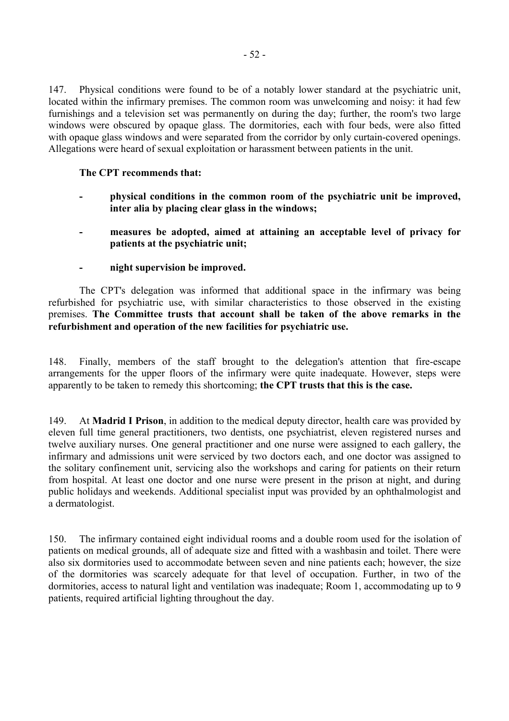147. Physical conditions were found to be of a notably lower standard at the psychiatric unit, located within the infirmary premises. The common room was unwelcoming and noisy: it had few furnishings and a television set was permanently on during the day; further, the room's two large windows were obscured by opaque glass. The dormitories, each with four beds, were also fitted with opaque glass windows and were separated from the corridor by only curtain-covered openings. Allegations were heard of sexual exploitation or harassment between patients in the unit.

#### **The CPT recommends that:**

- physical conditions in the common room of the psychiatric unit be improved, **inter alia by placing clear glass in the windows;**
- measures be adopted, aimed at attaining an acceptable level of privacy for **patients at the psychiatric unit;**
- $\boldsymbol{\text{night} \text{supervised}}.$

 The CPT's delegation was informed that additional space in the infirmary was being refurbished for psychiatric use, with similar characteristics to those observed in the existing premises. **The Committee trusts that account shall be taken of the above remarks in the refurbishment and operation of the new facilities for psychiatric use.**

148. Finally, members of the staff brought to the delegation's attention that fire-escape arrangements for the upper floors of the infirmary were quite inadequate. However, steps were apparently to be taken to remedy this shortcoming; **the CPT trusts that this is the case.**

149. At **Madrid I Prison**, in addition to the medical deputy director, health care was provided by eleven full time general practitioners, two dentists, one psychiatrist, eleven registered nurses and twelve auxiliary nurses. One general practitioner and one nurse were assigned to each gallery, the infirmary and admissions unit were serviced by two doctors each, and one doctor was assigned to the solitary confinement unit, servicing also the workshops and caring for patients on their return from hospital. At least one doctor and one nurse were present in the prison at night, and during public holidays and weekends. Additional specialist input was provided by an ophthalmologist and a dermatologist.

150. The infirmary contained eight individual rooms and a double room used for the isolation of patients on medical grounds, all of adequate size and fitted with a washbasin and toilet. There were also six dormitories used to accommodate between seven and nine patients each; however, the size of the dormitories was scarcely adequate for that level of occupation. Further, in two of the dormitories, access to natural light and ventilation was inadequate; Room 1, accommodating up to 9 patients, required artificial lighting throughout the day.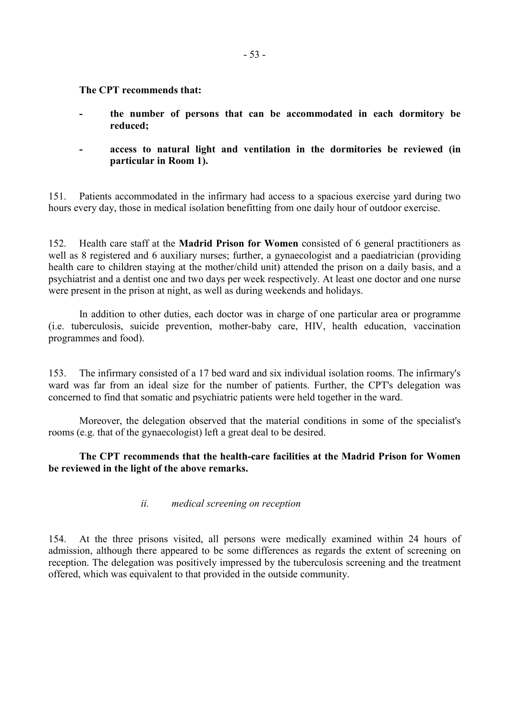**The CPT recommends that:** 

- the number of persons that can be accommodated in each dormitory be **reduced;**
- access to natural light and ventilation in the dormitories be reviewed (in **particular in Room 1).**

151. Patients accommodated in the infirmary had access to a spacious exercise yard during two hours every day, those in medical isolation benefitting from one daily hour of outdoor exercise.

152. Health care staff at the **Madrid Prison for Women** consisted of 6 general practitioners as well as 8 registered and 6 auxiliary nurses; further, a gynaecologist and a paediatrician (providing health care to children staying at the mother/child unit) attended the prison on a daily basis, and a psychiatrist and a dentist one and two days per week respectively. At least one doctor and one nurse were present in the prison at night, as well as during weekends and holidays.

 In addition to other duties, each doctor was in charge of one particular area or programme (i.e. tuberculosis, suicide prevention, mother-baby care, HIV, health education, vaccination programmes and food).

153. The infirmary consisted of a 17 bed ward and six individual isolation rooms. The infirmary's ward was far from an ideal size for the number of patients. Further, the CPT's delegation was concerned to find that somatic and psychiatric patients were held together in the ward.

 Moreover, the delegation observed that the material conditions in some of the specialist's rooms (e.g. that of the gynaecologist) left a great deal to be desired.

### **The CPT recommends that the health-care facilities at the Madrid Prison for Women be reviewed in the light of the above remarks.**

### *ii. medical screening on reception*

154. At the three prisons visited, all persons were medically examined within 24 hours of admission, although there appeared to be some differences as regards the extent of screening on reception. The delegation was positively impressed by the tuberculosis screening and the treatment offered, which was equivalent to that provided in the outside community.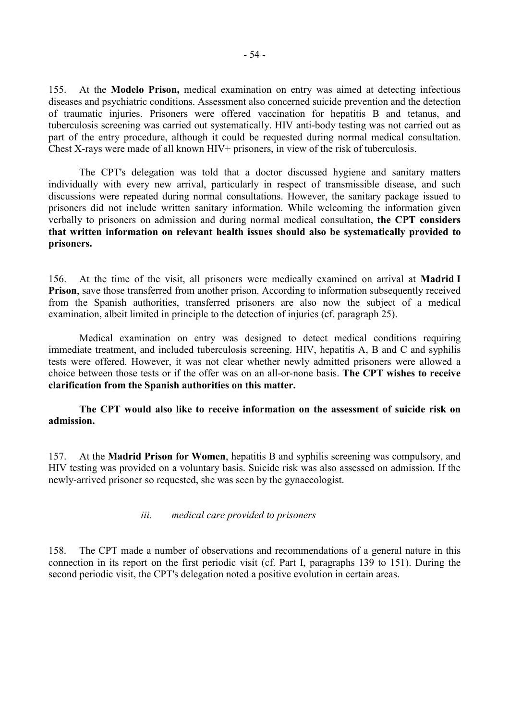155. At the **Modelo Prison,** medical examination on entry was aimed at detecting infectious diseases and psychiatric conditions. Assessment also concerned suicide prevention and the detection of traumatic injuries. Prisoners were offered vaccination for hepatitis B and tetanus, and tuberculosis screening was carried out systematically. HIV anti-body testing was not carried out as part of the entry procedure, although it could be requested during normal medical consultation. Chest X-rays were made of all known HIV+ prisoners, in view of the risk of tuberculosis.

 The CPT's delegation was told that a doctor discussed hygiene and sanitary matters individually with every new arrival, particularly in respect of transmissible disease, and such discussions were repeated during normal consultations. However, the sanitary package issued to prisoners did not include written sanitary information. While welcoming the information given verbally to prisoners on admission and during normal medical consultation, **the CPT considers that written information on relevant health issues should also be systematically provided to prisoners.**

156. At the time of the visit, all prisoners were medically examined on arrival at **Madrid I Prison**, save those transferred from another prison. According to information subsequently received from the Spanish authorities, transferred prisoners are also now the subject of a medical examination, albeit limited in principle to the detection of injuries (cf. paragraph 25).

 Medical examination on entry was designed to detect medical conditions requiring immediate treatment, and included tuberculosis screening. HIV, hepatitis A, B and C and syphilis tests were offered. However, it was not clear whether newly admitted prisoners were allowed a choice between those tests or if the offer was on an all-or-none basis. **The CPT wishes to receive clarification from the Spanish authorities on this matter.**

 **The CPT would also like to receive information on the assessment of suicide risk on admission.** 

157. At the **Madrid Prison for Women**, hepatitis B and syphilis screening was compulsory, and HIV testing was provided on a voluntary basis. Suicide risk was also assessed on admission. If the newly-arrived prisoner so requested, she was seen by the gynaecologist.

#### *iii. medical care provided to prisoners*

158. The CPT made a number of observations and recommendations of a general nature in this connection in its report on the first periodic visit (cf. Part I, paragraphs 139 to 151). During the second periodic visit, the CPT's delegation noted a positive evolution in certain areas.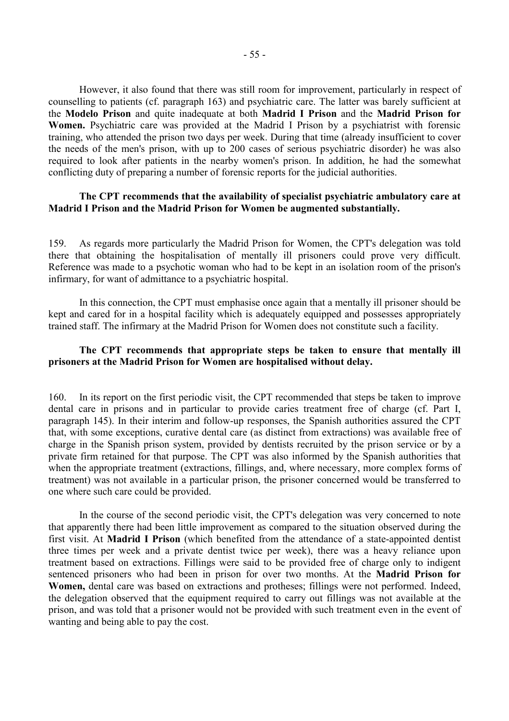However, it also found that there was still room for improvement, particularly in respect of counselling to patients (cf. paragraph 163) and psychiatric care. The latter was barely sufficient at the **Modelo Prison** and quite inadequate at both **Madrid I Prison** and the **Madrid Prison for Women.** Psychiatric care was provided at the Madrid I Prison by a psychiatrist with forensic training, who attended the prison two days per week. During that time (already insufficient to cover the needs of the men's prison, with up to 200 cases of serious psychiatric disorder) he was also required to look after patients in the nearby women's prison. In addition, he had the somewhat conflicting duty of preparing a number of forensic reports for the judicial authorities.

#### **The CPT recommends that the availability of specialist psychiatric ambulatory care at Madrid I Prison and the Madrid Prison for Women be augmented substantially.**

159. As regards more particularly the Madrid Prison for Women, the CPT's delegation was told there that obtaining the hospitalisation of mentally ill prisoners could prove very difficult. Reference was made to a psychotic woman who had to be kept in an isolation room of the prison's infirmary, for want of admittance to a psychiatric hospital.

 In this connection, the CPT must emphasise once again that a mentally ill prisoner should be kept and cared for in a hospital facility which is adequately equipped and possesses appropriately trained staff. The infirmary at the Madrid Prison for Women does not constitute such a facility.

#### **The CPT recommends that appropriate steps be taken to ensure that mentally ill prisoners at the Madrid Prison for Women are hospitalised without delay.**

160. In its report on the first periodic visit, the CPT recommended that steps be taken to improve dental care in prisons and in particular to provide caries treatment free of charge (cf. Part I, paragraph 145). In their interim and follow-up responses, the Spanish authorities assured the CPT that, with some exceptions, curative dental care (as distinct from extractions) was available free of charge in the Spanish prison system, provided by dentists recruited by the prison service or by a private firm retained for that purpose. The CPT was also informed by the Spanish authorities that when the appropriate treatment (extractions, fillings, and, where necessary, more complex forms of treatment) was not available in a particular prison, the prisoner concerned would be transferred to one where such care could be provided.

 In the course of the second periodic visit, the CPT's delegation was very concerned to note that apparently there had been little improvement as compared to the situation observed during the first visit. At **Madrid I Prison** (which benefited from the attendance of a state-appointed dentist three times per week and a private dentist twice per week), there was a heavy reliance upon treatment based on extractions. Fillings were said to be provided free of charge only to indigent sentenced prisoners who had been in prison for over two months. At the **Madrid Prison for Women,** dental care was based on extractions and protheses; fillings were not performed. Indeed, the delegation observed that the equipment required to carry out fillings was not available at the prison, and was told that a prisoner would not be provided with such treatment even in the event of wanting and being able to pay the cost.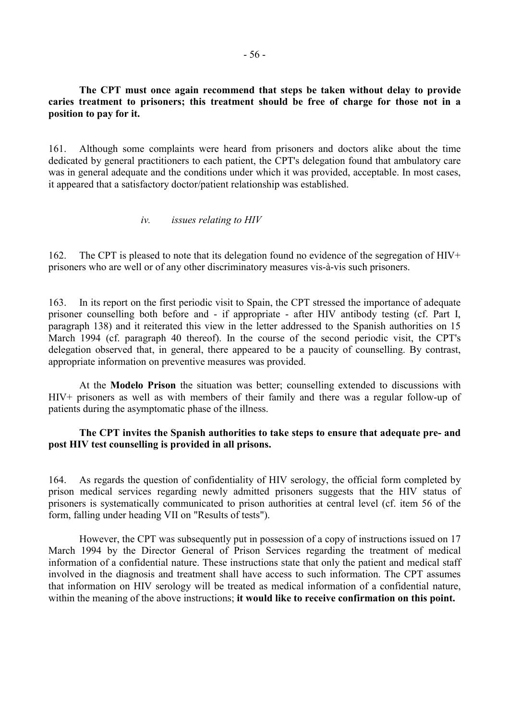### **The CPT must once again recommend that steps be taken without delay to provide caries treatment to prisoners; this treatment should be free of charge for those not in a position to pay for it.**

161. Although some complaints were heard from prisoners and doctors alike about the time dedicated by general practitioners to each patient, the CPT's delegation found that ambulatory care was in general adequate and the conditions under which it was provided, acceptable. In most cases, it appeared that a satisfactory doctor/patient relationship was established.

### *iv. issues relating to HIV*

162. The CPT is pleased to note that its delegation found no evidence of the segregation of HIV+ prisoners who are well or of any other discriminatory measures vis-à-vis such prisoners.

163. In its report on the first periodic visit to Spain, the CPT stressed the importance of adequate prisoner counselling both before and - if appropriate - after HIV antibody testing (cf. Part I, paragraph 138) and it reiterated this view in the letter addressed to the Spanish authorities on 15 March 1994 (cf. paragraph 40 thereof). In the course of the second periodic visit, the CPT's delegation observed that, in general, there appeared to be a paucity of counselling. By contrast, appropriate information on preventive measures was provided.

 At the **Modelo Prison** the situation was better; counselling extended to discussions with HIV+ prisoners as well as with members of their family and there was a regular follow-up of patients during the asymptomatic phase of the illness.

### **The CPT invites the Spanish authorities to take steps to ensure that adequate pre- and post HIV test counselling is provided in all prisons.**

164. As regards the question of confidentiality of HIV serology, the official form completed by prison medical services regarding newly admitted prisoners suggests that the HIV status of prisoners is systematically communicated to prison authorities at central level (cf. item 56 of the form, falling under heading VII on "Results of tests").

 However, the CPT was subsequently put in possession of a copy of instructions issued on 17 March 1994 by the Director General of Prison Services regarding the treatment of medical information of a confidential nature. These instructions state that only the patient and medical staff involved in the diagnosis and treatment shall have access to such information. The CPT assumes that information on HIV serology will be treated as medical information of a confidential nature, within the meaning of the above instructions; **it would like to receive confirmation on this point.**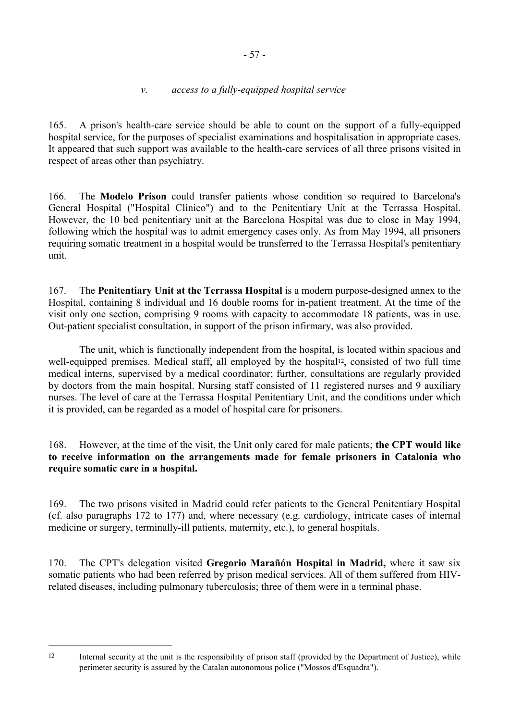## *v. access to a fully-equipped hospital service*

165. A prison's health-care service should be able to count on the support of a fully-equipped hospital service, for the purposes of specialist examinations and hospitalisation in appropriate cases. It appeared that such support was available to the health-care services of all three prisons visited in respect of areas other than psychiatry.

166. The **Modelo Prison** could transfer patients whose condition so required to Barcelona's General Hospital ("Hospital Clínico") and to the Penitentiary Unit at the Terrassa Hospital. However, the 10 bed penitentiary unit at the Barcelona Hospital was due to close in May 1994, following which the hospital was to admit emergency cases only. As from May 1994, all prisoners requiring somatic treatment in a hospital would be transferred to the Terrassa Hospital's penitentiary unit.

167. The **Penitentiary Unit at the Terrassa Hospital** is a modern purpose-designed annex to the Hospital, containing 8 individual and 16 double rooms for in-patient treatment. At the time of the visit only one section, comprising 9 rooms with capacity to accommodate 18 patients, was in use. Out-patient specialist consultation, in support of the prison infirmary, was also provided.

 The unit, which is functionally independent from the hospital, is located within spacious and well-equipped premises. Medical staff, all employed by the hospital<sup>12</sup>, consisted of two full time medical interns, supervised by a medical coordinator; further, consultations are regularly provided by doctors from the main hospital. Nursing staff consisted of 11 registered nurses and 9 auxiliary nurses. The level of care at the Terrassa Hospital Penitentiary Unit, and the conditions under which it is provided, can be regarded as a model of hospital care for prisoners.

168. However, at the time of the visit, the Unit only cared for male patients; **the CPT would like to receive information on the arrangements made for female prisoners in Catalonia who require somatic care in a hospital.**

169. The two prisons visited in Madrid could refer patients to the General Penitentiary Hospital (cf. also paragraphs 172 to 177) and, where necessary (e.g. cardiology, intricate cases of internal medicine or surgery, terminally-ill patients, maternity, etc.), to general hospitals.

170. The CPT's delegation visited **Gregorio Marañón Hospital in Madrid,** where it saw six somatic patients who had been referred by prison medical services. All of them suffered from HIVrelated diseases, including pulmonary tuberculosis; three of them were in a terminal phase.

 $\overline{a}$ 

<sup>12</sup> Internal security at the unit is the responsibility of prison staff (provided by the Department of Justice), while perimeter security is assured by the Catalan autonomous police ("Mossos d'Esquadra").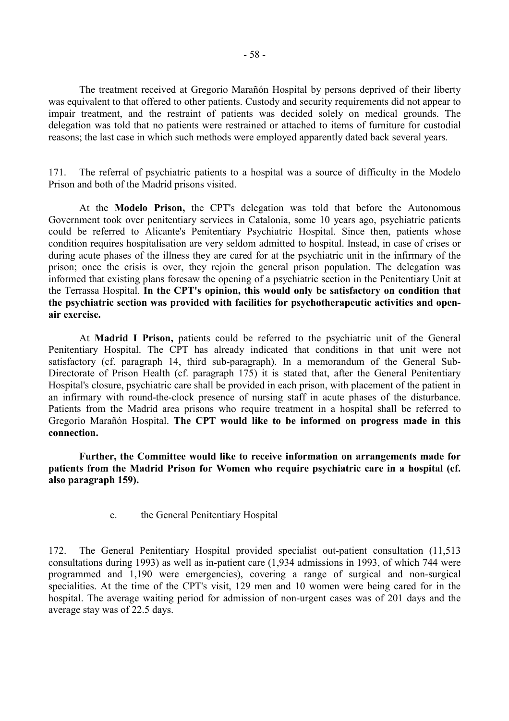The treatment received at Gregorio Marañón Hospital by persons deprived of their liberty was equivalent to that offered to other patients. Custody and security requirements did not appear to impair treatment, and the restraint of patients was decided solely on medical grounds. The delegation was told that no patients were restrained or attached to items of furniture for custodial reasons; the last case in which such methods were employed apparently dated back several years.

171. The referral of psychiatric patients to a hospital was a source of difficulty in the Modelo Prison and both of the Madrid prisons visited.

 At the **Modelo Prison,** the CPT's delegation was told that before the Autonomous Government took over penitentiary services in Catalonia, some 10 years ago, psychiatric patients could be referred to Alicante's Penitentiary Psychiatric Hospital. Since then, patients whose condition requires hospitalisation are very seldom admitted to hospital. Instead, in case of crises or during acute phases of the illness they are cared for at the psychiatric unit in the infirmary of the prison; once the crisis is over, they rejoin the general prison population. The delegation was informed that existing plans foresaw the opening of a psychiatric section in the Penitentiary Unit at the Terrassa Hospital. **In the CPT's opinion, this would only be satisfactory on condition that the psychiatric section was provided with facilities for psychotherapeutic activities and openair exercise.** 

 At **Madrid I Prison,** patients could be referred to the psychiatric unit of the General Penitentiary Hospital. The CPT has already indicated that conditions in that unit were not satisfactory (cf. paragraph 14, third sub-paragraph). In a memorandum of the General Sub-Directorate of Prison Health (cf. paragraph 175) it is stated that, after the General Penitentiary Hospital's closure, psychiatric care shall be provided in each prison, with placement of the patient in an infirmary with round-the-clock presence of nursing staff in acute phases of the disturbance. Patients from the Madrid area prisons who require treatment in a hospital shall be referred to Gregorio Marañón Hospital. **The CPT would like to be informed on progress made in this connection.** 

 **Further, the Committee would like to receive information on arrangements made for patients from the Madrid Prison for Women who require psychiatric care in a hospital (cf. also paragraph 159).**

c. the General Penitentiary Hospital

172. The General Penitentiary Hospital provided specialist out-patient consultation (11,513 consultations during 1993) as well as in-patient care (1,934 admissions in 1993, of which 744 were programmed and 1,190 were emergencies), covering a range of surgical and non-surgical specialities. At the time of the CPT's visit, 129 men and 10 women were being cared for in the hospital. The average waiting period for admission of non-urgent cases was of 201 days and the average stay was of 22.5 days.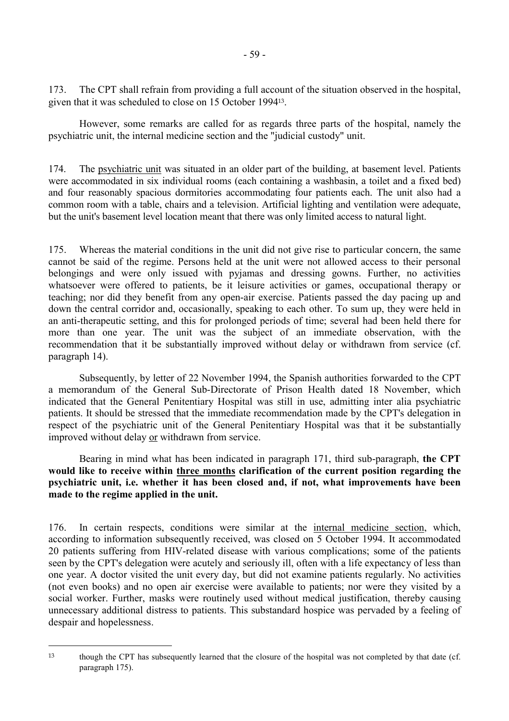173. The CPT shall refrain from providing a full account of the situation observed in the hospital, given that it was scheduled to close on 15 October 199413.

 However, some remarks are called for as regards three parts of the hospital, namely the psychiatric unit, the internal medicine section and the "judicial custody" unit.

174. The psychiatric unit was situated in an older part of the building, at basement level. Patients were accommodated in six individual rooms (each containing a washbasin, a toilet and a fixed bed) and four reasonably spacious dormitories accommodating four patients each. The unit also had a common room with a table, chairs and a television. Artificial lighting and ventilation were adequate, but the unit's basement level location meant that there was only limited access to natural light.

175. Whereas the material conditions in the unit did not give rise to particular concern, the same cannot be said of the regime. Persons held at the unit were not allowed access to their personal belongings and were only issued with pyjamas and dressing gowns. Further, no activities whatsoever were offered to patients, be it leisure activities or games, occupational therapy or teaching; nor did they benefit from any open-air exercise. Patients passed the day pacing up and down the central corridor and, occasionally, speaking to each other. To sum up, they were held in an anti-therapeutic setting, and this for prolonged periods of time; several had been held there for more than one year. The unit was the subject of an immediate observation, with the recommendation that it be substantially improved without delay or withdrawn from service (cf. paragraph 14).

 Subsequently, by letter of 22 November 1994, the Spanish authorities forwarded to the CPT a memorandum of the General Sub-Directorate of Prison Health dated 18 November, which indicated that the General Penitentiary Hospital was still in use, admitting inter alia psychiatric patients. It should be stressed that the immediate recommendation made by the CPT's delegation in respect of the psychiatric unit of the General Penitentiary Hospital was that it be substantially improved without delay or withdrawn from service.

 Bearing in mind what has been indicated in paragraph 171, third sub-paragraph, **the CPT would like to receive within three months clarification of the current position regarding the psychiatric unit, i.e. whether it has been closed and, if not, what improvements have been made to the regime applied in the unit.**

176. In certain respects, conditions were similar at the internal medicine section, which, according to information subsequently received, was closed on 5 October 1994. It accommodated 20 patients suffering from HIV-related disease with various complications; some of the patients seen by the CPT's delegation were acutely and seriously ill, often with a life expectancy of less than one year. A doctor visited the unit every day, but did not examine patients regularly. No activities (not even books) and no open air exercise were available to patients; nor were they visited by a social worker. Further, masks were routinely used without medical justification, thereby causing unnecessary additional distress to patients. This substandard hospice was pervaded by a feeling of despair and hopelessness.

 $\overline{a}$ 

<sup>13</sup> though the CPT has subsequently learned that the closure of the hospital was not completed by that date (cf. paragraph 175).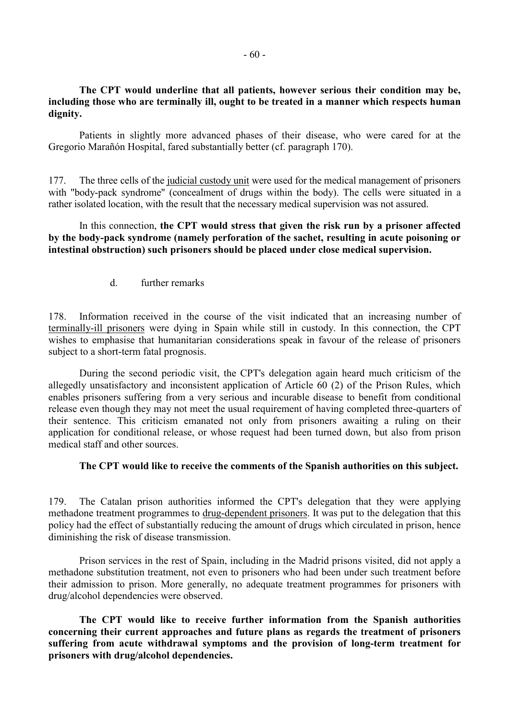## **The CPT would underline that all patients, however serious their condition may be, including those who are terminally ill, ought to be treated in a manner which respects human dignity.**

 Patients in slightly more advanced phases of their disease, who were cared for at the Gregorio Marañón Hospital, fared substantially better (cf. paragraph 170).

177. The three cells of the judicial custody unit were used for the medical management of prisoners with "body-pack syndrome" (concealment of drugs within the body). The cells were situated in a rather isolated location, with the result that the necessary medical supervision was not assured.

 In this connection, **the CPT would stress that given the risk run by a prisoner affected by the body-pack syndrome (namely perforation of the sachet, resulting in acute poisoning or intestinal obstruction) such prisoners should be placed under close medical supervision.**

d. further remarks

178. Information received in the course of the visit indicated that an increasing number of terminally-ill prisoners were dying in Spain while still in custody. In this connection, the CPT wishes to emphasise that humanitarian considerations speak in favour of the release of prisoners subject to a short-term fatal prognosis.

 During the second periodic visit, the CPT's delegation again heard much criticism of the allegedly unsatisfactory and inconsistent application of Article 60 (2) of the Prison Rules, which enables prisoners suffering from a very serious and incurable disease to benefit from conditional release even though they may not meet the usual requirement of having completed three-quarters of their sentence. This criticism emanated not only from prisoners awaiting a ruling on their application for conditional release, or whose request had been turned down, but also from prison medical staff and other sources.

#### **The CPT would like to receive the comments of the Spanish authorities on this subject.**

179. The Catalan prison authorities informed the CPT's delegation that they were applying methadone treatment programmes to drug-dependent prisoners. It was put to the delegation that this policy had the effect of substantially reducing the amount of drugs which circulated in prison, hence diminishing the risk of disease transmission.

 Prison services in the rest of Spain, including in the Madrid prisons visited, did not apply a methadone substitution treatment, not even to prisoners who had been under such treatment before their admission to prison. More generally, no adequate treatment programmes for prisoners with drug/alcohol dependencies were observed.

 **The CPT would like to receive further information from the Spanish authorities concerning their current approaches and future plans as regards the treatment of prisoners suffering from acute withdrawal symptoms and the provision of long-term treatment for prisoners with drug/alcohol dependencies.**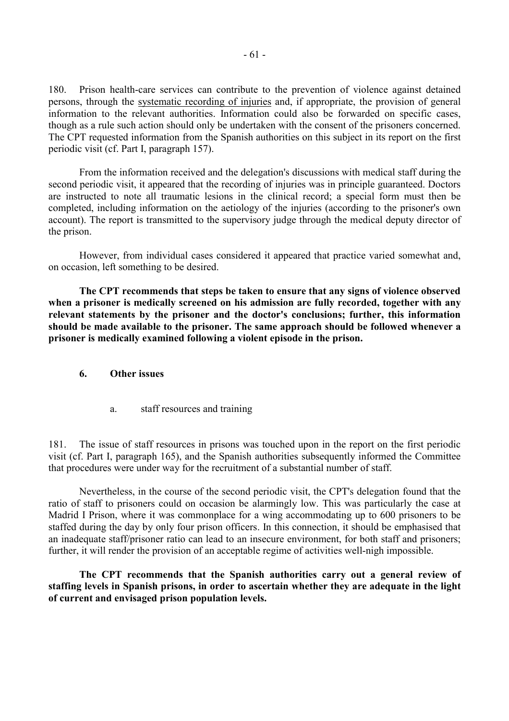180. Prison health-care services can contribute to the prevention of violence against detained persons, through the systematic recording of injuries and, if appropriate, the provision of general information to the relevant authorities. Information could also be forwarded on specific cases, though as a rule such action should only be undertaken with the consent of the prisoners concerned. The CPT requested information from the Spanish authorities on this subject in its report on the first periodic visit (cf. Part I, paragraph 157).

 From the information received and the delegation's discussions with medical staff during the second periodic visit, it appeared that the recording of injuries was in principle guaranteed. Doctors are instructed to note all traumatic lesions in the clinical record; a special form must then be completed, including information on the aetiology of the injuries (according to the prisoner's own account). The report is transmitted to the supervisory judge through the medical deputy director of the prison.

 However, from individual cases considered it appeared that practice varied somewhat and, on occasion, left something to be desired.

 **The CPT recommends that steps be taken to ensure that any signs of violence observed when a prisoner is medically screened on his admission are fully recorded, together with any relevant statements by the prisoner and the doctor's conclusions; further, this information should be made available to the prisoner. The same approach should be followed whenever a prisoner is medically examined following a violent episode in the prison.**

#### **6. Other issues**

a. staff resources and training

181. The issue of staff resources in prisons was touched upon in the report on the first periodic visit (cf. Part I, paragraph 165), and the Spanish authorities subsequently informed the Committee that procedures were under way for the recruitment of a substantial number of staff.

 Nevertheless, in the course of the second periodic visit, the CPT's delegation found that the ratio of staff to prisoners could on occasion be alarmingly low. This was particularly the case at Madrid I Prison, where it was commonplace for a wing accommodating up to 600 prisoners to be staffed during the day by only four prison officers. In this connection, it should be emphasised that an inadequate staff/prisoner ratio can lead to an insecure environment, for both staff and prisoners; further, it will render the provision of an acceptable regime of activities well-nigh impossible.

 **The CPT recommends that the Spanish authorities carry out a general review of staffing levels in Spanish prisons, in order to ascertain whether they are adequate in the light of current and envisaged prison population levels.**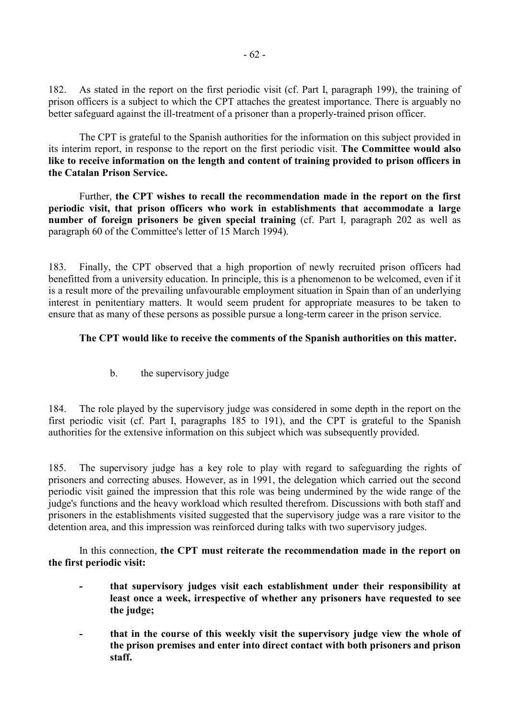182. As stated in the report on the first periodic visit (cf. Part I, paragraph 199), the training of prison officers is a subject to which the CPT attaches the greatest importance. There is arguably no better safeguard against the ill-treatment of a prisoner than a properly-trained prison officer.

 The CPT is grateful to the Spanish authorities for the information on this subject provided in its interim report, in response to the report on the first periodic visit. **The Committee would also like to receive information on the length and content of training provided to prison officers in the Catalan Prison Service.**

 Further, **the CPT wishes to recall the recommendation made in the report on the first periodic visit, that prison officers who work in establishments that accommodate a large number of foreign prisoners be given special training** (cf. Part I, paragraph 202 as well as paragraph 60 of the Committee's letter of 15 March 1994).

183. Finally, the CPT observed that a high proportion of newly recruited prison officers had benefitted from a university education. In principle, this is a phenomenon to be welcomed, even if it is a result more of the prevailing unfavourable employment situation in Spain than of an underlying interest in penitentiary matters. It would seem prudent for appropriate measures to be taken to ensure that as many of these persons as possible pursue a long-term career in the prison service.

## **The CPT would like to receive the comments of the Spanish authorities on this matter.**

b. the supervisory judge

184. The role played by the supervisory judge was considered in some depth in the report on the first periodic visit (cf. Part I, paragraphs 185 to 191), and the CPT is grateful to the Spanish authorities for the extensive information on this subject which was subsequently provided.

185. The supervisory judge has a key role to play with regard to safeguarding the rights of prisoners and correcting abuses. However, as in 1991, the delegation which carried out the second periodic visit gained the impression that this role was being undermined by the wide range of the judge's functions and the heavy workload which resulted therefrom. Discussions with both staff and prisoners in the establishments visited suggested that the supervisory judge was a rare visitor to the detention area, and this impression was reinforced during talks with two supervisory judges.

 In this connection, **the CPT must reiterate the recommendation made in the report on the first periodic visit:** 

- that supervisory judges visit each establishment under their responsibility at **least once a week, irrespective of whether any prisoners have requested to see the judge;**
- that in the course of this weekly visit the supervisory judge view the whole of **the prison premises and enter into direct contact with both prisoners and prison staff.**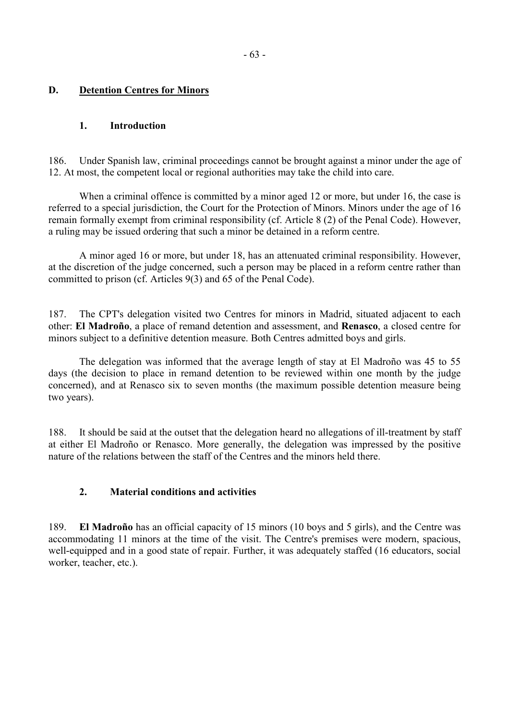## **D. Detention Centres for Minors**

### **1. Introduction**

186. Under Spanish law, criminal proceedings cannot be brought against a minor under the age of 12. At most, the competent local or regional authorities may take the child into care.

 When a criminal offence is committed by a minor aged 12 or more, but under 16, the case is referred to a special jurisdiction, the Court for the Protection of Minors. Minors under the age of 16 remain formally exempt from criminal responsibility (cf. Article 8 (2) of the Penal Code). However, a ruling may be issued ordering that such a minor be detained in a reform centre.

 A minor aged 16 or more, but under 18, has an attenuated criminal responsibility. However, at the discretion of the judge concerned, such a person may be placed in a reform centre rather than committed to prison (cf. Articles 9(3) and 65 of the Penal Code).

187. The CPT's delegation visited two Centres for minors in Madrid, situated adjacent to each other: **El Madroño**, a place of remand detention and assessment, and **Renasco**, a closed centre for minors subject to a definitive detention measure. Both Centres admitted boys and girls.

 The delegation was informed that the average length of stay at El Madroño was 45 to 55 days (the decision to place in remand detention to be reviewed within one month by the judge concerned), and at Renasco six to seven months (the maximum possible detention measure being two years).

188. It should be said at the outset that the delegation heard no allegations of ill-treatment by staff at either El Madroño or Renasco. More generally, the delegation was impressed by the positive nature of the relations between the staff of the Centres and the minors held there.

#### **2. Material conditions and activities**

189. **El Madroño** has an official capacity of 15 minors (10 boys and 5 girls), and the Centre was accommodating 11 minors at the time of the visit. The Centre's premises were modern, spacious, well-equipped and in a good state of repair. Further, it was adequately staffed (16 educators, social worker, teacher, etc.).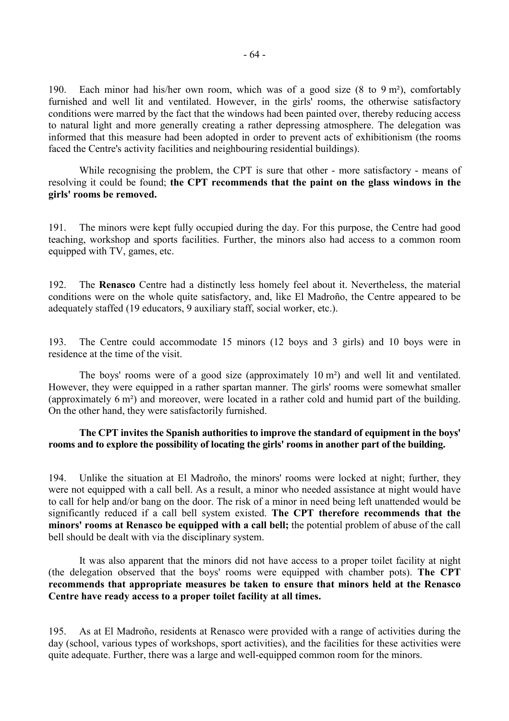190. Each minor had his/her own room, which was of a good size (8 to 9 m²), comfortably furnished and well lit and ventilated. However, in the girls' rooms, the otherwise satisfactory conditions were marred by the fact that the windows had been painted over, thereby reducing access to natural light and more generally creating a rather depressing atmosphere. The delegation was informed that this measure had been adopted in order to prevent acts of exhibitionism (the rooms faced the Centre's activity facilities and neighbouring residential buildings).

 While recognising the problem, the CPT is sure that other - more satisfactory - means of resolving it could be found; **the CPT recommends that the paint on the glass windows in the girls' rooms be removed.**

191. The minors were kept fully occupied during the day. For this purpose, the Centre had good teaching, workshop and sports facilities. Further, the minors also had access to a common room equipped with TV, games, etc.

192. The **Renasco** Centre had a distinctly less homely feel about it. Nevertheless, the material conditions were on the whole quite satisfactory, and, like El Madroño, the Centre appeared to be adequately staffed (19 educators, 9 auxiliary staff, social worker, etc.).

193. The Centre could accommodate 15 minors (12 boys and 3 girls) and 10 boys were in residence at the time of the visit.

 The boys' rooms were of a good size (approximately 10 m²) and well lit and ventilated. However, they were equipped in a rather spartan manner. The girls' rooms were somewhat smaller (approximately 6 m²) and moreover, were located in a rather cold and humid part of the building. On the other hand, they were satisfactorily furnished.

### **The CPT invites the Spanish authorities to improve the standard of equipment in the boys' rooms and to explore the possibility of locating the girls' rooms in another part of the building.**

194. Unlike the situation at El Madroño, the minors' rooms were locked at night; further, they were not equipped with a call bell. As a result, a minor who needed assistance at night would have to call for help and/or bang on the door. The risk of a minor in need being left unattended would be significantly reduced if a call bell system existed. **The CPT therefore recommends that the minors' rooms at Renasco be equipped with a call bell;** the potential problem of abuse of the call bell should be dealt with via the disciplinary system.

 It was also apparent that the minors did not have access to a proper toilet facility at night (the delegation observed that the boys' rooms were equipped with chamber pots). **The CPT recommends that appropriate measures be taken to ensure that minors held at the Renasco Centre have ready access to a proper toilet facility at all times.**

195. As at El Madroño, residents at Renasco were provided with a range of activities during the day (school, various types of workshops, sport activities), and the facilities for these activities were quite adequate. Further, there was a large and well-equipped common room for the minors.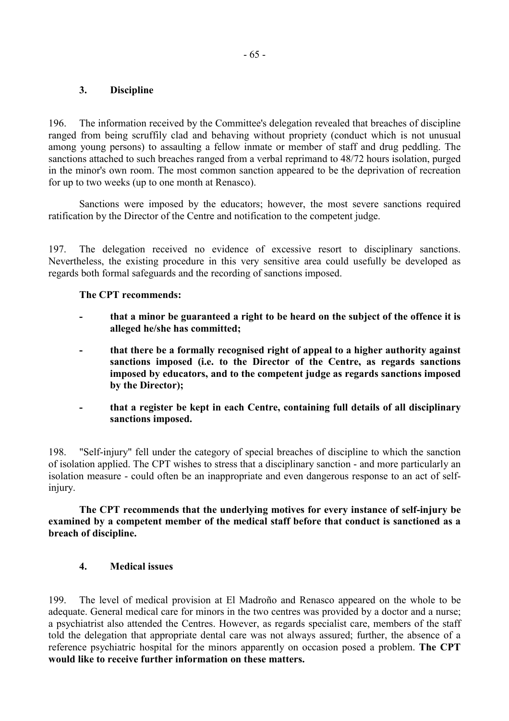## **3. Discipline**

196. The information received by the Committee's delegation revealed that breaches of discipline ranged from being scruffily clad and behaving without propriety (conduct which is not unusual among young persons) to assaulting a fellow inmate or member of staff and drug peddling. The sanctions attached to such breaches ranged from a verbal reprimand to 48/72 hours isolation, purged in the minor's own room. The most common sanction appeared to be the deprivation of recreation for up to two weeks (up to one month at Renasco).

 Sanctions were imposed by the educators; however, the most severe sanctions required ratification by the Director of the Centre and notification to the competent judge.

197. The delegation received no evidence of excessive resort to disciplinary sanctions. Nevertheless, the existing procedure in this very sensitive area could usefully be developed as regards both formal safeguards and the recording of sanctions imposed.

### **The CPT recommends:**

- that a minor be guaranteed a right to be heard on the subject of the offence it is **alleged he/she has committed;**
- **that there be a formally recognised right of appeal to a higher authority against sanctions imposed (i.e. to the Director of the Centre, as regards sanctions imposed by educators, and to the competent judge as regards sanctions imposed by the Director);**
- **that a register be kept in each Centre, containing full details of all disciplinary sanctions imposed.**

198. "Self-injury" fell under the category of special breaches of discipline to which the sanction of isolation applied. The CPT wishes to stress that a disciplinary sanction - and more particularly an isolation measure - could often be an inappropriate and even dangerous response to an act of selfinjury.

 **The CPT recommends that the underlying motives for every instance of self-injury be examined by a competent member of the medical staff before that conduct is sanctioned as a breach of discipline.**

## **4. Medical issues**

199. The level of medical provision at El Madroño and Renasco appeared on the whole to be adequate. General medical care for minors in the two centres was provided by a doctor and a nurse; a psychiatrist also attended the Centres. However, as regards specialist care, members of the staff told the delegation that appropriate dental care was not always assured; further, the absence of a reference psychiatric hospital for the minors apparently on occasion posed a problem. **The CPT would like to receive further information on these matters.**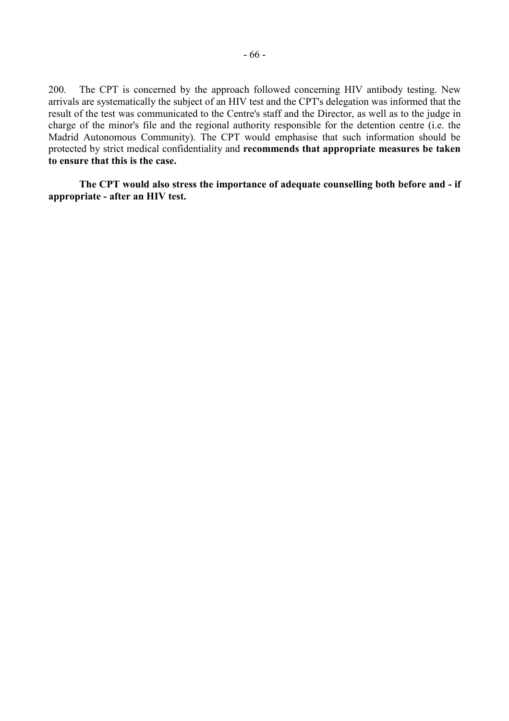200. The CPT is concerned by the approach followed concerning HIV antibody testing. New arrivals are systematically the subject of an HIV test and the CPT's delegation was informed that the result of the test was communicated to the Centre's staff and the Director, as well as to the judge in charge of the minor's file and the regional authority responsible for the detention centre (i.e. the Madrid Autonomous Community). The CPT would emphasise that such information should be protected by strict medical confidentiality and **recommends that appropriate measures be taken to ensure that this is the case.**

 **The CPT would also stress the importance of adequate counselling both before and - if appropriate - after an HIV test.**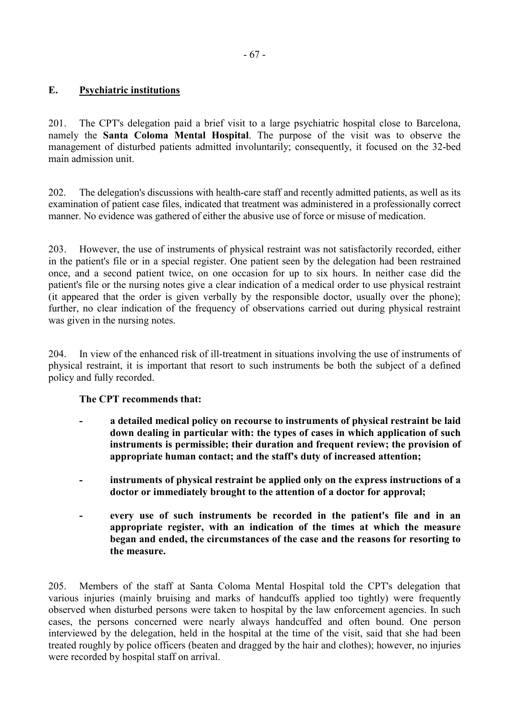# **E. Psychiatric institutions**

201. The CPT's delegation paid a brief visit to a large psychiatric hospital close to Barcelona, namely the **Santa Coloma Mental Hospital**. The purpose of the visit was to observe the management of disturbed patients admitted involuntarily; consequently, it focused on the 32-bed main admission unit.

202. The delegation's discussions with health-care staff and recently admitted patients, as well as its examination of patient case files, indicated that treatment was administered in a professionally correct manner. No evidence was gathered of either the abusive use of force or misuse of medication.

203. However, the use of instruments of physical restraint was not satisfactorily recorded, either in the patient's file or in a special register. One patient seen by the delegation had been restrained once, and a second patient twice, on one occasion for up to six hours. In neither case did the patient's file or the nursing notes give a clear indication of a medical order to use physical restraint (it appeared that the order is given verbally by the responsible doctor, usually over the phone); further, no clear indication of the frequency of observations carried out during physical restraint was given in the nursing notes.

204. In view of the enhanced risk of ill-treatment in situations involving the use of instruments of physical restraint, it is important that resort to such instruments be both the subject of a defined policy and fully recorded.

## **The CPT recommends that:**

- a detailed medical policy on recourse to instruments of physical restraint be laid **down dealing in particular with: the types of cases in which application of such instruments is permissible; their duration and frequent review; the provision of appropriate human contact; and the staff's duty of increased attention;**
- instruments of physical restraint be applied only on the express instructions of a **doctor or immediately brought to the attention of a doctor for approval;**
- **every use of such instruments be recorded in the patient's file and in an appropriate register, with an indication of the times at which the measure began and ended, the circumstances of the case and the reasons for resorting to the measure.**

205. Members of the staff at Santa Coloma Mental Hospital told the CPT's delegation that various injuries (mainly bruising and marks of handcuffs applied too tightly) were frequently observed when disturbed persons were taken to hospital by the law enforcement agencies. In such cases, the persons concerned were nearly always handcuffed and often bound. One person interviewed by the delegation, held in the hospital at the time of the visit, said that she had been treated roughly by police officers (beaten and dragged by the hair and clothes); however, no injuries were recorded by hospital staff on arrival.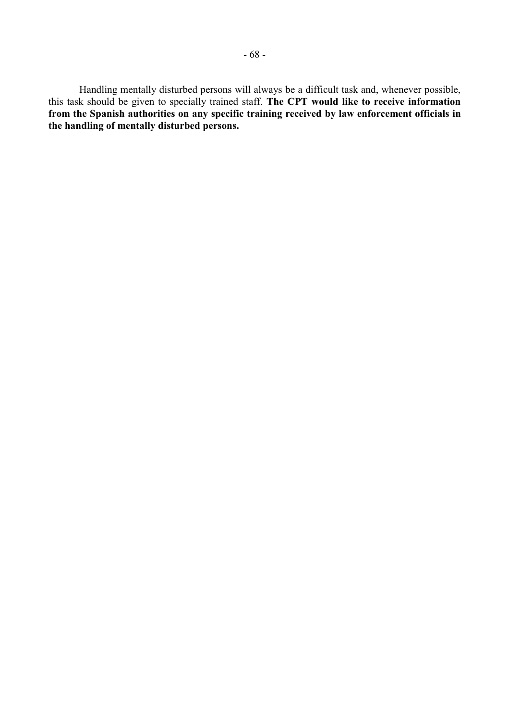Handling mentally disturbed persons will always be a difficult task and, whenever possible, this task should be given to specially trained staff. **The CPT would like to receive information from the Spanish authorities on any specific training received by law enforcement officials in the handling of mentally disturbed persons.**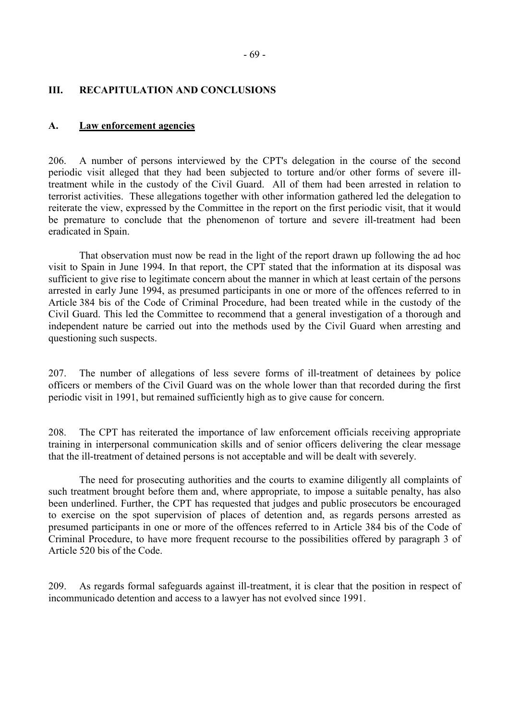### **III. RECAPITULATION AND CONCLUSIONS**

#### **A. Law enforcement agencies**

206. A number of persons interviewed by the CPT's delegation in the course of the second periodic visit alleged that they had been subjected to torture and/or other forms of severe illtreatment while in the custody of the Civil Guard. All of them had been arrested in relation to terrorist activities. These allegations together with other information gathered led the delegation to reiterate the view, expressed by the Committee in the report on the first periodic visit, that it would be premature to conclude that the phenomenon of torture and severe ill-treatment had been eradicated in Spain.

 That observation must now be read in the light of the report drawn up following the ad hoc visit to Spain in June 1994. In that report, the CPT stated that the information at its disposal was sufficient to give rise to legitimate concern about the manner in which at least certain of the persons arrested in early June 1994, as presumed participants in one or more of the offences referred to in Article 384 bis of the Code of Criminal Procedure, had been treated while in the custody of the Civil Guard. This led the Committee to recommend that a general investigation of a thorough and independent nature be carried out into the methods used by the Civil Guard when arresting and questioning such suspects.

207. The number of allegations of less severe forms of ill-treatment of detainees by police officers or members of the Civil Guard was on the whole lower than that recorded during the first periodic visit in 1991, but remained sufficiently high as to give cause for concern.

208. The CPT has reiterated the importance of law enforcement officials receiving appropriate training in interpersonal communication skills and of senior officers delivering the clear message that the ill-treatment of detained persons is not acceptable and will be dealt with severely.

 The need for prosecuting authorities and the courts to examine diligently all complaints of such treatment brought before them and, where appropriate, to impose a suitable penalty, has also been underlined. Further, the CPT has requested that judges and public prosecutors be encouraged to exercise on the spot supervision of places of detention and, as regards persons arrested as presumed participants in one or more of the offences referred to in Article 384 bis of the Code of Criminal Procedure, to have more frequent recourse to the possibilities offered by paragraph 3 of Article 520 bis of the Code.

209. As regards formal safeguards against ill-treatment, it is clear that the position in respect of incommunicado detention and access to a lawyer has not evolved since 1991.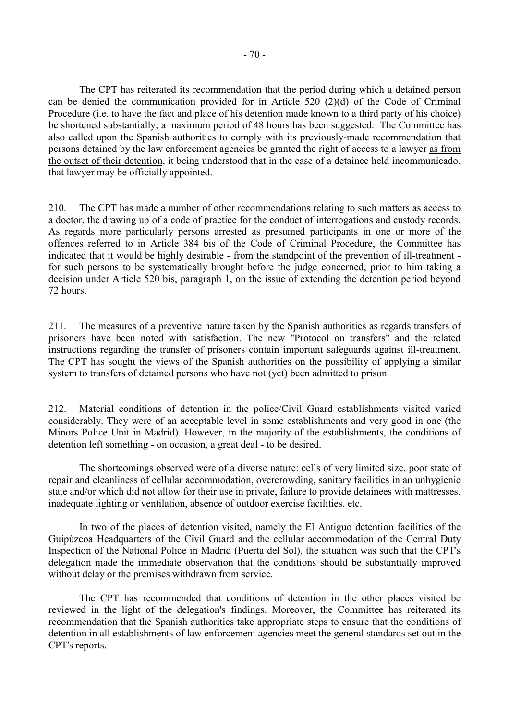The CPT has reiterated its recommendation that the period during which a detained person can be denied the communication provided for in Article 520 (2)(d) of the Code of Criminal Procedure (i.e. to have the fact and place of his detention made known to a third party of his choice) be shortened substantially; a maximum period of 48 hours has been suggested. The Committee has also called upon the Spanish authorities to comply with its previously-made recommendation that persons detained by the law enforcement agencies be granted the right of access to a lawyer as from the outset of their detention, it being understood that in the case of a detainee held incommunicado, that lawyer may be officially appointed.

210. The CPT has made a number of other recommendations relating to such matters as access to a doctor, the drawing up of a code of practice for the conduct of interrogations and custody records. As regards more particularly persons arrested as presumed participants in one or more of the offences referred to in Article 384 bis of the Code of Criminal Procedure, the Committee has indicated that it would be highly desirable - from the standpoint of the prevention of ill-treatment for such persons to be systematically brought before the judge concerned, prior to him taking a decision under Article 520 bis, paragraph 1, on the issue of extending the detention period beyond 72 hours.

211. The measures of a preventive nature taken by the Spanish authorities as regards transfers of prisoners have been noted with satisfaction. The new "Protocol on transfers" and the related instructions regarding the transfer of prisoners contain important safeguards against ill-treatment. The CPT has sought the views of the Spanish authorities on the possibility of applying a similar system to transfers of detained persons who have not (yet) been admitted to prison.

212. Material conditions of detention in the police/Civil Guard establishments visited varied considerably. They were of an acceptable level in some establishments and very good in one (the Minors Police Unit in Madrid). However, in the majority of the establishments, the conditions of detention left something - on occasion, a great deal - to be desired.

 The shortcomings observed were of a diverse nature: cells of very limited size, poor state of repair and cleanliness of cellular accommodation, overcrowding, sanitary facilities in an unhygienic state and/or which did not allow for their use in private, failure to provide detainees with mattresses, inadequate lighting or ventilation, absence of outdoor exercise facilities, etc.

 In two of the places of detention visited, namely the El Antiguo detention facilities of the Guipúzcoa Headquarters of the Civil Guard and the cellular accommodation of the Central Duty Inspection of the National Police in Madrid (Puerta del Sol), the situation was such that the CPT's delegation made the immediate observation that the conditions should be substantially improved without delay or the premises withdrawn from service.

 The CPT has recommended that conditions of detention in the other places visited be reviewed in the light of the delegation's findings. Moreover, the Committee has reiterated its recommendation that the Spanish authorities take appropriate steps to ensure that the conditions of detention in all establishments of law enforcement agencies meet the general standards set out in the CPT's reports.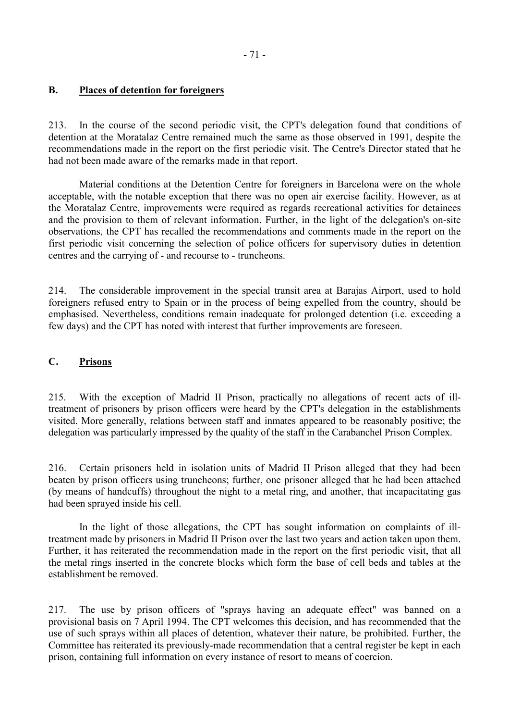## **B. Places of detention for foreigners**

213. In the course of the second periodic visit, the CPT's delegation found that conditions of detention at the Moratalaz Centre remained much the same as those observed in 1991, despite the recommendations made in the report on the first periodic visit. The Centre's Director stated that he had not been made aware of the remarks made in that report.

 Material conditions at the Detention Centre for foreigners in Barcelona were on the whole acceptable, with the notable exception that there was no open air exercise facility. However, as at the Moratalaz Centre, improvements were required as regards recreational activities for detainees and the provision to them of relevant information. Further, in the light of the delegation's on-site observations, the CPT has recalled the recommendations and comments made in the report on the first periodic visit concerning the selection of police officers for supervisory duties in detention centres and the carrying of - and recourse to - truncheons.

214. The considerable improvement in the special transit area at Barajas Airport, used to hold foreigners refused entry to Spain or in the process of being expelled from the country, should be emphasised. Nevertheless, conditions remain inadequate for prolonged detention (i.e. exceeding a few days) and the CPT has noted with interest that further improvements are foreseen.

## **C. Prisons**

215. With the exception of Madrid II Prison, practically no allegations of recent acts of illtreatment of prisoners by prison officers were heard by the CPT's delegation in the establishments visited. More generally, relations between staff and inmates appeared to be reasonably positive; the delegation was particularly impressed by the quality of the staff in the Carabanchel Prison Complex.

216. Certain prisoners held in isolation units of Madrid II Prison alleged that they had been beaten by prison officers using truncheons; further, one prisoner alleged that he had been attached (by means of handcuffs) throughout the night to a metal ring, and another, that incapacitating gas had been sprayed inside his cell.

 In the light of those allegations, the CPT has sought information on complaints of illtreatment made by prisoners in Madrid II Prison over the last two years and action taken upon them. Further, it has reiterated the recommendation made in the report on the first periodic visit, that all the metal rings inserted in the concrete blocks which form the base of cell beds and tables at the establishment be removed.

217. The use by prison officers of "sprays having an adequate effect" was banned on a provisional basis on 7 April 1994. The CPT welcomes this decision, and has recommended that the use of such sprays within all places of detention, whatever their nature, be prohibited. Further, the Committee has reiterated its previously-made recommendation that a central register be kept in each prison, containing full information on every instance of resort to means of coercion.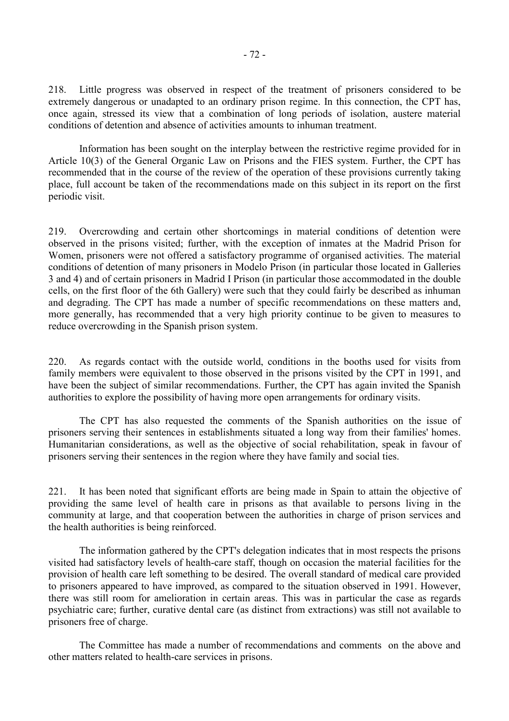218. Little progress was observed in respect of the treatment of prisoners considered to be extremely dangerous or unadapted to an ordinary prison regime. In this connection, the CPT has, once again, stressed its view that a combination of long periods of isolation, austere material conditions of detention and absence of activities amounts to inhuman treatment.

 Information has been sought on the interplay between the restrictive regime provided for in Article 10(3) of the General Organic Law on Prisons and the FIES system. Further, the CPT has recommended that in the course of the review of the operation of these provisions currently taking place, full account be taken of the recommendations made on this subject in its report on the first periodic visit.

219. Overcrowding and certain other shortcomings in material conditions of detention were observed in the prisons visited; further, with the exception of inmates at the Madrid Prison for Women, prisoners were not offered a satisfactory programme of organised activities. The material conditions of detention of many prisoners in Modelo Prison (in particular those located in Galleries 3 and 4) and of certain prisoners in Madrid I Prison (in particular those accommodated in the double cells, on the first floor of the 6th Gallery) were such that they could fairly be described as inhuman and degrading. The CPT has made a number of specific recommendations on these matters and, more generally, has recommended that a very high priority continue to be given to measures to reduce overcrowding in the Spanish prison system.

220. As regards contact with the outside world, conditions in the booths used for visits from family members were equivalent to those observed in the prisons visited by the CPT in 1991, and have been the subject of similar recommendations. Further, the CPT has again invited the Spanish authorities to explore the possibility of having more open arrangements for ordinary visits.

 The CPT has also requested the comments of the Spanish authorities on the issue of prisoners serving their sentences in establishments situated a long way from their families' homes. Humanitarian considerations, as well as the objective of social rehabilitation, speak in favour of prisoners serving their sentences in the region where they have family and social ties.

221. It has been noted that significant efforts are being made in Spain to attain the objective of providing the same level of health care in prisons as that available to persons living in the community at large, and that cooperation between the authorities in charge of prison services and the health authorities is being reinforced.

 The information gathered by the CPT's delegation indicates that in most respects the prisons visited had satisfactory levels of health-care staff, though on occasion the material facilities for the provision of health care left something to be desired. The overall standard of medical care provided to prisoners appeared to have improved, as compared to the situation observed in 1991. However, there was still room for amelioration in certain areas. This was in particular the case as regards psychiatric care; further, curative dental care (as distinct from extractions) was still not available to prisoners free of charge.

 The Committee has made a number of recommendations and comments on the above and other matters related to health-care services in prisons.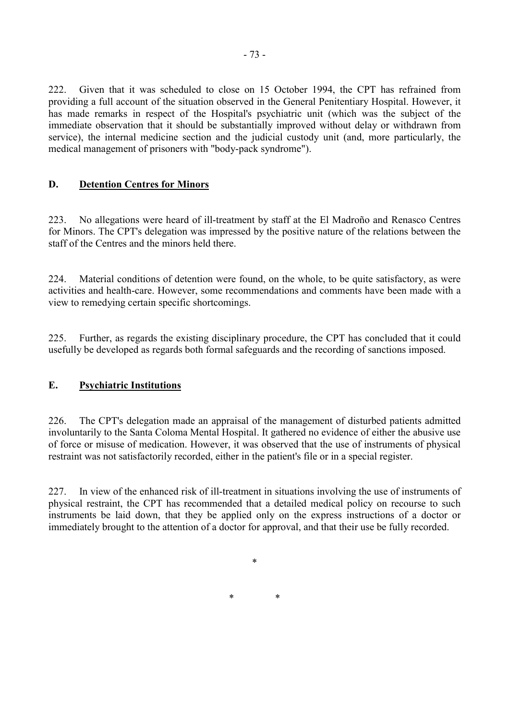222. Given that it was scheduled to close on 15 October 1994, the CPT has refrained from providing a full account of the situation observed in the General Penitentiary Hospital. However, it has made remarks in respect of the Hospital's psychiatric unit (which was the subject of the immediate observation that it should be substantially improved without delay or withdrawn from service), the internal medicine section and the judicial custody unit (and, more particularly, the medical management of prisoners with "body-pack syndrome").

# **D. Detention Centres for Minors**

223. No allegations were heard of ill-treatment by staff at the El Madroño and Renasco Centres for Minors. The CPT's delegation was impressed by the positive nature of the relations between the staff of the Centres and the minors held there.

224. Material conditions of detention were found, on the whole, to be quite satisfactory, as were activities and health-care. However, some recommendations and comments have been made with a view to remedying certain specific shortcomings.

225. Further, as regards the existing disciplinary procedure, the CPT has concluded that it could usefully be developed as regards both formal safeguards and the recording of sanctions imposed.

# **E. Psychiatric Institutions**

226. The CPT's delegation made an appraisal of the management of disturbed patients admitted involuntarily to the Santa Coloma Mental Hospital. It gathered no evidence of either the abusive use of force or misuse of medication. However, it was observed that the use of instruments of physical restraint was not satisfactorily recorded, either in the patient's file or in a special register.

227. In view of the enhanced risk of ill-treatment in situations involving the use of instruments of physical restraint, the CPT has recommended that a detailed medical policy on recourse to such instruments be laid down, that they be applied only on the express instructions of a doctor or immediately brought to the attention of a doctor for approval, and that their use be fully recorded.

\*

\* \*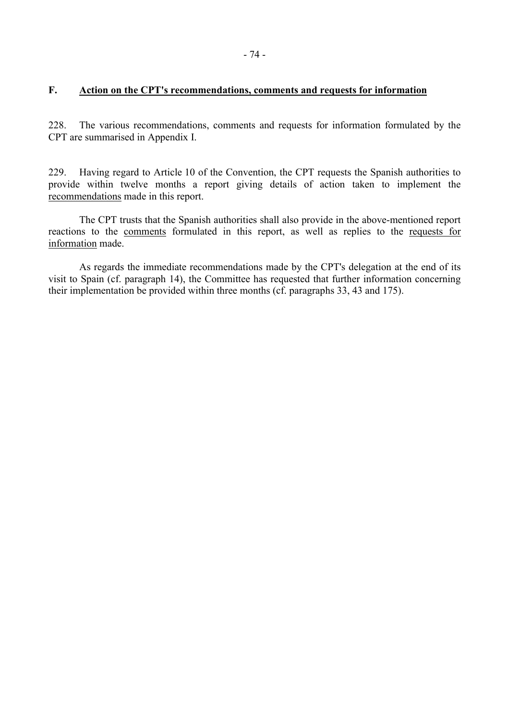## **F. Action on the CPT's recommendations, comments and requests for information**

228. The various recommendations, comments and requests for information formulated by the CPT are summarised in Appendix I.

229. Having regard to Article 10 of the Convention, the CPT requests the Spanish authorities to provide within twelve months a report giving details of action taken to implement the recommendations made in this report.

 The CPT trusts that the Spanish authorities shall also provide in the above-mentioned report reactions to the comments formulated in this report, as well as replies to the requests for information made.

 As regards the immediate recommendations made by the CPT's delegation at the end of its visit to Spain (cf. paragraph 14), the Committee has requested that further information concerning their implementation be provided within three months (cf. paragraphs 33, 43 and 175).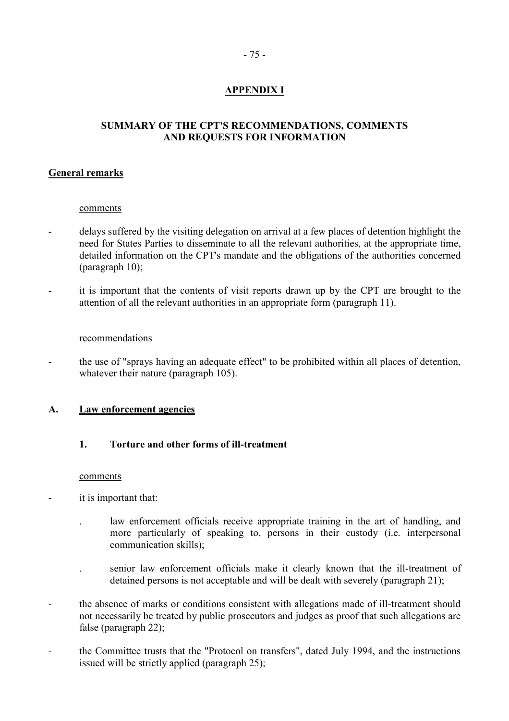# **APPENDIX I**

# **SUMMARY OF THE CPT'S RECOMMENDATIONS, COMMENTS AND REQUESTS FOR INFORMATION**

## **General remarks**

### comments

- delays suffered by the visiting delegation on arrival at a few places of detention highlight the need for States Parties to disseminate to all the relevant authorities, at the appropriate time, detailed information on the CPT's mandate and the obligations of the authorities concerned (paragraph 10);
- it is important that the contents of visit reports drawn up by the CPT are brought to the attention of all the relevant authorities in an appropriate form (paragraph 11).

### recommendations

- the use of "sprays having an adequate effect" to be prohibited within all places of detention, whatever their nature (paragraph 105).

### **A. Law enforcement agencies**

# **1. Torture and other forms of ill-treatment**

#### comments

- it is important that:
	- . law enforcement officials receive appropriate training in the art of handling, and more particularly of speaking to, persons in their custody (i.e. interpersonal communication skills);
	- . senior law enforcement officials make it clearly known that the ill-treatment of detained persons is not acceptable and will be dealt with severely (paragraph 21);
- the absence of marks or conditions consistent with allegations made of ill-treatment should not necessarily be treated by public prosecutors and judges as proof that such allegations are false (paragraph 22);
- the Committee trusts that the "Protocol on transfers", dated July 1994, and the instructions issued will be strictly applied (paragraph 25);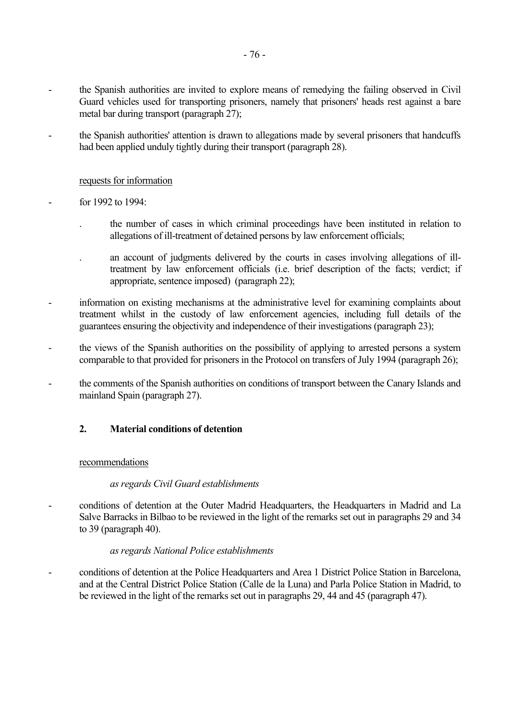- the Spanish authorities are invited to explore means of remedying the failing observed in Civil Guard vehicles used for transporting prisoners, namely that prisoners' heads rest against a bare metal bar during transport (paragraph 27);
- the Spanish authorities' attention is drawn to allegations made by several prisoners that handcuffs had been applied unduly tightly during their transport (paragraph 28).

### requests for information

- for 1992 to 1994:
	- . the number of cases in which criminal proceedings have been instituted in relation to allegations of ill-treatment of detained persons by law enforcement officials;
	- . an account of judgments delivered by the courts in cases involving allegations of illtreatment by law enforcement officials (i.e. brief description of the facts; verdict; if appropriate, sentence imposed) (paragraph 22);
- information on existing mechanisms at the administrative level for examining complaints about treatment whilst in the custody of law enforcement agencies, including full details of the guarantees ensuring the objectivity and independence of their investigations (paragraph 23);
- the views of the Spanish authorities on the possibility of applying to arrested persons a system comparable to that provided for prisoners in the Protocol on transfers of July 1994 (paragraph 26);
- the comments of the Spanish authorities on conditions of transport between the Canary Islands and mainland Spain (paragraph 27).

### **2. Material conditions of detention**

#### recommendations

#### *as regards Civil Guard establishments*

conditions of detention at the Outer Madrid Headquarters, the Headquarters in Madrid and La Salve Barracks in Bilbao to be reviewed in the light of the remarks set out in paragraphs 29 and 34 to 39 (paragraph 40).

### *as regards National Police establishments*

- conditions of detention at the Police Headquarters and Area 1 District Police Station in Barcelona, and at the Central District Police Station (Calle de la Luna) and Parla Police Station in Madrid, to be reviewed in the light of the remarks set out in paragraphs 29, 44 and 45 (paragraph 47).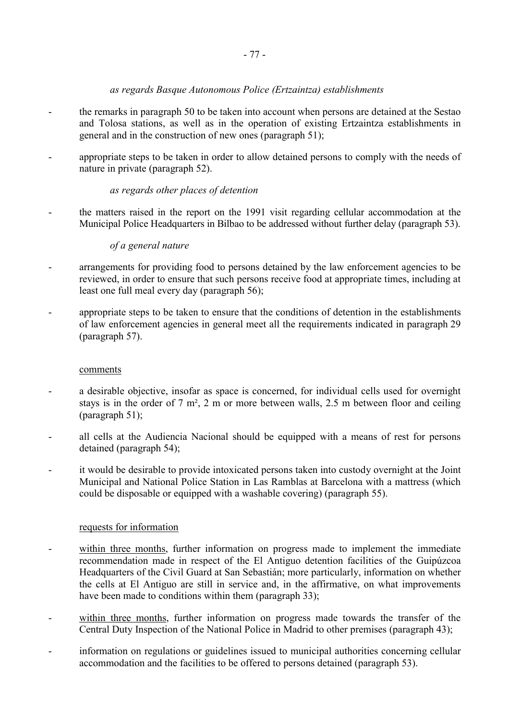## *as regards Basque Autonomous Police (Ertzaintza) establishments*

- the remarks in paragraph 50 to be taken into account when persons are detained at the Sestao and Tolosa stations, as well as in the operation of existing Ertzaintza establishments in general and in the construction of new ones (paragraph 51);
- appropriate steps to be taken in order to allow detained persons to comply with the needs of nature in private (paragraph 52).

## *as regards other places of detention*

the matters raised in the report on the 1991 visit regarding cellular accommodation at the Municipal Police Headquarters in Bilbao to be addressed without further delay (paragraph 53).

### *of a general nature*

- arrangements for providing food to persons detained by the law enforcement agencies to be reviewed, in order to ensure that such persons receive food at appropriate times, including at least one full meal every day (paragraph 56);
- appropriate steps to be taken to ensure that the conditions of detention in the establishments of law enforcement agencies in general meet all the requirements indicated in paragraph 29 (paragraph 57).

### comments

- a desirable objective, insofar as space is concerned, for individual cells used for overnight stays is in the order of 7 m², 2 m or more between walls, 2.5 m between floor and ceiling (paragraph 51);
- all cells at the Audiencia Nacional should be equipped with a means of rest for persons detained (paragraph 54);
- it would be desirable to provide intoxicated persons taken into custody overnight at the Joint Municipal and National Police Station in Las Ramblas at Barcelona with a mattress (which could be disposable or equipped with a washable covering) (paragraph 55).

- within three months, further information on progress made to implement the immediate recommendation made in respect of the El Antiguo detention facilities of the Guipúzcoa Headquarters of the Civil Guard at San Sebastián; more particularly, information on whether the cells at El Antiguo are still in service and, in the affirmative, on what improvements have been made to conditions within them (paragraph 33);
- within three months, further information on progress made towards the transfer of the Central Duty Inspection of the National Police in Madrid to other premises (paragraph 43);
- information on regulations or guidelines issued to municipal authorities concerning cellular accommodation and the facilities to be offered to persons detained (paragraph 53).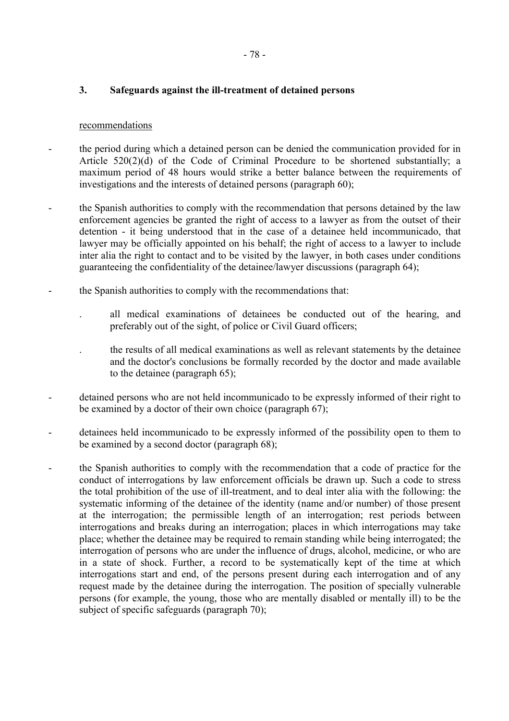## **3. Safeguards against the ill-treatment of detained persons**

### recommendations

- the period during which a detained person can be denied the communication provided for in Article 520(2)(d) of the Code of Criminal Procedure to be shortened substantially; a maximum period of 48 hours would strike a better balance between the requirements of investigations and the interests of detained persons (paragraph 60);
- the Spanish authorities to comply with the recommendation that persons detained by the law enforcement agencies be granted the right of access to a lawyer as from the outset of their detention - it being understood that in the case of a detainee held incommunicado, that lawyer may be officially appointed on his behalf; the right of access to a lawyer to include inter alia the right to contact and to be visited by the lawyer, in both cases under conditions guaranteeing the confidentiality of the detainee/lawyer discussions (paragraph 64);
- the Spanish authorities to comply with the recommendations that:
	- . all medical examinations of detainees be conducted out of the hearing, and preferably out of the sight, of police or Civil Guard officers;
	- . the results of all medical examinations as well as relevant statements by the detainee and the doctor's conclusions be formally recorded by the doctor and made available to the detainee (paragraph 65);
- detained persons who are not held incommunicado to be expressly informed of their right to be examined by a doctor of their own choice (paragraph 67);
- detainees held incommunicado to be expressly informed of the possibility open to them to be examined by a second doctor (paragraph 68);
- the Spanish authorities to comply with the recommendation that a code of practice for the conduct of interrogations by law enforcement officials be drawn up. Such a code to stress the total prohibition of the use of ill-treatment, and to deal inter alia with the following: the systematic informing of the detainee of the identity (name and/or number) of those present at the interrogation; the permissible length of an interrogation; rest periods between interrogations and breaks during an interrogation; places in which interrogations may take place; whether the detainee may be required to remain standing while being interrogated; the interrogation of persons who are under the influence of drugs, alcohol, medicine, or who are in a state of shock. Further, a record to be systematically kept of the time at which interrogations start and end, of the persons present during each interrogation and of any request made by the detainee during the interrogation. The position of specially vulnerable persons (for example, the young, those who are mentally disabled or mentally ill) to be the subject of specific safeguards (paragraph 70);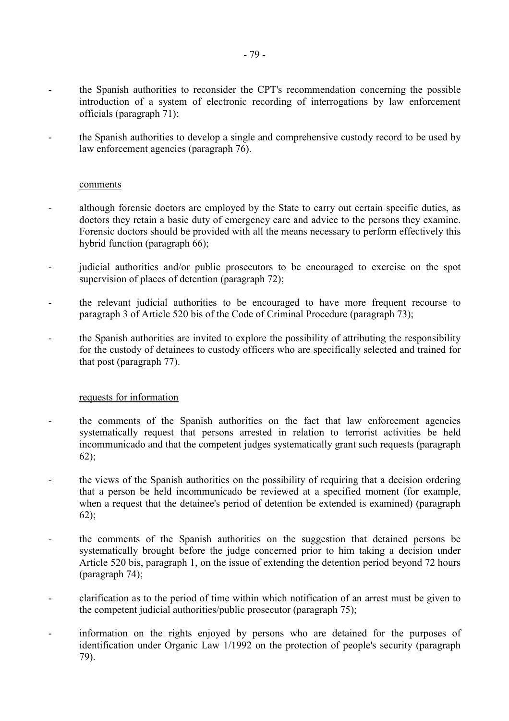- the Spanish authorities to reconsider the CPT's recommendation concerning the possible introduction of a system of electronic recording of interrogations by law enforcement officials (paragraph 71);
- the Spanish authorities to develop a single and comprehensive custody record to be used by law enforcement agencies (paragraph 76).

### comments

- although forensic doctors are employed by the State to carry out certain specific duties, as doctors they retain a basic duty of emergency care and advice to the persons they examine. Forensic doctors should be provided with all the means necessary to perform effectively this hybrid function (paragraph 66);
- judicial authorities and/or public prosecutors to be encouraged to exercise on the spot supervision of places of detention (paragraph 72);
- the relevant judicial authorities to be encouraged to have more frequent recourse to paragraph 3 of Article 520 bis of the Code of Criminal Procedure (paragraph 73);
- the Spanish authorities are invited to explore the possibility of attributing the responsibility for the custody of detainees to custody officers who are specifically selected and trained for that post (paragraph 77).

- the comments of the Spanish authorities on the fact that law enforcement agencies systematically request that persons arrested in relation to terrorist activities be held incommunicado and that the competent judges systematically grant such requests (paragraph 62);
- the views of the Spanish authorities on the possibility of requiring that a decision ordering that a person be held incommunicado be reviewed at a specified moment (for example, when a request that the detainee's period of detention be extended is examined) (paragraph 62);
- the comments of the Spanish authorities on the suggestion that detained persons be systematically brought before the judge concerned prior to him taking a decision under Article 520 bis, paragraph 1, on the issue of extending the detention period beyond 72 hours (paragraph 74);
- clarification as to the period of time within which notification of an arrest must be given to the competent judicial authorities/public prosecutor (paragraph 75);
- information on the rights enjoyed by persons who are detained for the purposes of identification under Organic Law 1/1992 on the protection of people's security (paragraph 79).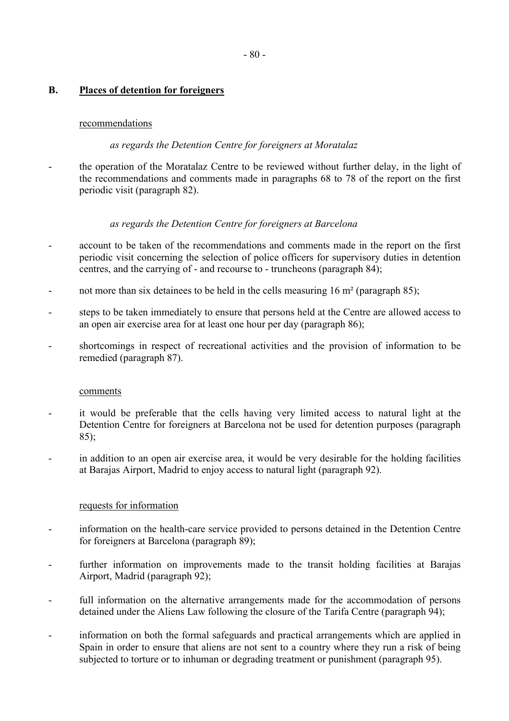# **B. Places of detention for foreigners**

### recommendations

### *as regards the Detention Centre for foreigners at Moratalaz*

- the operation of the Moratalaz Centre to be reviewed without further delay, in the light of the recommendations and comments made in paragraphs 68 to 78 of the report on the first periodic visit (paragraph 82).

### *as regards the Detention Centre for foreigners at Barcelona*

- account to be taken of the recommendations and comments made in the report on the first periodic visit concerning the selection of police officers for supervisory duties in detention centres, and the carrying of - and recourse to - truncheons (paragraph 84);
- not more than six detainees to be held in the cells measuring  $16 \text{ m}^2$  (paragraph 85);
- steps to be taken immediately to ensure that persons held at the Centre are allowed access to an open air exercise area for at least one hour per day (paragraph 86);
- shortcomings in respect of recreational activities and the provision of information to be remedied (paragraph 87).

#### comments

- it would be preferable that the cells having very limited access to natural light at the Detention Centre for foreigners at Barcelona not be used for detention purposes (paragraph 85);
- in addition to an open air exercise area, it would be very desirable for the holding facilities at Barajas Airport, Madrid to enjoy access to natural light (paragraph 92).

- information on the health-care service provided to persons detained in the Detention Centre for foreigners at Barcelona (paragraph 89);
- further information on improvements made to the transit holding facilities at Barajas Airport, Madrid (paragraph 92);
- full information on the alternative arrangements made for the accommodation of persons detained under the Aliens Law following the closure of the Tarifa Centre (paragraph 94);
- information on both the formal safeguards and practical arrangements which are applied in Spain in order to ensure that aliens are not sent to a country where they run a risk of being subjected to torture or to inhuman or degrading treatment or punishment (paragraph 95).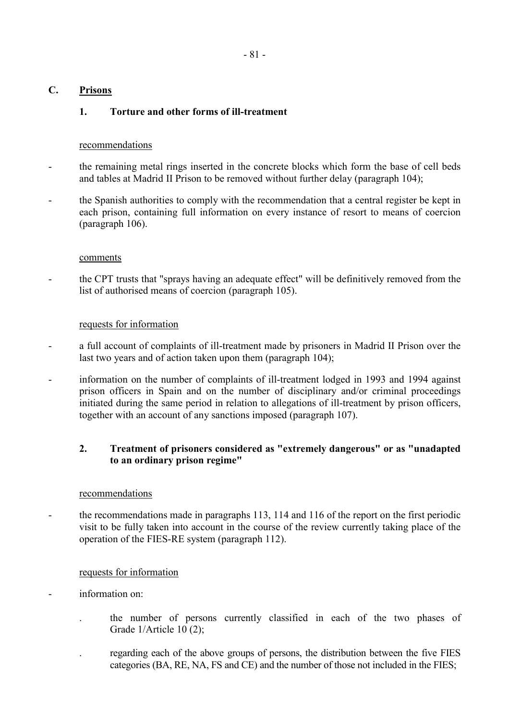## **C. Prisons**

## **1. Torture and other forms of ill-treatment**

### recommendations

- the remaining metal rings inserted in the concrete blocks which form the base of cell beds and tables at Madrid II Prison to be removed without further delay (paragraph 104);
- the Spanish authorities to comply with the recommendation that a central register be kept in each prison, containing full information on every instance of resort to means of coercion (paragraph 106).

### comments

the CPT trusts that "sprays having an adequate effect" will be definitively removed from the list of authorised means of coercion (paragraph 105).

### requests for information

- a full account of complaints of ill-treatment made by prisoners in Madrid II Prison over the last two years and of action taken upon them (paragraph 104);
- information on the number of complaints of ill-treatment lodged in 1993 and 1994 against prison officers in Spain and on the number of disciplinary and/or criminal proceedings initiated during the same period in relation to allegations of ill-treatment by prison officers, together with an account of any sanctions imposed (paragraph 107).

## **2. Treatment of prisoners considered as "extremely dangerous" or as "unadapted to an ordinary prison regime"**

### recommendations

- the recommendations made in paragraphs 113, 114 and 116 of the report on the first periodic visit to be fully taken into account in the course of the review currently taking place of the operation of the FIES-RE system (paragraph 112).

- information on:
	- . the number of persons currently classified in each of the two phases of Grade 1/Article 10 (2);
	- . regarding each of the above groups of persons, the distribution between the five FIES categories (BA, RE, NA, FS and CE) and the number of those not included in the FIES;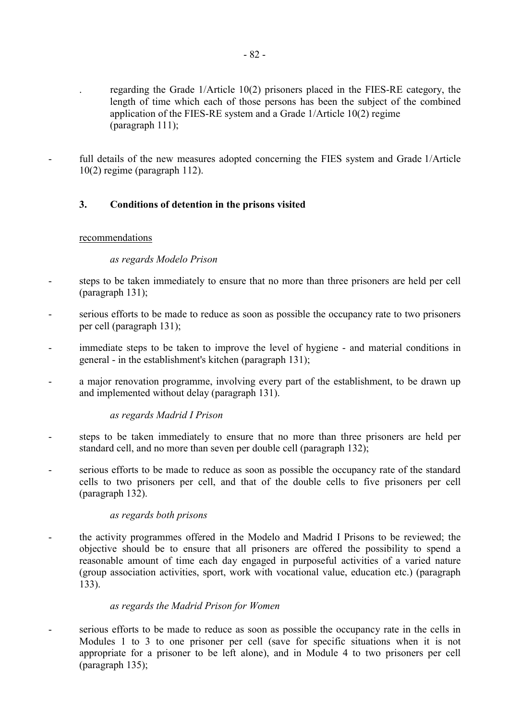- . regarding the Grade 1/Article 10(2) prisoners placed in the FIES-RE category, the length of time which each of those persons has been the subject of the combined application of the FIES-RE system and a Grade 1/Article 10(2) regime (paragraph 111);
- full details of the new measures adopted concerning the FIES system and Grade 1/Article 10(2) regime (paragraph 112).

## **3. Conditions of detention in the prisons visited**

### recommendations

### *as regards Modelo Prison*

- steps to be taken immediately to ensure that no more than three prisoners are held per cell (paragraph 131);
- serious efforts to be made to reduce as soon as possible the occupancy rate to two prisoners per cell (paragraph 131);
- immediate steps to be taken to improve the level of hygiene and material conditions in general - in the establishment's kitchen (paragraph 131);
- a major renovation programme, involving every part of the establishment, to be drawn up and implemented without delay (paragraph 131).

### *as regards Madrid I Prison*

- steps to be taken immediately to ensure that no more than three prisoners are held per standard cell, and no more than seven per double cell (paragraph 132);
- serious efforts to be made to reduce as soon as possible the occupancy rate of the standard cells to two prisoners per cell, and that of the double cells to five prisoners per cell (paragraph 132).

### *as regards both prisons*

the activity programmes offered in the Modelo and Madrid I Prisons to be reviewed; the objective should be to ensure that all prisoners are offered the possibility to spend a reasonable amount of time each day engaged in purposeful activities of a varied nature (group association activities, sport, work with vocational value, education etc.) (paragraph 133).

### *as regards the Madrid Prison for Women*

- serious efforts to be made to reduce as soon as possible the occupancy rate in the cells in Modules 1 to 3 to one prisoner per cell (save for specific situations when it is not appropriate for a prisoner to be left alone), and in Module 4 to two prisoners per cell (paragraph 135);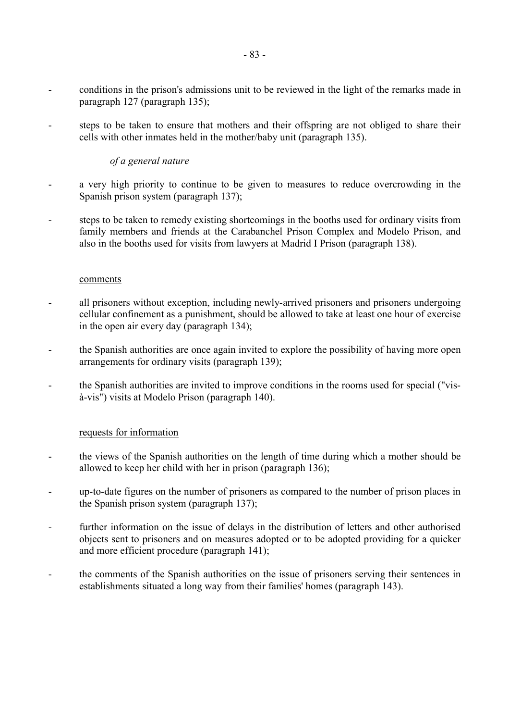- conditions in the prison's admissions unit to be reviewed in the light of the remarks made in paragraph 127 (paragraph 135);
- steps to be taken to ensure that mothers and their offspring are not obliged to share their cells with other inmates held in the mother/baby unit (paragraph 135).

## *of a general nature*

- a very high priority to continue to be given to measures to reduce overcrowding in the Spanish prison system (paragraph 137);
- steps to be taken to remedy existing shortcomings in the booths used for ordinary visits from family members and friends at the Carabanchel Prison Complex and Modelo Prison, and also in the booths used for visits from lawyers at Madrid I Prison (paragraph 138).

### comments

- all prisoners without exception, including newly-arrived prisoners and prisoners undergoing cellular confinement as a punishment, should be allowed to take at least one hour of exercise in the open air every day (paragraph 134);
- the Spanish authorities are once again invited to explore the possibility of having more open arrangements for ordinary visits (paragraph 139);
- the Spanish authorities are invited to improve conditions in the rooms used for special ("visà-vis") visits at Modelo Prison (paragraph 140).

- the views of the Spanish authorities on the length of time during which a mother should be allowed to keep her child with her in prison (paragraph 136);
- up-to-date figures on the number of prisoners as compared to the number of prison places in the Spanish prison system (paragraph 137);
- further information on the issue of delays in the distribution of letters and other authorised objects sent to prisoners and on measures adopted or to be adopted providing for a quicker and more efficient procedure (paragraph 141);
- the comments of the Spanish authorities on the issue of prisoners serving their sentences in establishments situated a long way from their families' homes (paragraph 143).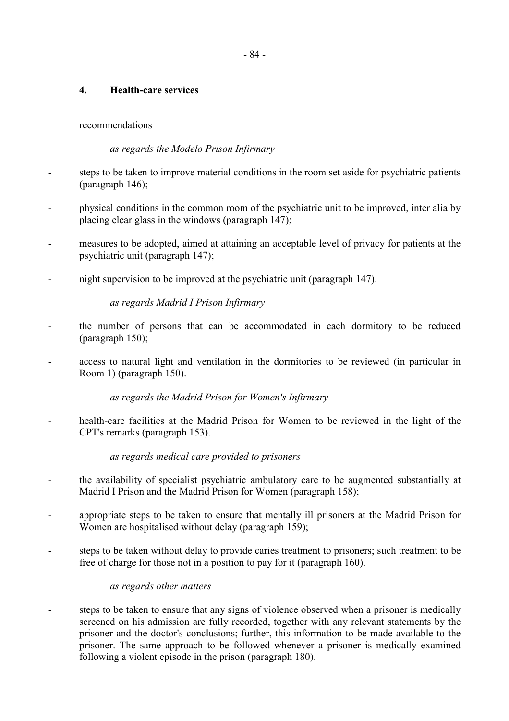# **4. Health-care services**

# recommendations

# *as regards the Modelo Prison Infirmary*

- steps to be taken to improve material conditions in the room set aside for psychiatric patients (paragraph 146);
- physical conditions in the common room of the psychiatric unit to be improved, inter alia by placing clear glass in the windows (paragraph 147);
- measures to be adopted, aimed at attaining an acceptable level of privacy for patients at the psychiatric unit (paragraph 147);
- night supervision to be improved at the psychiatric unit (paragraph 147).

# *as regards Madrid I Prison Infirmary*

- the number of persons that can be accommodated in each dormitory to be reduced (paragraph 150);
- access to natural light and ventilation in the dormitories to be reviewed (in particular in Room 1) (paragraph 150).

 *as regards the Madrid Prison for Women's Infirmary*

health-care facilities at the Madrid Prison for Women to be reviewed in the light of the CPT's remarks (paragraph 153).

# *as regards medical care provided to prisoners*

- the availability of specialist psychiatric ambulatory care to be augmented substantially at Madrid I Prison and the Madrid Prison for Women (paragraph 158);
- appropriate steps to be taken to ensure that mentally ill prisoners at the Madrid Prison for Women are hospitalised without delay (paragraph 159);
- steps to be taken without delay to provide caries treatment to prisoners; such treatment to be free of charge for those not in a position to pay for it (paragraph 160).

# *as regards other matters*

steps to be taken to ensure that any signs of violence observed when a prisoner is medically screened on his admission are fully recorded, together with any relevant statements by the prisoner and the doctor's conclusions; further, this information to be made available to the prisoner. The same approach to be followed whenever a prisoner is medically examined following a violent episode in the prison (paragraph 180).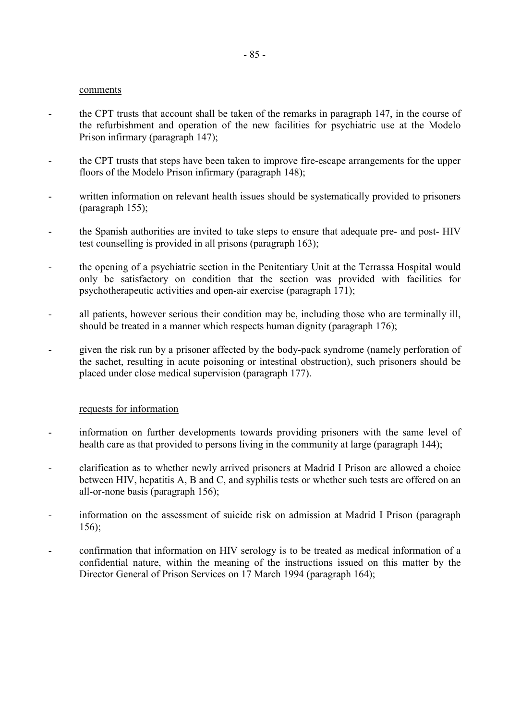#### comments

- the CPT trusts that account shall be taken of the remarks in paragraph 147, in the course of the refurbishment and operation of the new facilities for psychiatric use at the Modelo Prison infirmary (paragraph 147);
- the CPT trusts that steps have been taken to improve fire-escape arrangements for the upper floors of the Modelo Prison infirmary (paragraph 148);
- written information on relevant health issues should be systematically provided to prisoners (paragraph 155);
- the Spanish authorities are invited to take steps to ensure that adequate pre- and post- HIV test counselling is provided in all prisons (paragraph 163);
- the opening of a psychiatric section in the Penitentiary Unit at the Terrassa Hospital would only be satisfactory on condition that the section was provided with facilities for psychotherapeutic activities and open-air exercise (paragraph 171);
- all patients, however serious their condition may be, including those who are terminally ill, should be treated in a manner which respects human dignity (paragraph 176);
- given the risk run by a prisoner affected by the body-pack syndrome (namely perforation of the sachet, resulting in acute poisoning or intestinal obstruction), such prisoners should be placed under close medical supervision (paragraph 177).

- information on further developments towards providing prisoners with the same level of health care as that provided to persons living in the community at large (paragraph 144);
- clarification as to whether newly arrived prisoners at Madrid I Prison are allowed a choice between HIV, hepatitis A, B and C, and syphilis tests or whether such tests are offered on an all-or-none basis (paragraph 156);
- information on the assessment of suicide risk on admission at Madrid I Prison (paragraph 156);
- confirmation that information on HIV serology is to be treated as medical information of a confidential nature, within the meaning of the instructions issued on this matter by the Director General of Prison Services on 17 March 1994 (paragraph 164);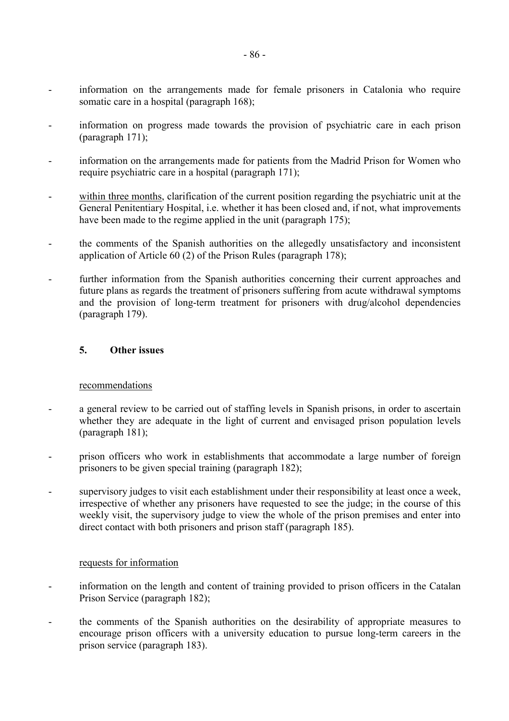- information on the arrangements made for female prisoners in Catalonia who require somatic care in a hospital (paragraph 168);
- information on progress made towards the provision of psychiatric care in each prison (paragraph 171);
- information on the arrangements made for patients from the Madrid Prison for Women who require psychiatric care in a hospital (paragraph 171);
- within three months, clarification of the current position regarding the psychiatric unit at the General Penitentiary Hospital, i.e. whether it has been closed and, if not, what improvements have been made to the regime applied in the unit (paragraph 175);
- the comments of the Spanish authorities on the allegedly unsatisfactory and inconsistent application of Article 60 (2) of the Prison Rules (paragraph 178);
- further information from the Spanish authorities concerning their current approaches and future plans as regards the treatment of prisoners suffering from acute withdrawal symptoms and the provision of long-term treatment for prisoners with drug/alcohol dependencies (paragraph 179).

### **5. Other issues**

### recommendations

- a general review to be carried out of staffing levels in Spanish prisons, in order to ascertain whether they are adequate in the light of current and envisaged prison population levels (paragraph 181);
- prison officers who work in establishments that accommodate a large number of foreign prisoners to be given special training (paragraph 182);
- supervisory judges to visit each establishment under their responsibility at least once a week, irrespective of whether any prisoners have requested to see the judge; in the course of this weekly visit, the supervisory judge to view the whole of the prison premises and enter into direct contact with both prisoners and prison staff (paragraph 185).

- information on the length and content of training provided to prison officers in the Catalan Prison Service (paragraph 182);
- the comments of the Spanish authorities on the desirability of appropriate measures to encourage prison officers with a university education to pursue long-term careers in the prison service (paragraph 183).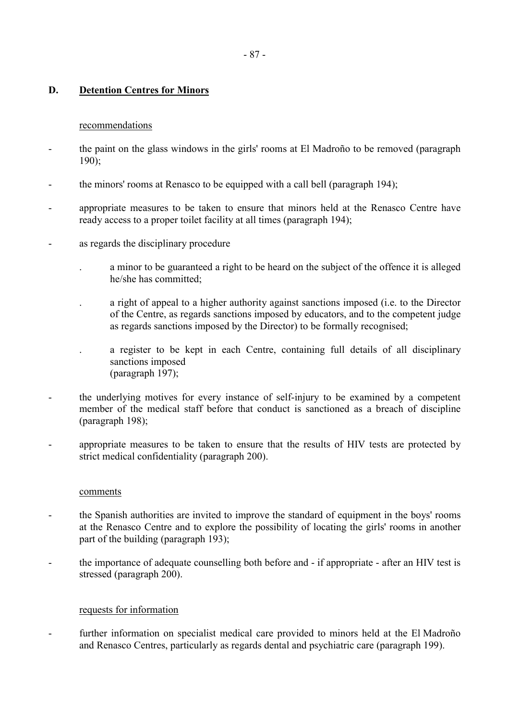# **D. Detention Centres for Minors**

### recommendations

- the paint on the glass windows in the girls' rooms at El Madroño to be removed (paragraph 190);
- the minors' rooms at Renasco to be equipped with a call bell (paragraph 194);
- appropriate measures to be taken to ensure that minors held at the Renasco Centre have ready access to a proper toilet facility at all times (paragraph 194);
- as regards the disciplinary procedure
	- . a minor to be guaranteed a right to be heard on the subject of the offence it is alleged he/she has committed;
	- . a right of appeal to a higher authority against sanctions imposed (i.e. to the Director of the Centre, as regards sanctions imposed by educators, and to the competent judge as regards sanctions imposed by the Director) to be formally recognised;
	- . a register to be kept in each Centre, containing full details of all disciplinary sanctions imposed (paragraph 197);
- the underlying motives for every instance of self-injury to be examined by a competent member of the medical staff before that conduct is sanctioned as a breach of discipline (paragraph 198);
- appropriate measures to be taken to ensure that the results of HIV tests are protected by strict medical confidentiality (paragraph 200).

#### comments

- the Spanish authorities are invited to improve the standard of equipment in the boys' rooms at the Renasco Centre and to explore the possibility of locating the girls' rooms in another part of the building (paragraph 193);
- the importance of adequate counselling both before and if appropriate after an HIV test is stressed (paragraph 200).

### requests for information

- further information on specialist medical care provided to minors held at the El Madroño and Renasco Centres, particularly as regards dental and psychiatric care (paragraph 199).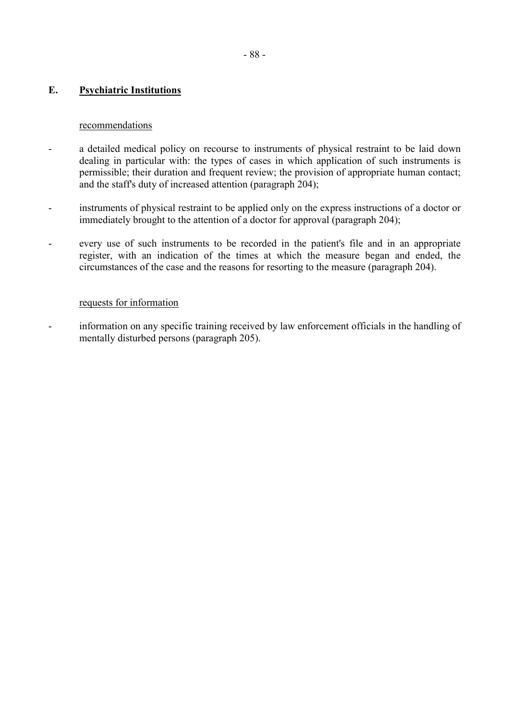## **E. Psychiatric Institutions**

### recommendations

- a detailed medical policy on recourse to instruments of physical restraint to be laid down dealing in particular with: the types of cases in which application of such instruments is permissible; their duration and frequent review; the provision of appropriate human contact; and the staff's duty of increased attention (paragraph 204);
- instruments of physical restraint to be applied only on the express instructions of a doctor or immediately brought to the attention of a doctor for approval (paragraph 204);
- every use of such instruments to be recorded in the patient's file and in an appropriate register, with an indication of the times at which the measure began and ended, the circumstances of the case and the reasons for resorting to the measure (paragraph 204).

### requests for information

- information on any specific training received by law enforcement officials in the handling of mentally disturbed persons (paragraph 205).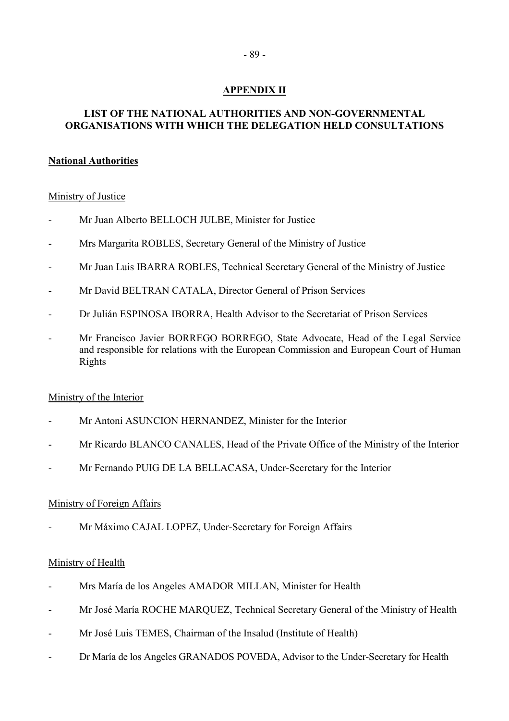# **APPENDIX II**

# **LIST OF THE NATIONAL AUTHORITIES AND NON-GOVERNMENTAL ORGANISATIONS WITH WHICH THE DELEGATION HELD CONSULTATIONS**

# **National Authorities**

# Ministry of Justice

- Mr Juan Alberto BELLOCH JULBE, Minister for Justice
- Mrs Margarita ROBLES, Secretary General of the Ministry of Justice
- Mr Juan Luis IBARRA ROBLES, Technical Secretary General of the Ministry of Justice
- Mr David BELTRAN CATALA, Director General of Prison Services
- Dr Julián ESPINOSA IBORRA, Health Advisor to the Secretariat of Prison Services
- Mr Francisco Javier BORREGO BORREGO, State Advocate, Head of the Legal Service and responsible for relations with the European Commission and European Court of Human Rights

# Ministry of the Interior

- Mr Antoni ASUNCION HERNANDEZ, Minister for the Interior
- Mr Ricardo BLANCO CANALES, Head of the Private Office of the Ministry of the Interior
- Mr Fernando PUIG DE LA BELLACASA, Under-Secretary for the Interior

# Ministry of Foreign Affairs

Mr Máximo CAJAL LOPEZ, Under-Secretary for Foreign Affairs

# Ministry of Health

- Mrs María de los Angeles AMADOR MILLAN, Minister for Health
- Mr José María ROCHE MARQUEZ, Technical Secretary General of the Ministry of Health
- Mr José Luis TEMES, Chairman of the Insalud (Institute of Health)
- Dr María de los Angeles GRANADOS POVEDA, Advisor to the Under-Secretary for Health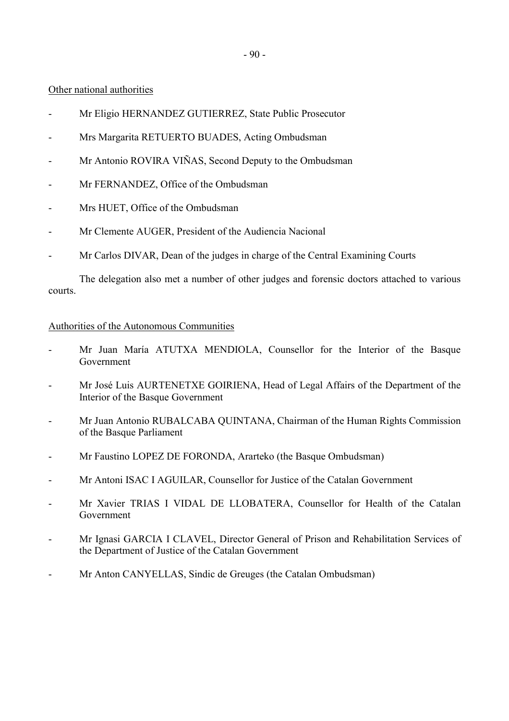- 90 -

Other national authorities

- Mr Eligio HERNANDEZ GUTIERREZ, State Public Prosecutor
- Mrs Margarita RETUERTO BUADES, Acting Ombudsman
- Mr Antonio ROVIRA VIÑAS, Second Deputy to the Ombudsman
- Mr FERNANDEZ, Office of the Ombudsman
- Mrs HUET, Office of the Ombudsman
- Mr Clemente AUGER, President of the Audiencia Nacional
- Mr Carlos DIVAR, Dean of the judges in charge of the Central Examining Courts

 The delegation also met a number of other judges and forensic doctors attached to various courts.

## Authorities of the Autonomous Communities

- Mr Juan María ATUTXA MENDIOLA, Counsellor for the Interior of the Basque Government
- Mr José Luis AURTENETXE GOIRIENA, Head of Legal Affairs of the Department of the Interior of the Basque Government
- Mr Juan Antonio RUBALCABA QUINTANA, Chairman of the Human Rights Commission of the Basque Parliament
- Mr Faustino LOPEZ DE FORONDA, Ararteko (the Basque Ombudsman)
- Mr Antoni ISAC I AGUILAR, Counsellor for Justice of the Catalan Government
- Mr Xavier TRIAS I VIDAL DE LLOBATERA, Counsellor for Health of the Catalan Government
- Mr Ignasi GARCIA I CLAVEL, Director General of Prison and Rehabilitation Services of the Department of Justice of the Catalan Government
- Mr Anton CANYELLAS, Sindic de Greuges (the Catalan Ombudsman)